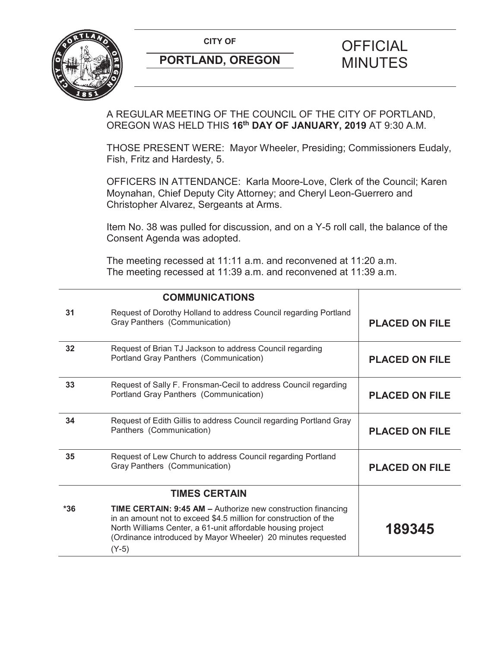**CITY OF CITY OF PICIAL** 



# **PORTLAND, OREGON MINUTES**

A REGULAR MEETING OF THE COUNCIL OF THE CITY OF PORTLAND, OREGON WAS HELD THIS **16th DAY OF JANUARY, 2019** AT 9:30 A.M.

THOSE PRESENT WERE: Mayor Wheeler, Presiding; Commissioners Eudaly, Fish, Fritz and Hardesty, 5.

OFFICERS IN ATTENDANCE: Karla Moore-Love, Clerk of the Council; Karen Moynahan, Chief Deputy City Attorney; and Cheryl Leon-Guerrero and Christopher Alvarez, Sergeants at Arms.

Item No. 38 was pulled for discussion, and on a Y-5 roll call, the balance of the Consent Agenda was adopted.

The meeting recessed at 11:11 a.m. and reconvened at 11:20 a.m. The meeting recessed at 11:39 a.m. and reconvened at 11:39 a.m.

|       | <b>COMMUNICATIONS</b>                                                                                                                                                                                                                                                             |                       |
|-------|-----------------------------------------------------------------------------------------------------------------------------------------------------------------------------------------------------------------------------------------------------------------------------------|-----------------------|
| 31    | Request of Dorothy Holland to address Council regarding Portland<br>Gray Panthers (Communication)                                                                                                                                                                                 | <b>PLACED ON FILE</b> |
| 32    | Request of Brian TJ Jackson to address Council regarding<br>Portland Gray Panthers (Communication)                                                                                                                                                                                | <b>PLACED ON FILE</b> |
| 33    | Request of Sally F. Fronsman-Cecil to address Council regarding<br>Portland Gray Panthers (Communication)                                                                                                                                                                         | <b>PLACED ON FILE</b> |
| 34    | Request of Edith Gillis to address Council regarding Portland Gray<br>Panthers (Communication)                                                                                                                                                                                    | <b>PLACED ON FILE</b> |
| 35    | Request of Lew Church to address Council regarding Portland<br>Gray Panthers (Communication)                                                                                                                                                                                      | <b>PLACED ON FILE</b> |
|       | <b>TIMES CERTAIN</b>                                                                                                                                                                                                                                                              |                       |
| $*36$ | <b>TIME CERTAIN: 9:45 AM - Authorize new construction financing</b><br>in an amount not to exceed \$4.5 million for construction of the<br>North Williams Center, a 61-unit affordable housing project<br>(Ordinance introduced by Mayor Wheeler) 20 minutes requested<br>$(Y-5)$ | 189345                |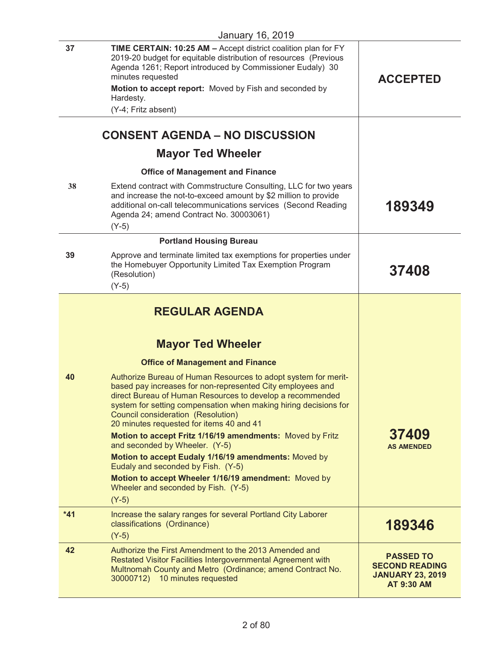|       | 0                                                                                                                                                                                                                                                                                                                                                                                                                                                                                                                                                                                                                                                      |                                                                                           |
|-------|--------------------------------------------------------------------------------------------------------------------------------------------------------------------------------------------------------------------------------------------------------------------------------------------------------------------------------------------------------------------------------------------------------------------------------------------------------------------------------------------------------------------------------------------------------------------------------------------------------------------------------------------------------|-------------------------------------------------------------------------------------------|
| 37    | TIME CERTAIN: 10:25 AM - Accept district coalition plan for FY<br>2019-20 budget for equitable distribution of resources (Previous<br>Agenda 1261; Report introduced by Commissioner Eudaly) 30<br>minutes requested<br>Motion to accept report: Moved by Fish and seconded by<br>Hardesty.<br>(Y-4; Fritz absent)                                                                                                                                                                                                                                                                                                                                     | <b>ACCEPTED</b>                                                                           |
|       |                                                                                                                                                                                                                                                                                                                                                                                                                                                                                                                                                                                                                                                        |                                                                                           |
|       | <b>CONSENT AGENDA - NO DISCUSSION</b>                                                                                                                                                                                                                                                                                                                                                                                                                                                                                                                                                                                                                  |                                                                                           |
|       | <b>Mayor Ted Wheeler</b>                                                                                                                                                                                                                                                                                                                                                                                                                                                                                                                                                                                                                               |                                                                                           |
|       | <b>Office of Management and Finance</b>                                                                                                                                                                                                                                                                                                                                                                                                                                                                                                                                                                                                                |                                                                                           |
| 38    | Extend contract with Commstructure Consulting, LLC for two years<br>and increase the not-to-exceed amount by \$2 million to provide<br>additional on-call telecommunications services (Second Reading<br>Agenda 24; amend Contract No. 30003061)<br>$(Y-5)$                                                                                                                                                                                                                                                                                                                                                                                            | 189349                                                                                    |
|       | <b>Portland Housing Bureau</b>                                                                                                                                                                                                                                                                                                                                                                                                                                                                                                                                                                                                                         |                                                                                           |
| 39    | Approve and terminate limited tax exemptions for properties under<br>the Homebuyer Opportunity Limited Tax Exemption Program<br>(Resolution)<br>$(Y-5)$                                                                                                                                                                                                                                                                                                                                                                                                                                                                                                | 37408                                                                                     |
|       | <b>REGULAR AGENDA</b><br><b>Mayor Ted Wheeler</b><br><b>Office of Management and Finance</b>                                                                                                                                                                                                                                                                                                                                                                                                                                                                                                                                                           |                                                                                           |
| 40    | Authorize Bureau of Human Resources to adopt system for merit-<br>based pay increases for non-represented City employees and<br>direct Bureau of Human Resources to develop a recommended<br>system for setting compensation when making hiring decisions for<br>Council consideration (Resolution)<br>20 minutes requested for items 40 and 41<br>Motion to accept Fritz 1/16/19 amendments: Moved by Fritz<br>and seconded by Wheeler. (Y-5)<br>Motion to accept Eudaly 1/16/19 amendments: Moved by<br>Eudaly and seconded by Fish. (Y-5)<br>Motion to accept Wheeler 1/16/19 amendment: Moved by<br>Wheeler and seconded by Fish. (Y-5)<br>$(Y-5)$ | 37409<br><b>AS AMENDED</b>                                                                |
| $*41$ | Increase the salary ranges for several Portland City Laborer<br>classifications (Ordinance)                                                                                                                                                                                                                                                                                                                                                                                                                                                                                                                                                            | 189346                                                                                    |
|       | $(Y-5)$                                                                                                                                                                                                                                                                                                                                                                                                                                                                                                                                                                                                                                                |                                                                                           |
| 42    | Authorize the First Amendment to the 2013 Amended and<br>Restated Visitor Facilities Intergovernmental Agreement with<br>Multnomah County and Metro (Ordinance; amend Contract No.<br>30000712) 10 minutes requested                                                                                                                                                                                                                                                                                                                                                                                                                                   | <b>PASSED TO</b><br><b>SECOND READING</b><br><b>JANUARY 23, 2019</b><br><b>AT 9:30 AM</b> |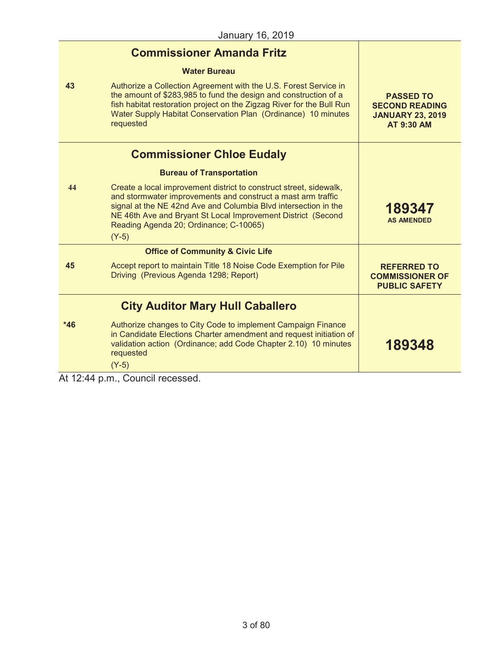|                                                     | <b>Commissioner Amanda Fritz</b>                                                                                                                                                                                                                                                                                           |                                                                                           |
|-----------------------------------------------------|----------------------------------------------------------------------------------------------------------------------------------------------------------------------------------------------------------------------------------------------------------------------------------------------------------------------------|-------------------------------------------------------------------------------------------|
|                                                     | <b>Water Bureau</b>                                                                                                                                                                                                                                                                                                        |                                                                                           |
| 43                                                  | Authorize a Collection Agreement with the U.S. Forest Service in<br>the amount of \$283,985 to fund the design and construction of a<br>fish habitat restoration project on the Zigzag River for the Bull Run<br>Water Supply Habitat Conservation Plan (Ordinance) 10 minutes<br>requested                                | <b>PASSED TO</b><br><b>SECOND READING</b><br><b>JANUARY 23, 2019</b><br><b>AT 9:30 AM</b> |
|                                                     | <b>Commissioner Chloe Eudaly</b>                                                                                                                                                                                                                                                                                           |                                                                                           |
|                                                     | <b>Bureau of Transportation</b>                                                                                                                                                                                                                                                                                            |                                                                                           |
| 44                                                  | Create a local improvement district to construct street, sidewalk,<br>and stormwater improvements and construct a mast arm traffic<br>signal at the NE 42nd Ave and Columbia Blvd intersection in the<br>NE 46th Ave and Bryant St Local Improvement District (Second<br>Reading Agenda 20; Ordinance; C-10065)<br>$(Y-5)$ | 189347<br><b>AS AMENDED</b>                                                               |
|                                                     | <b>Office of Community &amp; Civic Life</b>                                                                                                                                                                                                                                                                                |                                                                                           |
| 45                                                  | Accept report to maintain Title 18 Noise Code Exemption for Pile<br>Driving (Previous Agenda 1298; Report)                                                                                                                                                                                                                 | <b>REFERRED TO</b><br><b>COMMISSIONER OF</b><br><b>PUBLIC SAFETY</b>                      |
|                                                     | <b>City Auditor Mary Hull Caballero</b>                                                                                                                                                                                                                                                                                    |                                                                                           |
| $*46$                                               | Authorize changes to City Code to implement Campaign Finance<br>in Candidate Elections Charter amendment and request initiation of<br>validation action (Ordinance; add Code Chapter 2.10) 10 minutes<br>requested<br>$(Y-5)$                                                                                              | 189348                                                                                    |
| $\mathbf{A}$ $\mathbf{A}$ $\mathbf{A}$ $\mathbf{A}$ | $1.14 \pm 0.001$<br>$\sim$ $-$                                                                                                                                                                                                                                                                                             |                                                                                           |

At 12:44 p.m., Council recessed.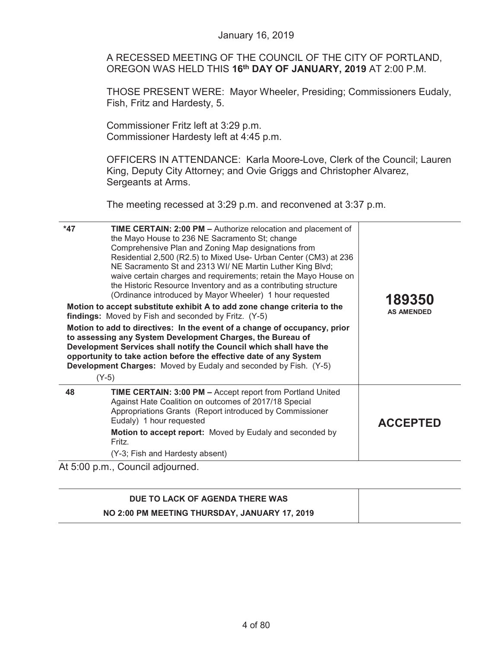|       | <b>January 16, 2019</b>                                                                                                                                                                                                                                                                                                                                                                                                                                                                                    |                   |
|-------|------------------------------------------------------------------------------------------------------------------------------------------------------------------------------------------------------------------------------------------------------------------------------------------------------------------------------------------------------------------------------------------------------------------------------------------------------------------------------------------------------------|-------------------|
|       | A RECESSED MEETING OF THE COUNCIL OF THE CITY OF PORTLAND,<br>OREGON WAS HELD THIS 16 <sup>th</sup> DAY OF JANUARY, 2019 AT 2:00 P.M.                                                                                                                                                                                                                                                                                                                                                                      |                   |
|       | THOSE PRESENT WERE: Mayor Wheeler, Presiding; Commissioners Eudaly,<br>Fish, Fritz and Hardesty, 5.                                                                                                                                                                                                                                                                                                                                                                                                        |                   |
|       | Commissioner Fritz left at 3:29 p.m.<br>Commissioner Hardesty left at 4:45 p.m.                                                                                                                                                                                                                                                                                                                                                                                                                            |                   |
|       | OFFICERS IN ATTENDANCE: Karla Moore-Love, Clerk of the Council; Lauren<br>King, Deputy City Attorney; and Ovie Griggs and Christopher Alvarez,<br>Sergeants at Arms.                                                                                                                                                                                                                                                                                                                                       |                   |
|       | The meeting recessed at 3:29 p.m. and reconvened at 3:37 p.m.                                                                                                                                                                                                                                                                                                                                                                                                                                              |                   |
| $*47$ | TIME CERTAIN: 2:00 PM - Authorize relocation and placement of<br>the Mayo House to 236 NE Sacramento St; change<br>Comprehensive Plan and Zoning Map designations from<br>Residential 2,500 (R2.5) to Mixed Use- Urban Center (CM3) at 236<br>NE Sacramento St and 2313 WI/ NE Martin Luther King Blvd;<br>waive certain charges and requirements; retain the Mayo House on<br>the Historic Resource Inventory and as a contributing structure<br>(Ordinance introduced by Mayor Wheeler) 1 hour requested | 189350            |
|       | Motion to accept substitute exhibit A to add zone change criteria to the<br>findings: Moved by Fish and seconded by Fritz. (Y-5)                                                                                                                                                                                                                                                                                                                                                                           | <b>AS AMENDED</b> |
|       | Motion to add to directives: In the event of a change of occupancy, prior<br>to assessing any System Development Charges, the Bureau of<br>Development Services shall notify the Council which shall have the<br>opportunity to take action before the effective date of any System<br><b>Development Charges:</b> Moved by Eudaly and seconded by Fish. (Y-5)<br>$(Y-5)$                                                                                                                                  |                   |
| 48    | TIME CERTAIN: 3:00 PM - Accept report from Portland United<br>Against Hate Coalition on outcomes of 2017/18 Special<br>Appropriations Grants (Report introduced by Commissioner<br>Eudaly) 1 hour requested                                                                                                                                                                                                                                                                                                | <b>ACCEPTED</b>   |
|       | Motion to accept report: Moved by Eudaly and seconded by<br>Fritz.                                                                                                                                                                                                                                                                                                                                                                                                                                         |                   |
|       | (Y-3; Fish and Hardesty absent)                                                                                                                                                                                                                                                                                                                                                                                                                                                                            |                   |

| DUE TO LACK OF AGENDA THERE WAS               |  |
|-----------------------------------------------|--|
| NO 2:00 PM MEETING THURSDAY, JANUARY 17, 2019 |  |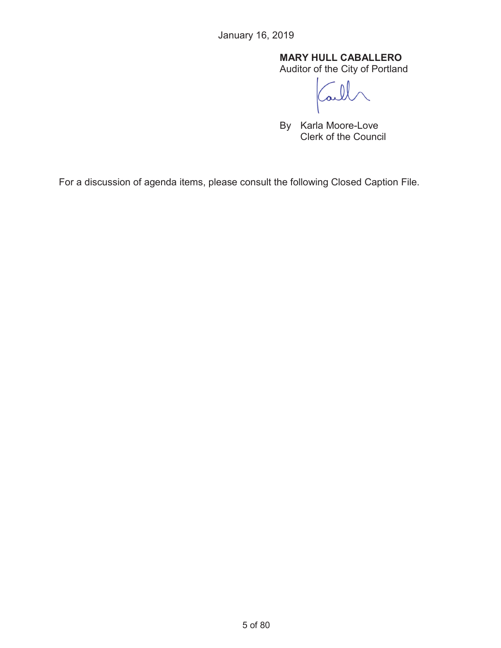## **MARY HULL CABALLERO**

Auditor of the City of Portland

By Karla Moore-Love Clerk of the Council

For a discussion of agenda items, please consult the following Closed Caption File.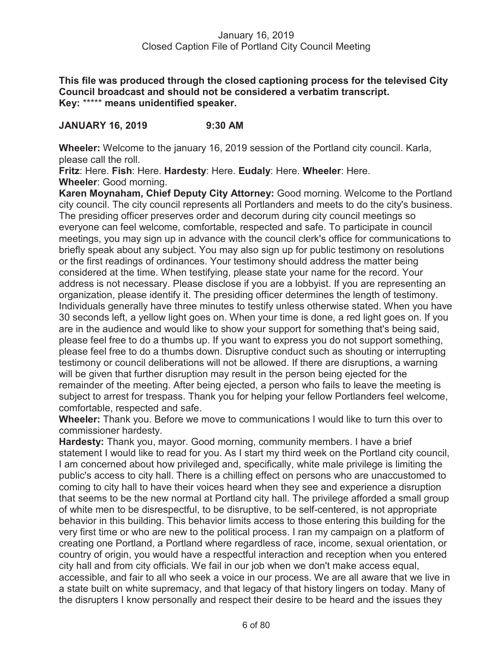**This file was produced through the closed captioning process for the televised City Council broadcast and should not be considered a verbatim transcript. Key:** \*\*\*\*\* **means unidentified speaker.** 

## **JANUARY 16, 2019 9:30 AM**

**Wheeler:** Welcome to the january 16, 2019 session of the Portland city council. Karla, please call the roll.

**Fritz**: Here. **Fish**: Here. **Hardesty**: Here. **Eudaly**: Here. **Wheeler**: Here. **Wheeler**: Good morning.

**Karen Moynaham, Chief Deputy City Attorney:** Good morning. Welcome to the Portland city council. The city council represents all Portlanders and meets to do the city's business. The presiding officer preserves order and decorum during city council meetings so everyone can feel welcome, comfortable, respected and safe. To participate in council meetings, you may sign up in advance with the council clerk's office for communications to briefly speak about any subject. You may also sign up for public testimony on resolutions or the first readings of ordinances. Your testimony should address the matter being considered at the time. When testifying, please state your name for the record. Your address is not necessary. Please disclose if you are a lobbyist. If you are representing an organization, please identify it. The presiding officer determines the length of testimony. Individuals generally have three minutes to testify unless otherwise stated. When you have 30 seconds left, a yellow light goes on. When your time is done, a red light goes on. If you are in the audience and would like to show your support for something that's being said, please feel free to do a thumbs up. If you want to express you do not support something, please feel free to do a thumbs down. Disruptive conduct such as shouting or interrupting testimony or council deliberations will not be allowed. If there are disruptions, a warning will be given that further disruption may result in the person being ejected for the remainder of the meeting. After being ejected, a person who fails to leave the meeting is subject to arrest for trespass. Thank you for helping your fellow Portlanders feel welcome, comfortable, respected and safe.

**Wheeler:** Thank you. Before we move to communications I would like to turn this over to commissioner hardesty.

**Hardesty:** Thank you, mayor. Good morning, community members. I have a brief statement I would like to read for you. As I start my third week on the Portland city council, I am concerned about how privileged and, specifically, white male privilege is limiting the public's access to city hall. There is a chilling effect on persons who are unaccustomed to coming to city hall to have their voices heard when they see and experience a disruption that seems to be the new normal at Portland city hall. The privilege afforded a small group of white men to be disrespectful, to be disruptive, to be self-centered, is not appropriate behavior in this building. This behavior limits access to those entering this building for the very first time or who are new to the political process. I ran my campaign on a platform of creating one Portland, a Portland where regardless of race, income, sexual orientation, or country of origin, you would have a respectful interaction and reception when you entered city hall and from city officials. We fail in our job when we don't make access equal, accessible, and fair to all who seek a voice in our process. We are all aware that we live in a state built on white supremacy, and that legacy of that history lingers on today. Many of the disrupters I know personally and respect their desire to be heard and the issues they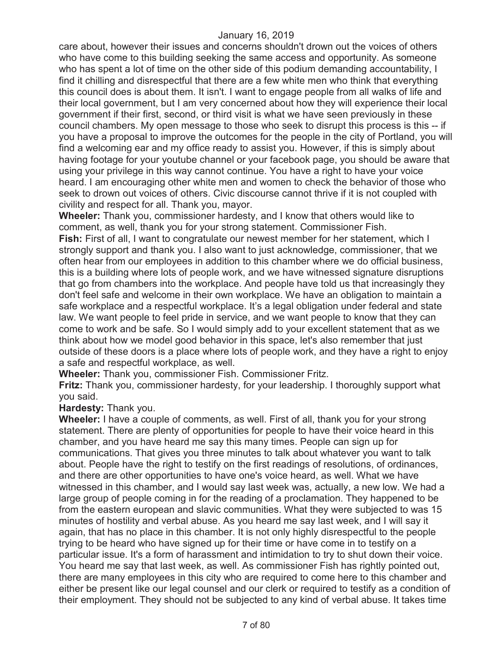care about, however their issues and concerns shouldn't drown out the voices of others who have come to this building seeking the same access and opportunity. As someone who has spent a lot of time on the other side of this podium demanding accountability, I find it chilling and disrespectful that there are a few white men who think that everything this council does is about them. It isn't. I want to engage people from all walks of life and their local government, but I am very concerned about how they will experience their local government if their first, second, or third visit is what we have seen previously in these council chambers. My open message to those who seek to disrupt this process is this -- if you have a proposal to improve the outcomes for the people in the city of Portland, you will find a welcoming ear and my office ready to assist you. However, if this is simply about having footage for your youtube channel or your facebook page, you should be aware that using your privilege in this way cannot continue. You have a right to have your voice heard. I am encouraging other white men and women to check the behavior of those who seek to drown out voices of others. Civic discourse cannot thrive if it is not coupled with civility and respect for all. Thank you, mayor.

**Wheeler:** Thank you, commissioner hardesty, and I know that others would like to comment, as well, thank you for your strong statement. Commissioner Fish. **Fish:** First of all, I want to congratulate our newest member for her statement, which I strongly support and thank you. I also want to just acknowledge, commissioner, that we often hear from our employees in addition to this chamber where we do official business, this is a building where lots of people work, and we have witnessed signature disruptions that go from chambers into the workplace. And people have told us that increasingly they don't feel safe and welcome in their own workplace. We have an obligation to maintain a safe workplace and a respectful workplace. It's a legal obligation under federal and state law. We want people to feel pride in service, and we want people to know that they can come to work and be safe. So I would simply add to your excellent statement that as we think about how we model good behavior in this space, let's also remember that just outside of these doors is a place where lots of people work, and they have a right to enjoy a safe and respectful workplace, as well.

**Wheeler:** Thank you, commissioner Fish. Commissioner Fritz.

**Fritz:** Thank you, commissioner hardesty, for your leadership. I thoroughly support what you said.

**Hardesty:** Thank you.

**Wheeler:** I have a couple of comments, as well. First of all, thank you for your strong statement. There are plenty of opportunities for people to have their voice heard in this chamber, and you have heard me say this many times. People can sign up for communications. That gives you three minutes to talk about whatever you want to talk about. People have the right to testify on the first readings of resolutions, of ordinances, and there are other opportunities to have one's voice heard, as well. What we have witnessed in this chamber, and I would say last week was, actually, a new low. We had a large group of people coming in for the reading of a proclamation. They happened to be from the eastern european and slavic communities. What they were subjected to was 15 minutes of hostility and verbal abuse. As you heard me say last week, and I will say it again, that has no place in this chamber. It is not only highly disrespectful to the people trying to be heard who have signed up for their time or have come in to testify on a particular issue. It's a form of harassment and intimidation to try to shut down their voice. You heard me say that last week, as well. As commissioner Fish has rightly pointed out, there are many employees in this city who are required to come here to this chamber and either be present like our legal counsel and our clerk or required to testify as a condition of their employment. They should not be subjected to any kind of verbal abuse. It takes time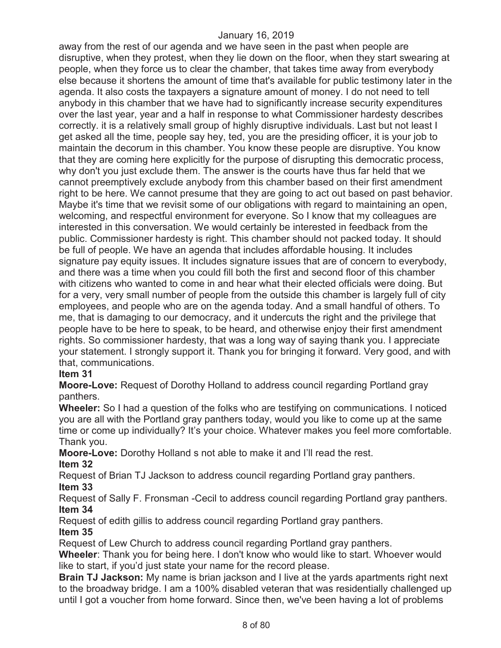away from the rest of our agenda and we have seen in the past when people are disruptive, when they protest, when they lie down on the floor, when they start swearing at people, when they force us to clear the chamber, that takes time away from everybody else because it shortens the amount of time that's available for public testimony later in the agenda. It also costs the taxpayers a signature amount of money. I do not need to tell anybody in this chamber that we have had to significantly increase security expenditures over the last year, year and a half in response to what Commissioner hardesty describes correctly. it is a relatively small group of highly disruptive individuals. Last but not least I get asked all the time, people say hey, ted, you are the presiding officer, it is your job to maintain the decorum in this chamber. You know these people are disruptive. You know that they are coming here explicitly for the purpose of disrupting this democratic process, why don't you just exclude them. The answer is the courts have thus far held that we cannot preemptively exclude anybody from this chamber based on their first amendment right to be here. We cannot presume that they are going to act out based on past behavior. Maybe it's time that we revisit some of our obligations with regard to maintaining an open, welcoming, and respectful environment for everyone. So I know that my colleagues are interested in this conversation. We would certainly be interested in feedback from the public. Commissioner hardesty is right. This chamber should not packed today. It should be full of people. We have an agenda that includes affordable housing. It includes signature pay equity issues. It includes signature issues that are of concern to everybody, and there was a time when you could fill both the first and second floor of this chamber with citizens who wanted to come in and hear what their elected officials were doing. But for a very, very small number of people from the outside this chamber is largely full of city employees, and people who are on the agenda today. And a small handful of others. To me, that is damaging to our democracy, and it undercuts the right and the privilege that people have to be here to speak, to be heard, and otherwise enjoy their first amendment rights. So commissioner hardesty, that was a long way of saying thank you. I appreciate your statement. I strongly support it. Thank you for bringing it forward. Very good, and with that, communications.

## **Item 31**

**Moore-Love:** Request of Dorothy Holland to address council regarding Portland gray panthers.

**Wheeler:** So I had a question of the folks who are testifying on communications. I noticed you are all with the Portland gray panthers today, would you like to come up at the same time or come up individually? It's your choice. Whatever makes you feel more comfortable. Thank you.

**Moore-Love:** Dorothy Holland s not able to make it and I'll read the rest.

## **Item 32**

Request of Brian TJ Jackson to address council regarding Portland gray panthers.

## **Item 33**

Request of Sally F. Fronsman -Cecil to address council regarding Portland gray panthers. **Item 34** 

Request of edith gillis to address council regarding Portland gray panthers.

## **Item 35**

Request of Lew Church to address council regarding Portland gray panthers.

**Wheeler**: Thank you for being here. I don't know who would like to start. Whoever would like to start, if you'd just state your name for the record please.

**Brain TJ Jackson:** My name is brian jackson and I live at the yards apartments right next to the broadway bridge. I am a 100% disabled veteran that was residentially challenged up until I got a voucher from home forward. Since then, we've been having a lot of problems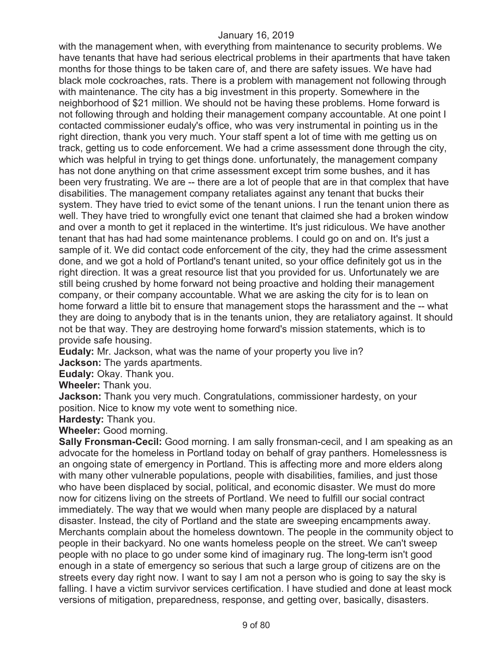with the management when, with everything from maintenance to security problems. We have tenants that have had serious electrical problems in their apartments that have taken months for those things to be taken care of, and there are safety issues. We have had black mole cockroaches, rats. There is a problem with management not following through with maintenance. The city has a big investment in this property. Somewhere in the neighborhood of \$21 million. We should not be having these problems. Home forward is not following through and holding their management company accountable. At one point I contacted commissioner eudaly's office, who was very instrumental in pointing us in the right direction, thank you very much. Your staff spent a lot of time with me getting us on track, getting us to code enforcement. We had a crime assessment done through the city, which was helpful in trying to get things done. unfortunately, the management company has not done anything on that crime assessment except trim some bushes, and it has been very frustrating. We are -- there are a lot of people that are in that complex that have disabilities. The management company retaliates against any tenant that bucks their system. They have tried to evict some of the tenant unions. I run the tenant union there as well. They have tried to wrongfully evict one tenant that claimed she had a broken window and over a month to get it replaced in the wintertime. It's just ridiculous. We have another tenant that has had had some maintenance problems. I could go on and on. It's just a sample of it. We did contact code enforcement of the city, they had the crime assessment done, and we got a hold of Portland's tenant united, so your office definitely got us in the right direction. It was a great resource list that you provided for us. Unfortunately we are still being crushed by home forward not being proactive and holding their management company, or their company accountable. What we are asking the city for is to lean on home forward a little bit to ensure that management stops the harassment and the -- what they are doing to anybody that is in the tenants union, they are retaliatory against. It should not be that way. They are destroying home forward's mission statements, which is to provide safe housing.

**Eudaly:** Mr. Jackson, what was the name of your property you live in?

**Jackson:** The yards apartments.

**Eudaly:** Okay. Thank you.

**Wheeler:** Thank you.

**Jackson:** Thank you very much. Congratulations, commissioner hardesty, on your position. Nice to know my vote went to something nice.

**Hardesty:** Thank you.

**Wheeler:** Good morning.

**Sally Fronsman-Cecil:** Good morning. I am sally fronsman-cecil, and I am speaking as an advocate for the homeless in Portland today on behalf of gray panthers. Homelessness is an ongoing state of emergency in Portland. This is affecting more and more elders along with many other vulnerable populations, people with disabilities, families, and just those who have been displaced by social, political, and economic disaster. We must do more now for citizens living on the streets of Portland. We need to fulfill our social contract immediately. The way that we would when many people are displaced by a natural disaster. Instead, the city of Portland and the state are sweeping encampments away. Merchants complain about the homeless downtown. The people in the community object to people in their backyard. No one wants homeless people on the street. We can't sweep people with no place to go under some kind of imaginary rug. The long-term isn't good enough in a state of emergency so serious that such a large group of citizens are on the streets every day right now. I want to say I am not a person who is going to say the sky is falling. I have a victim survivor services certification. I have studied and done at least mock versions of mitigation, preparedness, response, and getting over, basically, disasters.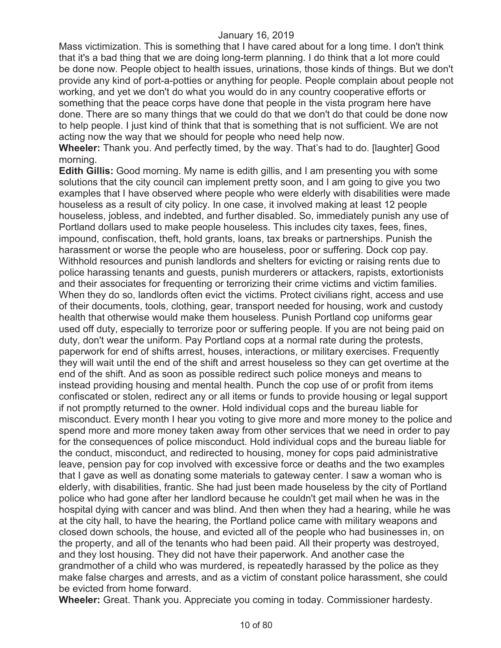Mass victimization. This is something that I have cared about for a long time. I don't think that it's a bad thing that we are doing long-term planning. I do think that a lot more could be done now. People object to health issues, urinations, those kinds of things. But we don't provide any kind of port-a-potties or anything for people. People complain about people not working, and yet we don't do what you would do in any country cooperative efforts or something that the peace corps have done that people in the vista program here have done. There are so many things that we could do that we don't do that could be done now to help people. I just kind of think that that is something that is not sufficient. We are not acting now the way that we should for people who need help now.

**Wheeler:** Thank you. And perfectly timed, by the way. That's had to do. [laughter] Good morning.

**Edith Gillis:** Good morning. My name is edith gillis, and I am presenting you with some solutions that the city council can implement pretty soon, and I am going to give you two examples that I have observed where people who were elderly with disabilities were made houseless as a result of city policy. In one case, it involved making at least 12 people houseless, jobless, and indebted, and further disabled. So, immediately punish any use of Portland dollars used to make people houseless. This includes city taxes, fees, fines, impound, confiscation, theft, hold grants, loans, tax breaks or partnerships. Punish the harassment or worse the people who are houseless, poor or suffering. Dock cop pay. Withhold resources and punish landlords and shelters for evicting or raising rents due to police harassing tenants and guests, punish murderers or attackers, rapists, extortionists and their associates for frequenting or terrorizing their crime victims and victim families. When they do so, landlords often evict the victims. Protect civilians right, access and use of their documents, tools, clothing, gear, transport needed for housing, work and custody health that otherwise would make them houseless. Punish Portland cop uniforms gear used off duty, especially to terrorize poor or suffering people. If you are not being paid on duty, don't wear the uniform. Pay Portland cops at a normal rate during the protests, paperwork for end of shifts arrest, houses, interactions, or military exercises. Frequently they will wait until the end of the shift and arrest houseless so they can get overtime at the end of the shift. And as soon as possible redirect such police moneys and means to instead providing housing and mental health. Punch the cop use of or profit from items confiscated or stolen, redirect any or all items or funds to provide housing or legal support if not promptly returned to the owner. Hold individual cops and the bureau liable for misconduct. Every month I hear you voting to give more and more money to the police and spend more and more money taken away from other services that we need in order to pay for the consequences of police misconduct. Hold individual cops and the bureau liable for the conduct, misconduct, and redirected to housing, money for cops paid administrative leave, pension pay for cop involved with excessive force or deaths and the two examples that I gave as well as donating some materials to gateway center. I saw a woman who is elderly, with disabilities, frantic. She had just been made houseless by the city of Portland police who had gone after her landlord because he couldn't get mail when he was in the hospital dying with cancer and was blind. And then when they had a hearing, while he was at the city hall, to have the hearing, the Portland police came with military weapons and closed down schools, the house, and evicted all of the people who had businesses in, on the property, and all of the tenants who had been paid. All their property was destroyed, and they lost housing. They did not have their paperwork. And another case the grandmother of a child who was murdered, is repeatedly harassed by the police as they make false charges and arrests, and as a victim of constant police harassment, she could be evicted from home forward.

**Wheeler:** Great. Thank you. Appreciate you coming in today. Commissioner hardesty.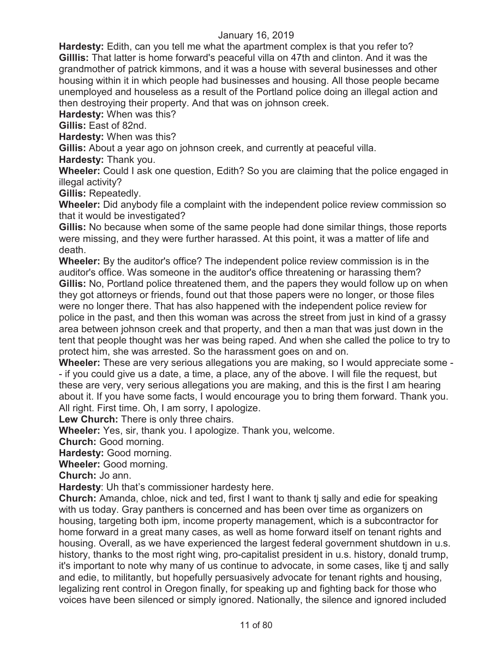**Hardesty:** Edith, can you tell me what the apartment complex is that you refer to? **Gilllis:** That latter is home forward's peaceful villa on 47th and clinton. And it was the grandmother of patrick kimmons, and it was a house with several businesses and other housing within it in which people had businesses and housing. All those people became unemployed and houseless as a result of the Portland police doing an illegal action and then destroying their property. And that was on johnson creek.

**Hardesty:** When was this?

**Gillis:** East of 82nd.

**Hardesty:** When was this?

**Gillis:** About a year ago on johnson creek, and currently at peaceful villa.

**Hardesty:** Thank you.

**Wheeler:** Could I ask one question, Edith? So you are claiming that the police engaged in illegal activity?

**Gillis:** Repeatedly.

**Wheeler:** Did anybody file a complaint with the independent police review commission so that it would be investigated?

**Gillis:** No because when some of the same people had done similar things, those reports were missing, and they were further harassed. At this point, it was a matter of life and death.

**Wheeler:** By the auditor's office? The independent police review commission is in the auditor's office. Was someone in the auditor's office threatening or harassing them? **Gillis:** No, Portland police threatened them, and the papers they would follow up on when they got attorneys or friends, found out that those papers were no longer, or those files were no longer there. That has also happened with the independent police review for police in the past, and then this woman was across the street from just in kind of a grassy area between johnson creek and that property, and then a man that was just down in the tent that people thought was her was being raped. And when she called the police to try to protect him, she was arrested. So the harassment goes on and on.

**Wheeler:** These are very serious allegations you are making, so I would appreciate some - - if you could give us a date, a time, a place, any of the above. I will file the request, but these are very, very serious allegations you are making, and this is the first I am hearing about it. If you have some facts, I would encourage you to bring them forward. Thank you. All right. First time. Oh, I am sorry, I apologize.

**Lew Church:** There is only three chairs.

**Wheeler:** Yes, sir, thank you. I apologize. Thank you, welcome.

**Church:** Good morning.

**Hardesty:** Good morning.

**Wheeler:** Good morning.

**Church:** Jo ann.

**Hardesty**: Uh that's commissioner hardesty here.

**Church:** Amanda, chloe, nick and ted, first I want to thank tj sally and edie for speaking with us today. Gray panthers is concerned and has been over time as organizers on housing, targeting both ipm, income property management, which is a subcontractor for home forward in a great many cases, as well as home forward itself on tenant rights and housing. Overall, as we have experienced the largest federal government shutdown in u.s. history, thanks to the most right wing, pro-capitalist president in u.s. history, donald trump, it's important to note why many of us continue to advocate, in some cases, like tj and sally and edie, to militantly, but hopefully persuasively advocate for tenant rights and housing, legalizing rent control in Oregon finally, for speaking up and fighting back for those who voices have been silenced or simply ignored. Nationally, the silence and ignored included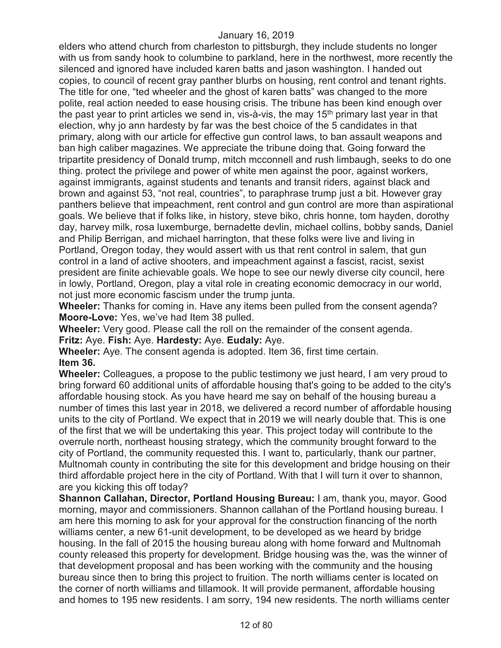elders who attend church from charleston to pittsburgh, they include students no longer with us from sandy hook to columbine to parkland, here in the northwest, more recently the silenced and ignored have included karen batts and jason washington. I handed out copies, to council of recent gray panther blurbs on housing, rent control and tenant rights. The title for one, "ted wheeler and the ghost of karen batts" was changed to the more polite, real action needed to ease housing crisis. The tribune has been kind enough over the past year to print articles we send in, vis-à-vis, the may  $15<sup>th</sup>$  primary last year in that election, why jo ann hardesty by far was the best choice of the 5 candidates in that primary, along with our article for effective gun control laws, to ban assault weapons and ban high caliber magazines. We appreciate the tribune doing that. Going forward the tripartite presidency of Donald trump, mitch mcconnell and rush limbaugh, seeks to do one thing. protect the privilege and power of white men against the poor, against workers, against immigrants, against students and tenants and transit riders, against black and brown and against 53, "not real, countries", to paraphrase trump just a bit. However gray panthers believe that impeachment, rent control and gun control are more than aspirational goals. We believe that if folks like, in history, steve biko, chris honne, tom hayden, dorothy day, harvey milk, rosa luxemburge, bernadette devlin, michael collins, bobby sands, Daniel and Philip Berrigan, and michael harrington, that these folks were live and living in Portland, Oregon today, they would assert with us that rent control in salem, that gun control in a land of active shooters, and impeachment against a fascist, racist, sexist president are finite achievable goals. We hope to see our newly diverse city council, here in lowly, Portland, Oregon, play a vital role in creating economic democracy in our world, not just more economic fascism under the trump junta.

**Wheeler:** Thanks for coming in. Have any items been pulled from the consent agenda? **Moore-Love:** Yes, we've had Item 38 pulled.

**Wheeler:** Very good. Please call the roll on the remainder of the consent agenda. **Fritz:** Aye. **Fish:** Aye. **Hardesty:** Aye. **Eudaly:** Aye.

**Wheeler:** Aye. The consent agenda is adopted. Item 36, first time certain. **Item 36.**

**Wheeler:** Colleagues, a propose to the public testimony we just heard, I am very proud to bring forward 60 additional units of affordable housing that's going to be added to the city's affordable housing stock. As you have heard me say on behalf of the housing bureau a number of times this last year in 2018, we delivered a record number of affordable housing units to the city of Portland. We expect that in 2019 we will nearly double that. This is one of the first that we will be undertaking this year. This project today will contribute to the overrule north, northeast housing strategy, which the community brought forward to the city of Portland, the community requested this. I want to, particularly, thank our partner, Multnomah county in contributing the site for this development and bridge housing on their third affordable project here in the city of Portland. With that I will turn it over to shannon, are you kicking this off today?

**Shannon Callahan, Director, Portland Housing Bureau:** I am, thank you, mayor. Good morning, mayor and commissioners. Shannon callahan of the Portland housing bureau. I am here this morning to ask for your approval for the construction financing of the north williams center, a new 61-unit development, to be developed as we heard by bridge housing. In the fall of 2015 the housing bureau along with home forward and Multnomah county released this property for development. Bridge housing was the, was the winner of that development proposal and has been working with the community and the housing bureau since then to bring this project to fruition. The north williams center is located on the corner of north williams and tillamook. It will provide permanent, affordable housing and homes to 195 new residents. I am sorry, 194 new residents. The north williams center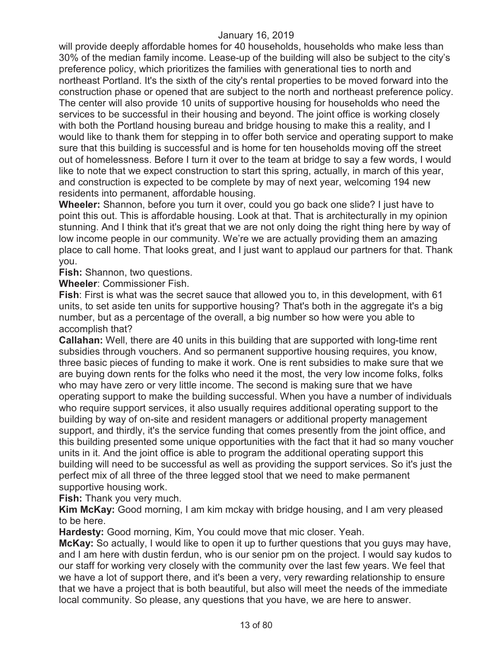will provide deeply affordable homes for 40 households, households who make less than 30% of the median family income. Lease-up of the building will also be subject to the city's preference policy, which prioritizes the families with generational ties to north and northeast Portland. It's the sixth of the city's rental properties to be moved forward into the construction phase or opened that are subject to the north and northeast preference policy. The center will also provide 10 units of supportive housing for households who need the services to be successful in their housing and beyond. The joint office is working closely with both the Portland housing bureau and bridge housing to make this a reality, and I would like to thank them for stepping in to offer both service and operating support to make sure that this building is successful and is home for ten households moving off the street out of homelessness. Before I turn it over to the team at bridge to say a few words, I would like to note that we expect construction to start this spring, actually, in march of this year, and construction is expected to be complete by may of next year, welcoming 194 new residents into permanent, affordable housing.

**Wheeler:** Shannon, before you turn it over, could you go back one slide? I just have to point this out. This is affordable housing. Look at that. That is architecturally in my opinion stunning. And I think that it's great that we are not only doing the right thing here by way of low income people in our community. We're we are actually providing them an amazing place to call home. That looks great, and I just want to applaud our partners for that. Thank you.

**Fish:** Shannon, two questions.

**Wheeler**: Commissioner Fish.

**Fish**: First is what was the secret sauce that allowed you to, in this development, with 61 units, to set aside ten units for supportive housing? That's both in the aggregate it's a big number, but as a percentage of the overall, a big number so how were you able to accomplish that?

**Callahan:** Well, there are 40 units in this building that are supported with long-time rent subsidies through vouchers. And so permanent supportive housing requires, you know, three basic pieces of funding to make it work. One is rent subsidies to make sure that we are buying down rents for the folks who need it the most, the very low income folks, folks who may have zero or very little income. The second is making sure that we have operating support to make the building successful. When you have a number of individuals who require support services, it also usually requires additional operating support to the building by way of on-site and resident managers or additional property management support, and thirdly, it's the service funding that comes presently from the joint office, and this building presented some unique opportunities with the fact that it had so many voucher units in it. And the joint office is able to program the additional operating support this building will need to be successful as well as providing the support services. So it's just the perfect mix of all three of the three legged stool that we need to make permanent supportive housing work.

**Fish:** Thank you very much.

**Kim McKay:** Good morning, I am kim mckay with bridge housing, and I am very pleased to be here.

**Hardesty:** Good morning, Kim, You could move that mic closer. Yeah.

**McKay:** So actually, I would like to open it up to further questions that you guys may have, and I am here with dustin ferdun, who is our senior pm on the project. I would say kudos to our staff for working very closely with the community over the last few years. We feel that we have a lot of support there, and it's been a very, very rewarding relationship to ensure that we have a project that is both beautiful, but also will meet the needs of the immediate local community. So please, any questions that you have, we are here to answer.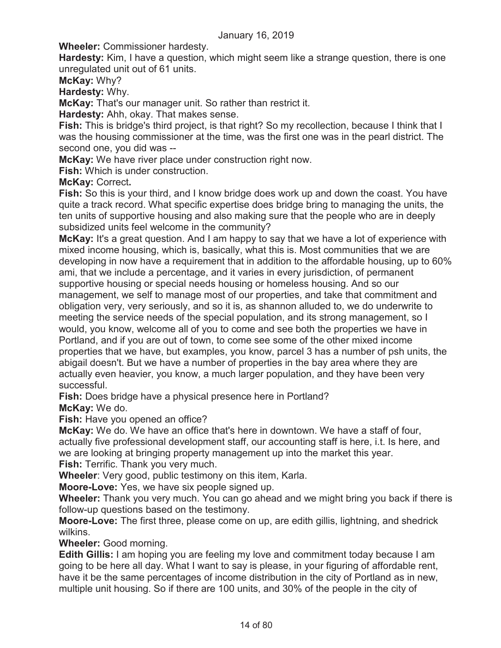**Wheeler:** Commissioner hardesty.

**Hardesty:** Kim, I have a question, which might seem like a strange question, there is one unregulated unit out of 61 units.

**McKay:** Why?

**Hardesty:** Why.

**McKay:** That's our manager unit. So rather than restrict it.

**Hardesty:** Ahh, okay. That makes sense.

**Fish:** This is bridge's third project, is that right? So my recollection, because I think that I was the housing commissioner at the time, was the first one was in the pearl district. The second one, you did was --

**McKay:** We have river place under construction right now.

**Fish:** Which is under construction.

**McKay:** Correct**.** 

**Fish:** So this is your third, and I know bridge does work up and down the coast. You have quite a track record. What specific expertise does bridge bring to managing the units, the ten units of supportive housing and also making sure that the people who are in deeply subsidized units feel welcome in the community?

**McKay:** It's a great question. And I am happy to say that we have a lot of experience with mixed income housing, which is, basically, what this is. Most communities that we are developing in now have a requirement that in addition to the affordable housing, up to 60% ami, that we include a percentage, and it varies in every jurisdiction, of permanent supportive housing or special needs housing or homeless housing. And so our management, we self to manage most of our properties, and take that commitment and obligation very, very seriously, and so it is, as shannon alluded to, we do underwrite to meeting the service needs of the special population, and its strong management, so I would, you know, welcome all of you to come and see both the properties we have in Portland, and if you are out of town, to come see some of the other mixed income properties that we have, but examples, you know, parcel 3 has a number of psh units, the abigail doesn't. But we have a number of properties in the bay area where they are actually even heavier, you know, a much larger population, and they have been very successful.

**Fish:** Does bridge have a physical presence here in Portland? **McKay:** We do.

**Fish:** Have you opened an office?

**McKay:** We do. We have an office that's here in downtown. We have a staff of four, actually five professional development staff, our accounting staff is here, i.t. Is here, and we are looking at bringing property management up into the market this year. **Fish:** Terrific. Thank you very much.

**Wheeler**: Very good, public testimony on this item, Karla.

**Moore-Love:** Yes, we have six people signed up.

**Wheeler:** Thank you very much. You can go ahead and we might bring you back if there is follow-up questions based on the testimony.

**Moore-Love:** The first three, please come on up, are edith gillis, lightning, and shedrick wilkins.

**Wheeler:** Good morning.

**Edith Gillis:** I am hoping you are feeling my love and commitment today because I am going to be here all day. What I want to say is please, in your figuring of affordable rent, have it be the same percentages of income distribution in the city of Portland as in new, multiple unit housing. So if there are 100 units, and 30% of the people in the city of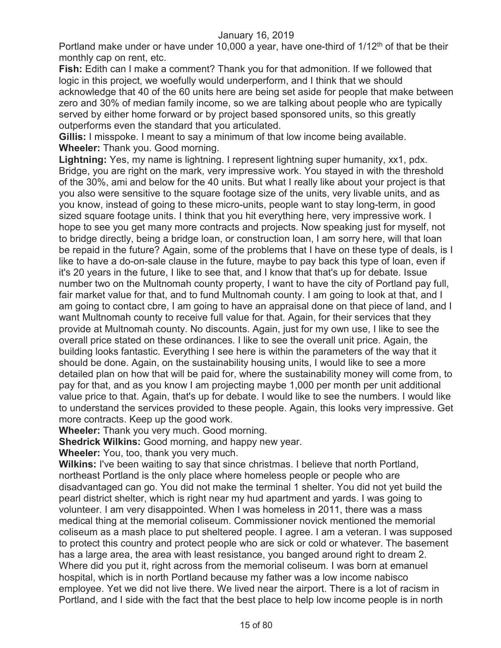Portland make under or have under 10,000 a year, have one-third of  $1/12<sup>th</sup>$  of that be their monthly cap on rent, etc.

**Fish:** Edith can I make a comment? Thank you for that admonition. If we followed that logic in this project, we woefully would underperform, and I think that we should acknowledge that 40 of the 60 units here are being set aside for people that make between zero and 30% of median family income, so we are talking about people who are typically served by either home forward or by project based sponsored units, so this greatly outperforms even the standard that you articulated.

**Gillis:** I misspoke. I meant to say a minimum of that low income being available. **Wheeler:** Thank you. Good morning.

**Lightning:** Yes, my name is lightning. I represent lightning super humanity, xx1, pdx. Bridge, you are right on the mark, very impressive work. You stayed in with the threshold of the 30%, ami and below for the 40 units. But what I really like about your project is that you also were sensitive to the square footage size of the units, very livable units, and as you know, instead of going to these micro-units, people want to stay long-term, in good sized square footage units. I think that you hit everything here, very impressive work. I hope to see you get many more contracts and projects. Now speaking just for myself, not to bridge directly, being a bridge loan, or construction loan, I am sorry here, will that loan be repaid in the future? Again, some of the problems that I have on these type of deals, is I like to have a do-on-sale clause in the future, maybe to pay back this type of loan, even if it's 20 years in the future, I like to see that, and I know that that's up for debate. Issue number two on the Multnomah county property, I want to have the city of Portland pay full, fair market value for that, and to fund Multnomah county. I am going to look at that, and I am going to contact cbre, I am going to have an appraisal done on that piece of land, and I want Multnomah county to receive full value for that. Again, for their services that they provide at Multnomah county. No discounts. Again, just for my own use, I like to see the overall price stated on these ordinances. I like to see the overall unit price. Again, the building looks fantastic. Everything I see here is within the parameters of the way that it should be done. Again, on the sustainability housing units, I would like to see a more detailed plan on how that will be paid for, where the sustainability money will come from, to pay for that, and as you know I am projecting maybe 1,000 per month per unit additional value price to that. Again, that's up for debate. I would like to see the numbers. I would like to understand the services provided to these people. Again, this looks very impressive. Get more contracts. Keep up the good work.

**Wheeler:** Thank you very much. Good morning.

**Shedrick Wilkins:** Good morning, and happy new year.

**Wheeler:** You, too, thank you very much.

**Wilkins:** I've been waiting to say that since christmas. I believe that north Portland, northeast Portland is the only place where homeless people or people who are disadvantaged can go. You did not make the terminal 1 shelter. You did not yet build the pearl district shelter, which is right near my hud apartment and yards. I was going to volunteer. I am very disappointed. When I was homeless in 2011, there was a mass medical thing at the memorial coliseum. Commissioner novick mentioned the memorial coliseum as a mash place to put sheltered people. I agree. I am a veteran. I was supposed to protect this country and protect people who are sick or cold or whatever. The basement has a large area, the area with least resistance, you banged around right to dream 2. Where did you put it, right across from the memorial coliseum. I was born at emanuel hospital, which is in north Portland because my father was a low income nabisco employee. Yet we did not live there. We lived near the airport. There is a lot of racism in Portland, and I side with the fact that the best place to help low income people is in north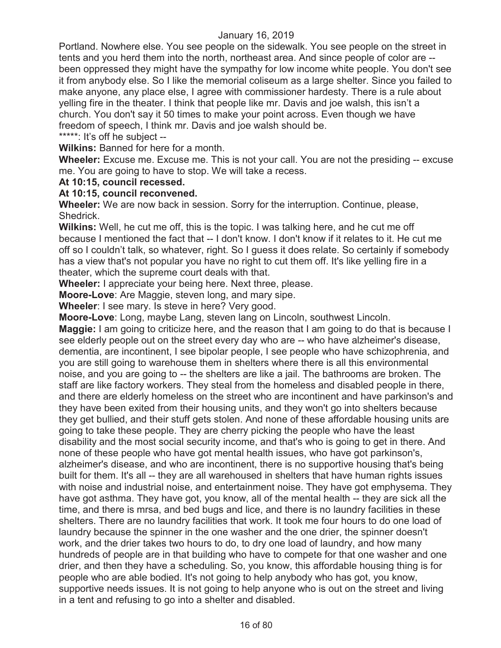Portland. Nowhere else. You see people on the sidewalk. You see people on the street in tents and you herd them into the north, northeast area. And since people of color are - been oppressed they might have the sympathy for low income white people. You don't see it from anybody else. So I like the memorial coliseum as a large shelter. Since you failed to make anyone, any place else, I agree with commissioner hardesty. There is a rule about yelling fire in the theater. I think that people like mr. Davis and joe walsh, this isn't a church. You don't say it 50 times to make your point across. Even though we have freedom of speech, I think mr. Davis and joe walsh should be.

\*\*\*\*\*: It's off he subject --

**Wilkins:** Banned for here for a month.

**Wheeler:** Excuse me. Excuse me. This is not your call. You are not the presiding -- excuse me. You are going to have to stop. We will take a recess.

#### **At 10:15, council recessed.**

#### **At 10:15, council reconvened.**

**Wheeler:** We are now back in session. Sorry for the interruption. Continue, please, Shedrick.

**Wilkins:** Well, he cut me off, this is the topic. I was talking here, and he cut me off because I mentioned the fact that -- I don't know. I don't know if it relates to it. He cut me off so I couldn't talk, so whatever, right. So I guess it does relate. So certainly if somebody has a view that's not popular you have no right to cut them off. It's like yelling fire in a theater, which the supreme court deals with that.

**Wheeler:** I appreciate your being here. Next three, please.

**Moore-Love**: Are Maggie, steven long, and mary sipe.

**Wheeler**: I see mary. Is steve in here? Very good.

**Moore-Love**: Long, maybe Lang, steven lang on Lincoln, southwest Lincoln.

**Maggie:** I am going to criticize here, and the reason that I am going to do that is because I see elderly people out on the street every day who are -- who have alzheimer's disease, dementia, are incontinent, I see bipolar people, I see people who have schizophrenia, and you are still going to warehouse them in shelters where there is all this environmental noise, and you are going to -- the shelters are like a jail. The bathrooms are broken. The staff are like factory workers. They steal from the homeless and disabled people in there, and there are elderly homeless on the street who are incontinent and have parkinson's and they have been exited from their housing units, and they won't go into shelters because they get bullied, and their stuff gets stolen. And none of these affordable housing units are going to take these people. They are cherry picking the people who have the least disability and the most social security income, and that's who is going to get in there. And none of these people who have got mental health issues, who have got parkinson's, alzheimer's disease, and who are incontinent, there is no supportive housing that's being built for them. It's all -- they are all warehoused in shelters that have human rights issues with noise and industrial noise, and entertainment noise. They have got emphysema. They have got asthma. They have got, you know, all of the mental health -- they are sick all the time, and there is mrsa, and bed bugs and lice, and there is no laundry facilities in these shelters. There are no laundry facilities that work. It took me four hours to do one load of laundry because the spinner in the one washer and the one drier, the spinner doesn't work, and the drier takes two hours to do, to dry one load of laundry, and how many hundreds of people are in that building who have to compete for that one washer and one drier, and then they have a scheduling. So, you know, this affordable housing thing is for people who are able bodied. It's not going to help anybody who has got, you know, supportive needs issues. It is not going to help anyone who is out on the street and living in a tent and refusing to go into a shelter and disabled.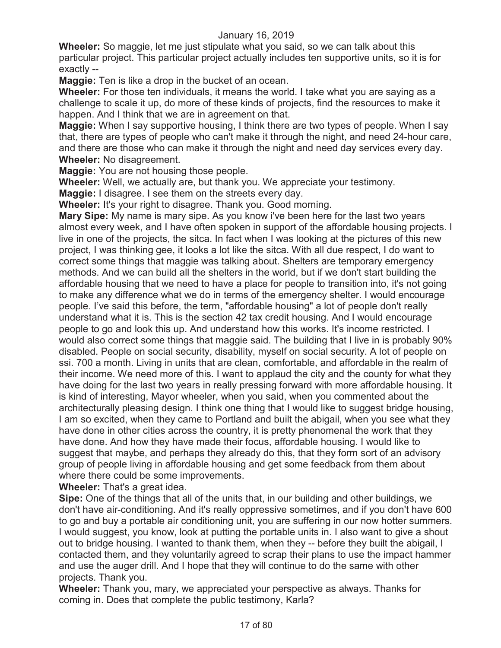**Wheeler:** So maggie, let me just stipulate what you said, so we can talk about this particular project. This particular project actually includes ten supportive units, so it is for exactly --

**Maggie:** Ten is like a drop in the bucket of an ocean.

**Wheeler:** For those ten individuals, it means the world. I take what you are saying as a challenge to scale it up, do more of these kinds of projects, find the resources to make it happen. And I think that we are in agreement on that.

**Maggie:** When I say supportive housing, I think there are two types of people. When I say that, there are types of people who can't make it through the night, and need 24-hour care, and there are those who can make it through the night and need day services every day. **Wheeler:** No disagreement.

**Maggie:** You are not housing those people.

**Wheeler:** Well, we actually are, but thank you. We appreciate your testimony.

**Maggie:** I disagree. I see them on the streets every day.

**Wheeler:** It's your right to disagree. Thank you. Good morning.

**Mary Sipe:** My name is mary sipe. As you know i've been here for the last two years almost every week, and I have often spoken in support of the affordable housing projects. I live in one of the projects, the sitca. In fact when I was looking at the pictures of this new project, I was thinking gee, it looks a lot like the sitca. With all due respect, I do want to correct some things that maggie was talking about. Shelters are temporary emergency methods. And we can build all the shelters in the world, but if we don't start building the affordable housing that we need to have a place for people to transition into, it's not going to make any difference what we do in terms of the emergency shelter. I would encourage people. I've said this before, the term, "affordable housing" a lot of people don't really understand what it is. This is the section 42 tax credit housing. And I would encourage people to go and look this up. And understand how this works. It's income restricted. I would also correct some things that maggie said. The building that I live in is probably 90% disabled. People on social security, disability, myself on social security. A lot of people on ssi. 700 a month. Living in units that are clean, comfortable, and affordable in the realm of their income. We need more of this. I want to applaud the city and the county for what they have doing for the last two years in really pressing forward with more affordable housing. It is kind of interesting, Mayor wheeler, when you said, when you commented about the architecturally pleasing design. I think one thing that I would like to suggest bridge housing, I am so excited, when they came to Portland and built the abigail, when you see what they have done in other cities across the country, it is pretty phenomenal the work that they have done. And how they have made their focus, affordable housing. I would like to suggest that maybe, and perhaps they already do this, that they form sort of an advisory group of people living in affordable housing and get some feedback from them about where there could be some improvements.

**Wheeler:** That's a great idea.

**Sipe:** One of the things that all of the units that, in our building and other buildings, we don't have air-conditioning. And it's really oppressive sometimes, and if you don't have 600 to go and buy a portable air conditioning unit, you are suffering in our now hotter summers. I would suggest, you know, look at putting the portable units in. I also want to give a shout out to bridge housing. I wanted to thank them, when they -- before they built the abigail, I contacted them, and they voluntarily agreed to scrap their plans to use the impact hammer and use the auger drill. And I hope that they will continue to do the same with other projects. Thank you.

**Wheeler:** Thank you, mary, we appreciated your perspective as always. Thanks for coming in. Does that complete the public testimony, Karla?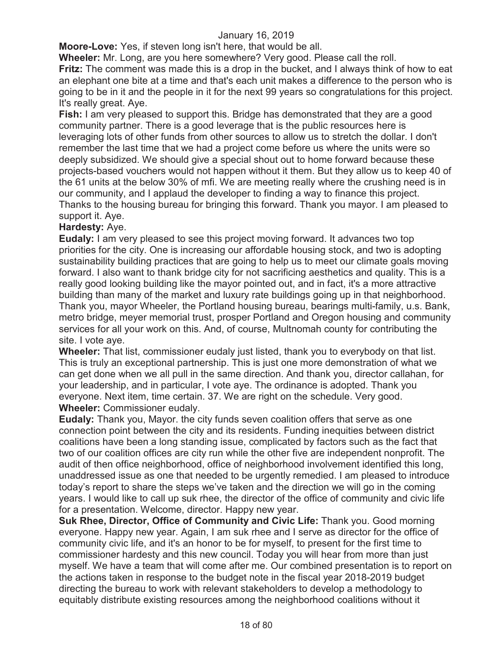**Moore-Love:** Yes, if steven long isn't here, that would be all.

**Wheeler:** Mr. Long, are you here somewhere? Very good. Please call the roll.

**Fritz:** The comment was made this is a drop in the bucket, and I always think of how to eat an elephant one bite at a time and that's each unit makes a difference to the person who is going to be in it and the people in it for the next 99 years so congratulations for this project. It's really great. Aye.

**Fish:** I am very pleased to support this. Bridge has demonstrated that they are a good community partner. There is a good leverage that is the public resources here is leveraging lots of other funds from other sources to allow us to stretch the dollar. I don't remember the last time that we had a project come before us where the units were so deeply subsidized. We should give a special shout out to home forward because these projects-based vouchers would not happen without it them. But they allow us to keep 40 of the 61 units at the below 30% of mfi. We are meeting really where the crushing need is in our community, and I applaud the developer to finding a way to finance this project. Thanks to the housing bureau for bringing this forward. Thank you mayor. I am pleased to support it. Aye.

## **Hardesty:** Aye.

**Eudaly:** I am very pleased to see this project moving forward. It advances two top priorities for the city. One is increasing our affordable housing stock, and two is adopting sustainability building practices that are going to help us to meet our climate goals moving forward. I also want to thank bridge city for not sacrificing aesthetics and quality. This is a really good looking building like the mayor pointed out, and in fact, it's a more attractive building than many of the market and luxury rate buildings going up in that neighborhood. Thank you, mayor Wheeler, the Portland housing bureau, bearings multi-family, u.s. Bank, metro bridge, meyer memorial trust, prosper Portland and Oregon housing and community services for all your work on this. And, of course, Multnomah county for contributing the site. I vote aye.

**Wheeler:** That list, commissioner eudaly just listed, thank you to everybody on that list. This is truly an exceptional partnership. This is just one more demonstration of what we can get done when we all pull in the same direction. And thank you, director callahan, for your leadership, and in particular, I vote aye. The ordinance is adopted. Thank you everyone. Next item, time certain. 37. We are right on the schedule. Very good. **Wheeler:** Commissioner eudaly.

**Eudaly:** Thank you, Mayor. the city funds seven coalition offers that serve as one connection point between the city and its residents. Funding inequities between district coalitions have been a long standing issue, complicated by factors such as the fact that two of our coalition offices are city run while the other five are independent nonprofit. The audit of then office neighborhood, office of neighborhood involvement identified this long, unaddressed issue as one that needed to be urgently remedied. I am pleased to introduce today's report to share the steps we've taken and the direction we will go in the coming years. I would like to call up suk rhee, the director of the office of community and civic life for a presentation. Welcome, director. Happy new year.

**Suk Rhee, Director, Office of Community and Civic Life: Thank you. Good morning** everyone. Happy new year. Again, I am suk rhee and I serve as director for the office of community civic life, and it's an honor to be for myself, to present for the first time to commissioner hardesty and this new council. Today you will hear from more than just myself. We have a team that will come after me. Our combined presentation is to report on the actions taken in response to the budget note in the fiscal year 2018-2019 budget directing the bureau to work with relevant stakeholders to develop a methodology to equitably distribute existing resources among the neighborhood coalitions without it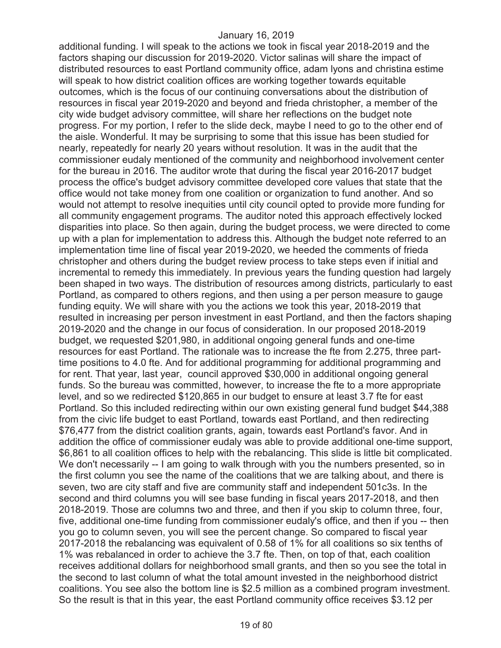additional funding. I will speak to the actions we took in fiscal year 2018-2019 and the factors shaping our discussion for 2019-2020. Victor salinas will share the impact of distributed resources to east Portland community office, adam lyons and christina estime will speak to how district coalition offices are working together towards equitable outcomes, which is the focus of our continuing conversations about the distribution of resources in fiscal year 2019-2020 and beyond and frieda christopher, a member of the city wide budget advisory committee, will share her reflections on the budget note progress. For my portion, I refer to the slide deck, maybe I need to go to the other end of the aisle. Wonderful. It may be surprising to some that this issue has been studied for nearly, repeatedly for nearly 20 years without resolution. It was in the audit that the commissioner eudaly mentioned of the community and neighborhood involvement center for the bureau in 2016. The auditor wrote that during the fiscal year 2016-2017 budget process the office's budget advisory committee developed core values that state that the office would not take money from one coalition or organization to fund another. And so would not attempt to resolve inequities until city council opted to provide more funding for all community engagement programs. The auditor noted this approach effectively locked disparities into place. So then again, during the budget process, we were directed to come up with a plan for implementation to address this. Although the budget note referred to an implementation time line of fiscal year 2019-2020, we heeded the comments of frieda christopher and others during the budget review process to take steps even if initial and incremental to remedy this immediately. In previous years the funding question had largely been shaped in two ways. The distribution of resources among districts, particularly to east Portland, as compared to others regions, and then using a per person measure to gauge funding equity. We will share with you the actions we took this year, 2018-2019 that resulted in increasing per person investment in east Portland, and then the factors shaping 2019-2020 and the change in our focus of consideration. In our proposed 2018-2019 budget, we requested \$201,980, in additional ongoing general funds and one-time resources for east Portland. The rationale was to increase the fte from 2.275, three parttime positions to 4.0 fte. And for additional programming for additional programming and for rent. That year, last year, council approved \$30,000 in additional ongoing general funds. So the bureau was committed, however, to increase the fte to a more appropriate level, and so we redirected \$120,865 in our budget to ensure at least 3.7 fte for east Portland. So this included redirecting within our own existing general fund budget \$44,388 from the civic life budget to east Portland, towards east Portland, and then redirecting \$76,477 from the district coalition grants, again, towards east Portland's favor. And in addition the office of commissioner eudaly was able to provide additional one-time support, \$6,861 to all coalition offices to help with the rebalancing. This slide is little bit complicated. We don't necessarily -- I am going to walk through with you the numbers presented, so in the first column you see the name of the coalitions that we are talking about, and there is seven, two are city staff and five are community staff and independent 501c3s. In the second and third columns you will see base funding in fiscal years 2017-2018, and then 2018-2019. Those are columns two and three, and then if you skip to column three, four, five, additional one-time funding from commissioner eudaly's office, and then if you -- then you go to column seven, you will see the percent change. So compared to fiscal year 2017-2018 the rebalancing was equivalent of 0.58 of 1% for all coalitions so six tenths of 1% was rebalanced in order to achieve the 3.7 fte. Then, on top of that, each coalition receives additional dollars for neighborhood small grants, and then so you see the total in the second to last column of what the total amount invested in the neighborhood district coalitions. You see also the bottom line is \$2.5 million as a combined program investment. So the result is that in this year, the east Portland community office receives \$3.12 per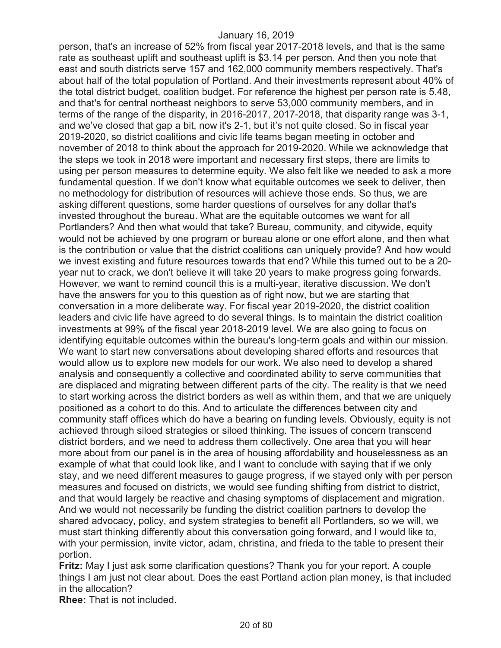person, that's an increase of 52% from fiscal year 2017-2018 levels, and that is the same rate as southeast uplift and southeast uplift is \$3.14 per person. And then you note that east and south districts serve 157 and 162,000 community members respectively. That's about half of the total population of Portland. And their investments represent about 40% of the total district budget, coalition budget. For reference the highest per person rate is 5.48, and that's for central northeast neighbors to serve 53,000 community members, and in terms of the range of the disparity, in 2016-2017, 2017-2018, that disparity range was 3-1, and we've closed that gap a bit, now it's 2-1, but it's not quite closed. So in fiscal year 2019-2020, so district coalitions and civic life teams began meeting in october and november of 2018 to think about the approach for 2019-2020. While we acknowledge that the steps we took in 2018 were important and necessary first steps, there are limits to using per person measures to determine equity. We also felt like we needed to ask a more fundamental question. If we don't know what equitable outcomes we seek to deliver, then no methodology for distribution of resources will achieve those ends. So thus, we are asking different questions, some harder questions of ourselves for any dollar that's invested throughout the bureau. What are the equitable outcomes we want for all Portlanders? And then what would that take? Bureau, community, and citywide, equity would not be achieved by one program or bureau alone or one effort alone, and then what is the contribution or value that the district coalitions can uniquely provide? And how would we invest existing and future resources towards that end? While this turned out to be a 20 year nut to crack, we don't believe it will take 20 years to make progress going forwards. However, we want to remind council this is a multi-year, iterative discussion. We don't have the answers for you to this question as of right now, but we are starting that conversation in a more deliberate way. For fiscal year 2019-2020, the district coalition leaders and civic life have agreed to do several things. Is to maintain the district coalition investments at 99% of the fiscal year 2018-2019 level. We are also going to focus on identifying equitable outcomes within the bureau's long-term goals and within our mission. We want to start new conversations about developing shared efforts and resources that would allow us to explore new models for our work. We also need to develop a shared analysis and consequently a collective and coordinated ability to serve communities that are displaced and migrating between different parts of the city. The reality is that we need to start working across the district borders as well as within them, and that we are uniquely positioned as a cohort to do this. And to articulate the differences between city and community staff offices which do have a bearing on funding levels. Obviously, equity is not achieved through siloed strategies or siloed thinking. The issues of concern transcend district borders, and we need to address them collectively. One area that you will hear more about from our panel is in the area of housing affordability and houselessness as an example of what that could look like, and I want to conclude with saying that if we only stay, and we need different measures to gauge progress, if we stayed only with per person measures and focused on districts, we would see funding shifting from district to district, and that would largely be reactive and chasing symptoms of displacement and migration. And we would not necessarily be funding the district coalition partners to develop the shared advocacy, policy, and system strategies to benefit all Portlanders, so we will, we must start thinking differently about this conversation going forward, and I would like to, with your permission, invite victor, adam, christina, and frieda to the table to present their portion.

**Fritz:** May I just ask some clarification questions? Thank you for your report. A couple things I am just not clear about. Does the east Portland action plan money, is that included in the allocation?

**Rhee:** That is not included.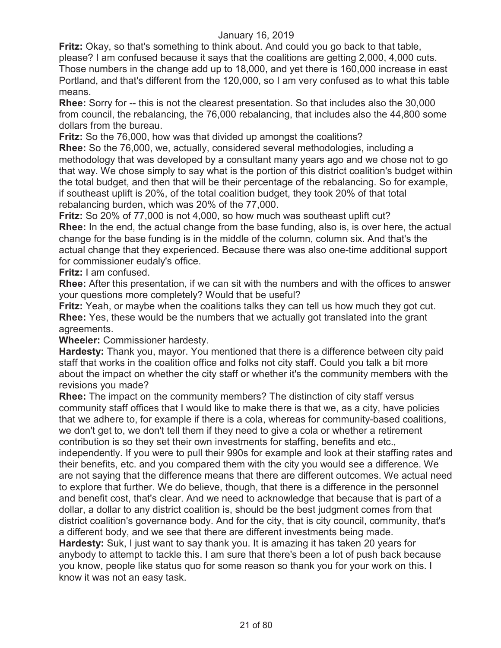**Fritz:** Okay, so that's something to think about. And could you go back to that table, please? I am confused because it says that the coalitions are getting 2,000, 4,000 cuts. Those numbers in the change add up to 18,000, and yet there is 160,000 increase in east Portland, and that's different from the 120,000, so I am very confused as to what this table means.

**Rhee:** Sorry for -- this is not the clearest presentation. So that includes also the 30,000 from council, the rebalancing, the 76,000 rebalancing, that includes also the 44,800 some dollars from the bureau.

**Fritz:** So the 76,000, how was that divided up amongst the coalitions?

**Rhee:** So the 76,000, we, actually, considered several methodologies, including a methodology that was developed by a consultant many years ago and we chose not to go that way. We chose simply to say what is the portion of this district coalition's budget within the total budget, and then that will be their percentage of the rebalancing. So for example, if southeast uplift is 20%, of the total coalition budget, they took 20% of that total rebalancing burden, which was 20% of the 77,000.

**Fritz:** So 20% of 77,000 is not 4,000, so how much was southeast uplift cut? **Rhee:** In the end, the actual change from the base funding, also is, is over here, the actual change for the base funding is in the middle of the column, column six. And that's the actual change that they experienced. Because there was also one-time additional support for commissioner eudaly's office.

**Fritz:** I am confused.

**Rhee:** After this presentation, if we can sit with the numbers and with the offices to answer your questions more completely? Would that be useful?

**Fritz:** Yeah, or maybe when the coalitions talks they can tell us how much they got cut. **Rhee:** Yes, these would be the numbers that we actually got translated into the grant agreements.

**Wheeler:** Commissioner hardesty.

**Hardesty:** Thank you, mayor. You mentioned that there is a difference between city paid staff that works in the coalition office and folks not city staff. Could you talk a bit more about the impact on whether the city staff or whether it's the community members with the revisions you made?

**Rhee:** The impact on the community members? The distinction of city staff versus community staff offices that I would like to make there is that we, as a city, have policies that we adhere to, for example if there is a cola, whereas for community-based coalitions, we don't get to, we don't tell them if they need to give a cola or whether a retirement contribution is so they set their own investments for staffing, benefits and etc.,

independently. If you were to pull their 990s for example and look at their staffing rates and their benefits, etc. and you compared them with the city you would see a difference. We are not saying that the difference means that there are different outcomes. We actual need to explore that further. We do believe, though, that there is a difference in the personnel and benefit cost, that's clear. And we need to acknowledge that because that is part of a dollar, a dollar to any district coalition is, should be the best judgment comes from that district coalition's governance body. And for the city, that is city council, community, that's a different body, and we see that there are different investments being made.

**Hardesty:** Suk, I just want to say thank you. It is amazing it has taken 20 years for anybody to attempt to tackle this. I am sure that there's been a lot of push back because you know, people like status quo for some reason so thank you for your work on this. I know it was not an easy task.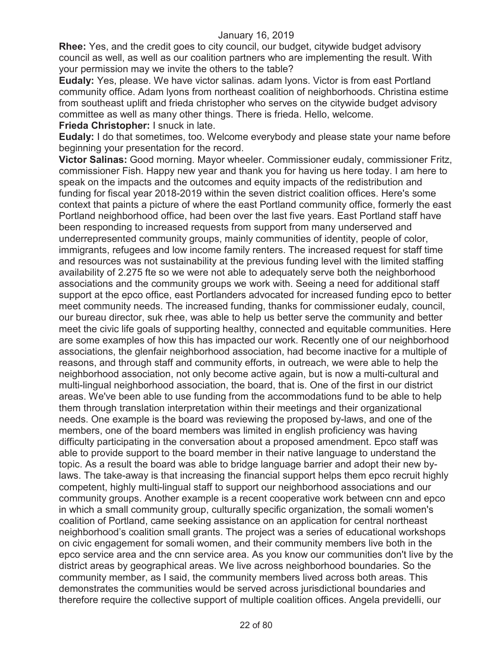**Rhee:** Yes, and the credit goes to city council, our budget, citywide budget advisory council as well, as well as our coalition partners who are implementing the result. With your permission may we invite the others to the table?

**Eudaly:** Yes, please. We have victor salinas. adam lyons. Victor is from east Portland community office. Adam lyons from northeast coalition of neighborhoods. Christina estime from southeast uplift and frieda christopher who serves on the citywide budget advisory committee as well as many other things. There is frieda. Hello, welcome. **Frieda Christopher:** I snuck in late.

**Eudaly:** I do that sometimes, too. Welcome everybody and please state your name before beginning your presentation for the record.

**Victor Salinas:** Good morning. Mayor wheeler. Commissioner eudaly, commissioner Fritz, commissioner Fish. Happy new year and thank you for having us here today. I am here to speak on the impacts and the outcomes and equity impacts of the redistribution and funding for fiscal year 2018-2019 within the seven district coalition offices. Here's some context that paints a picture of where the east Portland community office, formerly the east Portland neighborhood office, had been over the last five years. East Portland staff have been responding to increased requests from support from many underserved and underrepresented community groups, mainly communities of identity, people of color, immigrants, refugees and low income family renters. The increased request for staff time and resources was not sustainability at the previous funding level with the limited staffing availability of 2.275 fte so we were not able to adequately serve both the neighborhood associations and the community groups we work with. Seeing a need for additional staff support at the epco office, east Portlanders advocated for increased funding epco to better meet community needs. The increased funding, thanks for commissioner eudaly, council, our bureau director, suk rhee, was able to help us better serve the community and better meet the civic life goals of supporting healthy, connected and equitable communities. Here are some examples of how this has impacted our work. Recently one of our neighborhood associations, the glenfair neighborhood association, had become inactive for a multiple of reasons, and through staff and community efforts, in outreach, we were able to help the neighborhood association, not only become active again, but is now a multi-cultural and multi-lingual neighborhood association, the board, that is. One of the first in our district areas. We've been able to use funding from the accommodations fund to be able to help them through translation interpretation within their meetings and their organizational needs. One example is the board was reviewing the proposed by-laws, and one of the members, one of the board members was limited in english proficiency was having difficulty participating in the conversation about a proposed amendment. Epco staff was able to provide support to the board member in their native language to understand the topic. As a result the board was able to bridge language barrier and adopt their new bylaws. The take-away is that increasing the financial support helps them epco recruit highly competent, highly multi-lingual staff to support our neighborhood associations and our community groups. Another example is a recent cooperative work between cnn and epco in which a small community group, culturally specific organization, the somali women's coalition of Portland, came seeking assistance on an application for central northeast neighborhood's coalition small grants. The project was a series of educational workshops on civic engagement for somali women, and their community members live both in the epco service area and the cnn service area. As you know our communities don't live by the district areas by geographical areas. We live across neighborhood boundaries. So the community member, as I said, the community members lived across both areas. This demonstrates the communities would be served across jurisdictional boundaries and therefore require the collective support of multiple coalition offices. Angela previdelli, our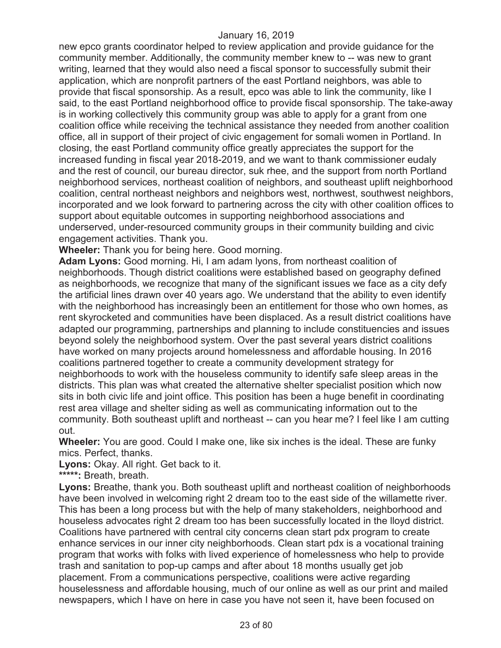new epco grants coordinator helped to review application and provide guidance for the community member. Additionally, the community member knew to -- was new to grant writing, learned that they would also need a fiscal sponsor to successfully submit their application, which are nonprofit partners of the east Portland neighbors, was able to provide that fiscal sponsorship. As a result, epco was able to link the community, like I said, to the east Portland neighborhood office to provide fiscal sponsorship. The take-away is in working collectively this community group was able to apply for a grant from one coalition office while receiving the technical assistance they needed from another coalition office, all in support of their project of civic engagement for somali women in Portland. In closing, the east Portland community office greatly appreciates the support for the increased funding in fiscal year 2018-2019, and we want to thank commissioner eudaly and the rest of council, our bureau director, suk rhee, and the support from north Portland neighborhood services, northeast coalition of neighbors, and southeast uplift neighborhood coalition, central northeast neighbors and neighbors west, northwest, southwest neighbors, incorporated and we look forward to partnering across the city with other coalition offices to support about equitable outcomes in supporting neighborhood associations and underserved, under-resourced community groups in their community building and civic engagement activities. Thank you.

**Wheeler:** Thank you for being here. Good morning.

**Adam Lyons:** Good morning. Hi, I am adam lyons, from northeast coalition of neighborhoods. Though district coalitions were established based on geography defined as neighborhoods, we recognize that many of the significant issues we face as a city defy the artificial lines drawn over 40 years ago. We understand that the ability to even identify with the neighborhood has increasingly been an entitlement for those who own homes, as rent skyrocketed and communities have been displaced. As a result district coalitions have adapted our programming, partnerships and planning to include constituencies and issues beyond solely the neighborhood system. Over the past several years district coalitions have worked on many projects around homelessness and affordable housing. In 2016 coalitions partnered together to create a community development strategy for neighborhoods to work with the houseless community to identify safe sleep areas in the districts. This plan was what created the alternative shelter specialist position which now sits in both civic life and joint office. This position has been a huge benefit in coordinating rest area village and shelter siding as well as communicating information out to the community. Both southeast uplift and northeast -- can you hear me? I feel like I am cutting out.

**Wheeler:** You are good. Could I make one, like six inches is the ideal. These are funky mics. Perfect, thanks.

**Lyons:** Okay. All right. Get back to it.

**\*\*\*\*\*:** Breath, breath.

Lyons: Breathe, thank you. Both southeast uplift and northeast coalition of neighborhoods have been involved in welcoming right 2 dream too to the east side of the willamette river. This has been a long process but with the help of many stakeholders, neighborhood and houseless advocates right 2 dream too has been successfully located in the lloyd district. Coalitions have partnered with central city concerns clean start pdx program to create enhance services in our inner city neighborhoods. Clean start pdx is a vocational training program that works with folks with lived experience of homelessness who help to provide trash and sanitation to pop-up camps and after about 18 months usually get job placement. From a communications perspective, coalitions were active regarding houselessness and affordable housing, much of our online as well as our print and mailed newspapers, which I have on here in case you have not seen it, have been focused on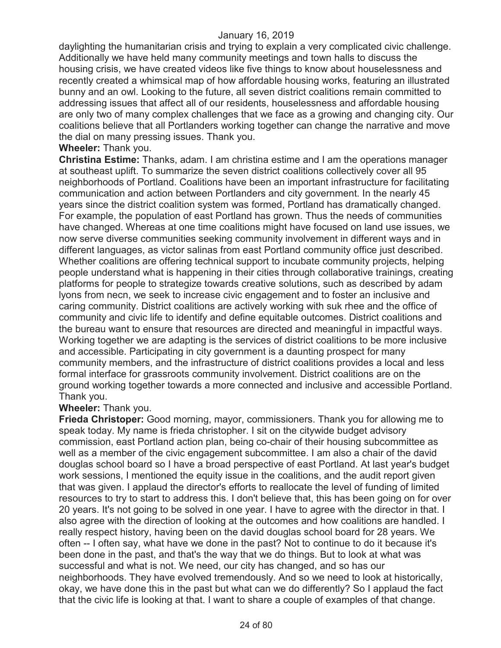daylighting the humanitarian crisis and trying to explain a very complicated civic challenge. Additionally we have held many community meetings and town halls to discuss the housing crisis, we have created videos like five things to know about houselessness and recently created a whimsical map of how affordable housing works, featuring an illustrated bunny and an owl. Looking to the future, all seven district coalitions remain committed to addressing issues that affect all of our residents, houselessness and affordable housing are only two of many complex challenges that we face as a growing and changing city. Our coalitions believe that all Portlanders working together can change the narrative and move the dial on many pressing issues. Thank you.

#### **Wheeler:** Thank you.

**Christina Estime:** Thanks, adam. I am christina estime and I am the operations manager at southeast uplift. To summarize the seven district coalitions collectively cover all 95 neighborhoods of Portland. Coalitions have been an important infrastructure for facilitating communication and action between Portlanders and city government. In the nearly 45 years since the district coalition system was formed, Portland has dramatically changed. For example, the population of east Portland has grown. Thus the needs of communities have changed. Whereas at one time coalitions might have focused on land use issues, we now serve diverse communities seeking community involvement in different ways and in different languages, as victor salinas from east Portland community office just described. Whether coalitions are offering technical support to incubate community projects, helping people understand what is happening in their cities through collaborative trainings, creating platforms for people to strategize towards creative solutions, such as described by adam lyons from necn, we seek to increase civic engagement and to foster an inclusive and caring community. District coalitions are actively working with suk rhee and the office of community and civic life to identify and define equitable outcomes. District coalitions and the bureau want to ensure that resources are directed and meaningful in impactful ways. Working together we are adapting is the services of district coalitions to be more inclusive and accessible. Participating in city government is a daunting prospect for many community members, and the infrastructure of district coalitions provides a local and less formal interface for grassroots community involvement. District coalitions are on the ground working together towards a more connected and inclusive and accessible Portland. Thank you.

## **Wheeler:** Thank you.

**Frieda Christoper:** Good morning, mayor, commissioners. Thank you for allowing me to speak today. My name is frieda christopher. I sit on the citywide budget advisory commission, east Portland action plan, being co-chair of their housing subcommittee as well as a member of the civic engagement subcommittee. I am also a chair of the david douglas school board so I have a broad perspective of east Portland. At last year's budget work sessions, I mentioned the equity issue in the coalitions, and the audit report given that was given. I applaud the director's efforts to reallocate the level of funding of limited resources to try to start to address this. I don't believe that, this has been going on for over 20 years. It's not going to be solved in one year. I have to agree with the director in that. I also agree with the direction of looking at the outcomes and how coalitions are handled. I really respect history, having been on the david douglas school board for 28 years. We often -- I often say, what have we done in the past? Not to continue to do it because it's been done in the past, and that's the way that we do things. But to look at what was successful and what is not. We need, our city has changed, and so has our neighborhoods. They have evolved tremendously. And so we need to look at historically, okay, we have done this in the past but what can we do differently? So I applaud the fact that the civic life is looking at that. I want to share a couple of examples of that change.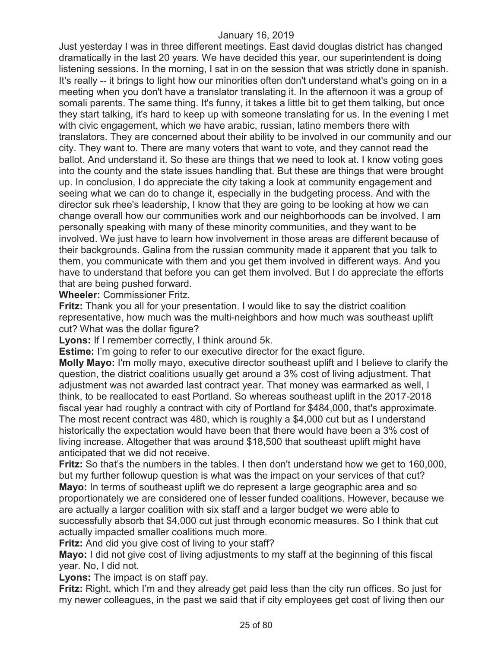Just yesterday I was in three different meetings. East david douglas district has changed dramatically in the last 20 years. We have decided this year, our superintendent is doing listening sessions. In the morning, I sat in on the session that was strictly done in spanish. It's really -- it brings to light how our minorities often don't understand what's going on in a meeting when you don't have a translator translating it. In the afternoon it was a group of somali parents. The same thing. It's funny, it takes a little bit to get them talking, but once they start talking, it's hard to keep up with someone translating for us. In the evening I met with civic engagement, which we have arabic, russian, latino members there with translators. They are concerned about their ability to be involved in our community and our city. They want to. There are many voters that want to vote, and they cannot read the ballot. And understand it. So these are things that we need to look at. I know voting goes into the county and the state issues handling that. But these are things that were brought up. In conclusion, I do appreciate the city taking a look at community engagement and seeing what we can do to change it, especially in the budgeting process. And with the director suk rhee's leadership, I know that they are going to be looking at how we can change overall how our communities work and our neighborhoods can be involved. I am personally speaking with many of these minority communities, and they want to be involved. We just have to learn how involvement in those areas are different because of their backgrounds. Galina from the russian community made it apparent that you talk to them, you communicate with them and you get them involved in different ways. And you have to understand that before you can get them involved. But I do appreciate the efforts that are being pushed forward.

**Wheeler:** Commissioner Fritz.

**Fritz:** Thank you all for your presentation. I would like to say the district coalition representative, how much was the multi-neighbors and how much was southeast uplift cut? What was the dollar figure?

**Lyons:** If I remember correctly, I think around 5k.

**Estime:** I'm going to refer to our executive director for the exact figure.

**Molly Mayo:** I'm molly mayo, executive director southeast uplift and I believe to clarify the question, the district coalitions usually get around a 3% cost of living adjustment. That adjustment was not awarded last contract year. That money was earmarked as well, I think, to be reallocated to east Portland. So whereas southeast uplift in the 2017-2018 fiscal year had roughly a contract with city of Portland for \$484,000, that's approximate. The most recent contract was 480, which is roughly a \$4,000 cut but as I understand historically the expectation would have been that there would have been a 3% cost of living increase. Altogether that was around \$18,500 that southeast uplift might have anticipated that we did not receive.

**Fritz:** So that's the numbers in the tables. I then don't understand how we get to 160,000, but my further followup question is what was the impact on your services of that cut? **Mayo:** In terms of southeast uplift we do represent a large geographic area and so proportionately we are considered one of lesser funded coalitions. However, because we are actually a larger coalition with six staff and a larger budget we were able to successfully absorb that \$4,000 cut just through economic measures. So I think that cut actually impacted smaller coalitions much more.

**Fritz:** And did you give cost of living to your staff?

**Mayo:** I did not give cost of living adjustments to my staff at the beginning of this fiscal year. No, I did not.

**Lyons:** The impact is on staff pay.

**Fritz:** Right, which I'm and they already get paid less than the city run offices. So just for my newer colleagues, in the past we said that if city employees get cost of living then our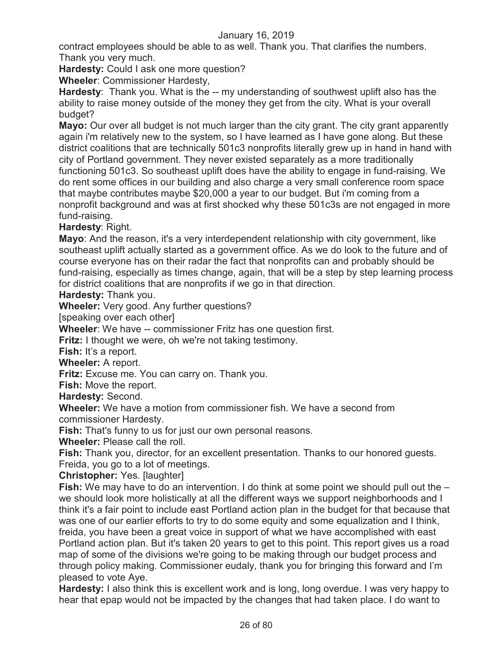contract employees should be able to as well. Thank you. That clarifies the numbers. Thank you very much.

**Hardesty:** Could I ask one more question?

**Wheeler**: Commissioner Hardesty,

**Hardesty**: Thank you. What is the -- my understanding of southwest uplift also has the ability to raise money outside of the money they get from the city. What is your overall budget?

**Mayo:** Our over all budget is not much larger than the city grant. The city grant apparently again i'm relatively new to the system, so I have learned as I have gone along. But these district coalitions that are technically 501c3 nonprofits literally grew up in hand in hand with city of Portland government. They never existed separately as a more traditionally functioning 501c3. So southeast uplift does have the ability to engage in fund-raising. We do rent some offices in our building and also charge a very small conference room space that maybe contributes maybe \$20,000 a year to our budget. But i'm coming from a nonprofit background and was at first shocked why these 501c3s are not engaged in more fund-raising.

## **Hardesty**: Right.

**Mayo**: And the reason, it's a very interdependent relationship with city government, like southeast uplift actually started as a government office. As we do look to the future and of course everyone has on their radar the fact that nonprofits can and probably should be fund-raising, especially as times change, again, that will be a step by step learning process for district coalitions that are nonprofits if we go in that direction.

**Hardesty:** Thank you.

**Wheeler:** Very good. Any further questions?

[speaking over each other]

**Wheeler**: We have -- commissioner Fritz has one question first.

**Fritz:** I thought we were, oh we're not taking testimony.

**Fish:** It's a report.

**Wheeler:** A report.

**Fritz:** Excuse me. You can carry on. Thank you.

**Fish:** Move the report.

**Hardesty:** Second.

**Wheeler:** We have a motion from commissioner fish. We have a second from

commissioner Hardesty.

**Fish:** That's funny to us for just our own personal reasons.

**Wheeler:** Please call the roll.

**Fish:** Thank you, director, for an excellent presentation. Thanks to our honored guests. Freida, you go to a lot of meetings.

**Christopher:** Yes. [laughter]

**Fish:** We may have to do an intervention. I do think at some point we should pull out the – we should look more holistically at all the different ways we support neighborhoods and I think it's a fair point to include east Portland action plan in the budget for that because that was one of our earlier efforts to try to do some equity and some equalization and I think, freida, you have been a great voice in support of what we have accomplished with east Portland action plan. But it's taken 20 years to get to this point. This report gives us a road map of some of the divisions we're going to be making through our budget process and through policy making. Commissioner eudaly, thank you for bringing this forward and I'm pleased to vote Aye.

**Hardesty:** I also think this is excellent work and is long, long overdue. I was very happy to hear that epap would not be impacted by the changes that had taken place. I do want to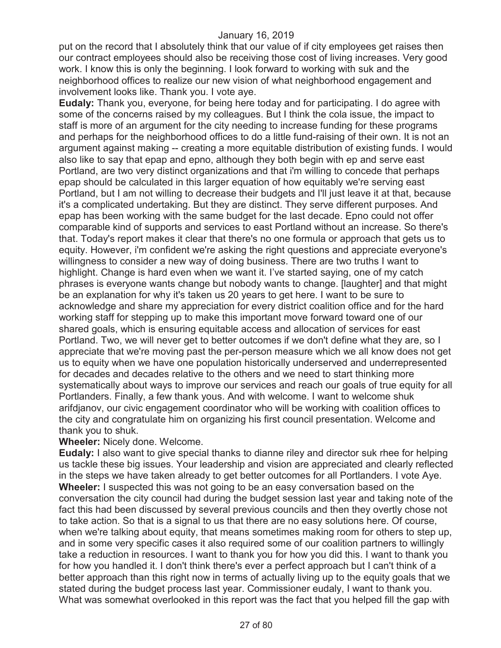put on the record that I absolutely think that our value of if city employees get raises then our contract employees should also be receiving those cost of living increases. Very good work. I know this is only the beginning. I look forward to working with suk and the neighborhood offices to realize our new vision of what neighborhood engagement and involvement looks like. Thank you. I vote aye.

**Eudaly:** Thank you, everyone, for being here today and for participating. I do agree with some of the concerns raised by my colleagues. But I think the cola issue, the impact to staff is more of an argument for the city needing to increase funding for these programs and perhaps for the neighborhood offices to do a little fund-raising of their own. It is not an argument against making -- creating a more equitable distribution of existing funds. I would also like to say that epap and epno, although they both begin with ep and serve east Portland, are two very distinct organizations and that i'm willing to concede that perhaps epap should be calculated in this larger equation of how equitably we're serving east Portland, but I am not willing to decrease their budgets and I'll just leave it at that, because it's a complicated undertaking. But they are distinct. They serve different purposes. And epap has been working with the same budget for the last decade. Epno could not offer comparable kind of supports and services to east Portland without an increase. So there's that. Today's report makes it clear that there's no one formula or approach that gets us to equity. However, i'm confident we're asking the right questions and appreciate everyone's willingness to consider a new way of doing business. There are two truths I want to highlight. Change is hard even when we want it. I've started saying, one of my catch phrases is everyone wants change but nobody wants to change. [laughter] and that might be an explanation for why it's taken us 20 years to get here. I want to be sure to acknowledge and share my appreciation for every district coalition office and for the hard working staff for stepping up to make this important move forward toward one of our shared goals, which is ensuring equitable access and allocation of services for east Portland. Two, we will never get to better outcomes if we don't define what they are, so I appreciate that we're moving past the per-person measure which we all know does not get us to equity when we have one population historically underserved and underrepresented for decades and decades relative to the others and we need to start thinking more systematically about ways to improve our services and reach our goals of true equity for all Portlanders. Finally, a few thank yous. And with welcome. I want to welcome shuk arifdjanov, our civic engagement coordinator who will be working with coalition offices to the city and congratulate him on organizing his first council presentation. Welcome and thank you to shuk.

#### **Wheeler:** Nicely done. Welcome.

**Eudaly:** I also want to give special thanks to dianne riley and director suk rhee for helping us tackle these big issues. Your leadership and vision are appreciated and clearly reflected in the steps we have taken already to get better outcomes for all Portlanders. I vote Aye. **Wheeler:** I suspected this was not going to be an easy conversation based on the conversation the city council had during the budget session last year and taking note of the fact this had been discussed by several previous councils and then they overtly chose not to take action. So that is a signal to us that there are no easy solutions here. Of course, when we're talking about equity, that means sometimes making room for others to step up, and in some very specific cases it also required some of our coalition partners to willingly take a reduction in resources. I want to thank you for how you did this. I want to thank you for how you handled it. I don't think there's ever a perfect approach but I can't think of a better approach than this right now in terms of actually living up to the equity goals that we stated during the budget process last year. Commissioner eudaly, I want to thank you. What was somewhat overlooked in this report was the fact that you helped fill the gap with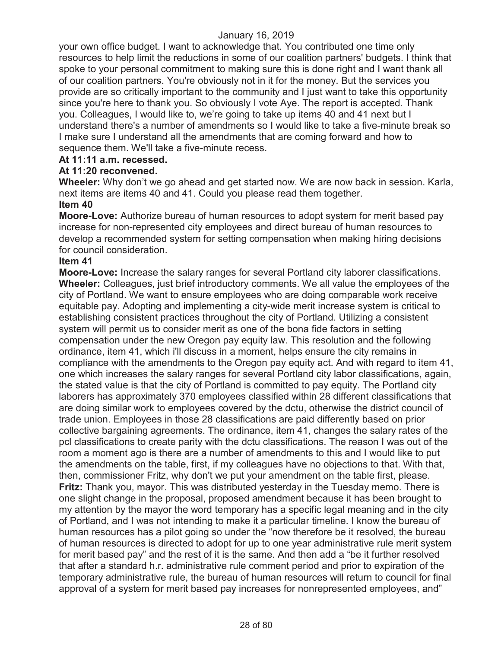your own office budget. I want to acknowledge that. You contributed one time only resources to help limit the reductions in some of our coalition partners' budgets. I think that spoke to your personal commitment to making sure this is done right and I want thank all of our coalition partners. You're obviously not in it for the money. But the services you provide are so critically important to the community and I just want to take this opportunity since you're here to thank you. So obviously I vote Aye. The report is accepted. Thank you. Colleagues, I would like to, we're going to take up items 40 and 41 next but I understand there's a number of amendments so I would like to take a five-minute break so I make sure I understand all the amendments that are coming forward and how to sequence them. We'll take a five-minute recess.

## **At 11:11 a.m. recessed.**

## **At 11:20 reconvened.**

**Wheeler:** Why don't we go ahead and get started now. We are now back in session. Karla, next items are items 40 and 41. Could you please read them together. **Item 40** 

**Moore-Love:** Authorize bureau of human resources to adopt system for merit based pay increase for non-represented city employees and direct bureau of human resources to develop a recommended system for setting compensation when making hiring decisions for council consideration.

## **Item 41**

**Moore-Love:** Increase the salary ranges for several Portland city laborer classifications. **Wheeler:** Colleagues, just brief introductory comments. We all value the employees of the city of Portland. We want to ensure employees who are doing comparable work receive equitable pay. Adopting and implementing a city-wide merit increase system is critical to establishing consistent practices throughout the city of Portland. Utilizing a consistent system will permit us to consider merit as one of the bona fide factors in setting compensation under the new Oregon pay equity law. This resolution and the following ordinance, item 41, which i'll discuss in a moment, helps ensure the city remains in compliance with the amendments to the Oregon pay equity act. And with regard to item 41, one which increases the salary ranges for several Portland city labor classifications, again, the stated value is that the city of Portland is committed to pay equity. The Portland city laborers has approximately 370 employees classified within 28 different classifications that are doing similar work to employees covered by the dctu, otherwise the district council of trade union. Employees in those 28 classifications are paid differently based on prior collective bargaining agreements. The ordinance, item 41, changes the salary rates of the pcl classifications to create parity with the dctu classifications. The reason I was out of the room a moment ago is there are a number of amendments to this and I would like to put the amendments on the table, first, if my colleagues have no objections to that. With that, then, commissioner Fritz, why don't we put your amendment on the table first, please. **Fritz:** Thank you, mayor. This was distributed yesterday in the Tuesday memo. There is one slight change in the proposal, proposed amendment because it has been brought to my attention by the mayor the word temporary has a specific legal meaning and in the city of Portland, and I was not intending to make it a particular timeline. I know the bureau of human resources has a pilot going so under the "now therefore be it resolved, the bureau of human resources is directed to adopt for up to one year administrative rule merit system for merit based pay" and the rest of it is the same. And then add a "be it further resolved that after a standard h.r. administrative rule comment period and prior to expiration of the temporary administrative rule, the bureau of human resources will return to council for final approval of a system for merit based pay increases for nonrepresented employees, and"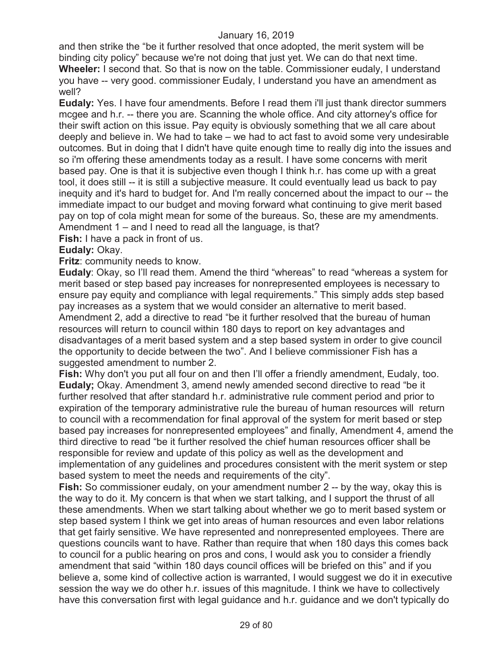and then strike the "be it further resolved that once adopted, the merit system will be binding city policy" because we're not doing that just yet. We can do that next time. **Wheeler:** I second that. So that is now on the table. Commissioner eudaly, I understand you have -- very good. commissioner Eudaly, I understand you have an amendment as well?

**Eudaly:** Yes. I have four amendments. Before I read them i'll just thank director summers mcgee and h.r. -- there you are. Scanning the whole office. And city attorney's office for their swift action on this issue. Pay equity is obviously something that we all care about deeply and believe in. We had to take – we had to act fast to avoid some very undesirable outcomes. But in doing that I didn't have quite enough time to really dig into the issues and so i'm offering these amendments today as a result. I have some concerns with merit based pay. One is that it is subjective even though I think h.r. has come up with a great tool, it does still -- it is still a subjective measure. It could eventually lead us back to pay inequity and it's hard to budget for. And I'm really concerned about the impact to our -- the immediate impact to our budget and moving forward what continuing to give merit based pay on top of cola might mean for some of the bureaus. So, these are my amendments. Amendment 1 – and I need to read all the language, is that?

**Fish:** I have a pack in front of us.

## **Eudaly:** Okay.

**Fritz**: community needs to know.

**Eudaly**: Okay, so I'll read them. Amend the third "whereas" to read "whereas a system for merit based or step based pay increases for nonrepresented employees is necessary to ensure pay equity and compliance with legal requirements." This simply adds step based pay increases as a system that we would consider an alternative to merit based. Amendment 2, add a directive to read "be it further resolved that the bureau of human resources will return to council within 180 days to report on key advantages and disadvantages of a merit based system and a step based system in order to give council the opportunity to decide between the two". And I believe commissioner Fish has a suggested amendment to number 2.

**Fish:** Why don't you put all four on and then I'll offer a friendly amendment, Eudaly, too. **Eudaly;** Okay. Amendment 3, amend newly amended second directive to read "be it further resolved that after standard h.r. administrative rule comment period and prior to expiration of the temporary administrative rule the bureau of human resources will return to council with a recommendation for final approval of the system for merit based or step based pay increases for nonrepresented employees" and finally, Amendment 4, amend the third directive to read "be it further resolved the chief human resources officer shall be responsible for review and update of this policy as well as the development and implementation of any guidelines and procedures consistent with the merit system or step based system to meet the needs and requirements of the city".

**Fish:** So commissioner eudaly, on your amendment number 2 -- by the way, okay this is the way to do it. My concern is that when we start talking, and I support the thrust of all these amendments. When we start talking about whether we go to merit based system or step based system I think we get into areas of human resources and even labor relations that get fairly sensitive. We have represented and nonrepresented employees. There are questions councils want to have. Rather than require that when 180 days this comes back to council for a public hearing on pros and cons, I would ask you to consider a friendly amendment that said "within 180 days council offices will be briefed on this" and if you believe a, some kind of collective action is warranted, I would suggest we do it in executive session the way we do other h.r. issues of this magnitude. I think we have to collectively have this conversation first with legal guidance and h.r. guidance and we don't typically do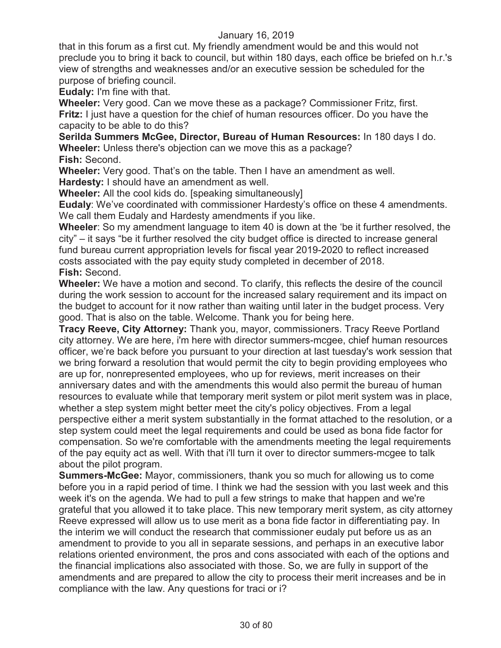that in this forum as a first cut. My friendly amendment would be and this would not preclude you to bring it back to council, but within 180 days, each office be briefed on h.r.'s view of strengths and weaknesses and/or an executive session be scheduled for the purpose of briefing council.

**Eudaly:** I'm fine with that.

**Wheeler:** Very good. Can we move these as a package? Commissioner Fritz, first. **Fritz:** I just have a question for the chief of human resources officer. Do you have the capacity to be able to do this?

**Serilda Summers McGee, Director, Bureau of Human Resources:** In 180 days I do. **Wheeler:** Unless there's objection can we move this as a package? **Fish:** Second.

**Wheeler:** Very good. That's on the table. Then I have an amendment as well. **Hardesty:** I should have an amendment as well.

**Wheeler:** All the cool kids do. [speaking simultaneously]

**Eudaly**: We've coordinated with commissioner Hardesty's office on these 4 amendments. We call them Eudaly and Hardesty amendments if you like.

**Wheeler**: So my amendment language to item 40 is down at the 'be it further resolved, the city" – it says "be it further resolved the city budget office is directed to increase general fund bureau current appropriation levels for fiscal year 2019-2020 to reflect increased costs associated with the pay equity study completed in december of 2018. **Fish:** Second.

**Wheeler:** We have a motion and second. To clarify, this reflects the desire of the council during the work session to account for the increased salary requirement and its impact on the budget to account for it now rather than waiting until later in the budget process. Very good. That is also on the table. Welcome. Thank you for being here.

**Tracy Reeve, City Attorney:** Thank you, mayor, commissioners. Tracy Reeve Portland city attorney. We are here, i'm here with director summers-mcgee, chief human resources officer, we're back before you pursuant to your direction at last tuesday's work session that we bring forward a resolution that would permit the city to begin providing employees who are up for, nonrepresented employees, who up for reviews, merit increases on their anniversary dates and with the amendments this would also permit the bureau of human resources to evaluate while that temporary merit system or pilot merit system was in place, whether a step system might better meet the city's policy objectives. From a legal perspective either a merit system substantially in the format attached to the resolution, or a step system could meet the legal requirements and could be used as bona fide factor for compensation. So we're comfortable with the amendments meeting the legal requirements of the pay equity act as well. With that i'll turn it over to director summers-mcgee to talk about the pilot program.

**Summers-McGee:** Mayor, commissioners, thank you so much for allowing us to come before you in a rapid period of time. I think we had the session with you last week and this week it's on the agenda. We had to pull a few strings to make that happen and we're grateful that you allowed it to take place. This new temporary merit system, as city attorney Reeve expressed will allow us to use merit as a bona fide factor in differentiating pay. In the interim we will conduct the research that commissioner eudaly put before us as an amendment to provide to you all in separate sessions, and perhaps in an executive labor relations oriented environment, the pros and cons associated with each of the options and the financial implications also associated with those. So, we are fully in support of the amendments and are prepared to allow the city to process their merit increases and be in compliance with the law. Any questions for traci or i?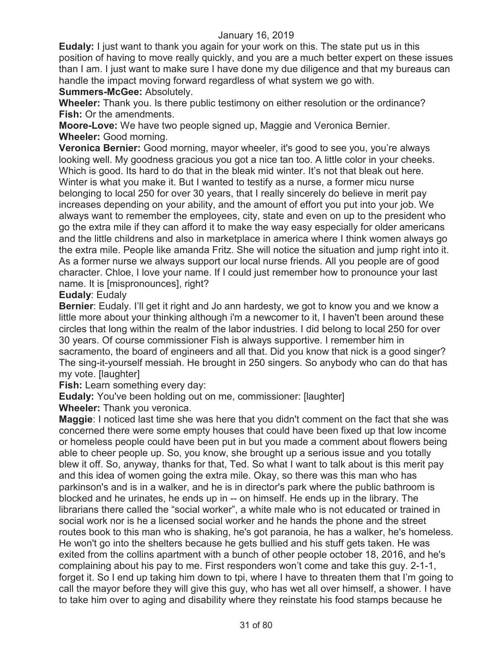**Eudaly:** I just want to thank you again for your work on this. The state put us in this position of having to move really quickly, and you are a much better expert on these issues than I am. I just want to make sure I have done my due diligence and that my bureaus can handle the impact moving forward regardless of what system we go with.

#### **Summers-McGee:** Absolutely.

**Wheeler:** Thank you. Is there public testimony on either resolution or the ordinance? **Fish:** Or the amendments.

**Moore-Love:** We have two people signed up, Maggie and Veronica Bernier. **Wheeler:** Good morning.

**Veronica Bernier:** Good morning, mayor wheeler, it's good to see you, you're always looking well. My goodness gracious you got a nice tan too. A little color in your cheeks. Which is good. Its hard to do that in the bleak mid winter. It's not that bleak out here. Winter is what you make it. But I wanted to testify as a nurse, a former micu nurse belonging to local 250 for over 30 years, that I really sincerely do believe in merit pay increases depending on your ability, and the amount of effort you put into your job. We always want to remember the employees, city, state and even on up to the president who go the extra mile if they can afford it to make the way easy especially for older americans and the little childrens and also in marketplace in america where I think women always go the extra mile. People like amanda Fritz. She will notice the situation and jump right into it. As a former nurse we always support our local nurse friends. All you people are of good character. Chloe, I love your name. If I could just remember how to pronounce your last name. It is [mispronounces], right?

## **Eudaly**: Eudaly

**Bernier**: Eudaly. I'll get it right and Jo ann hardesty, we got to know you and we know a little more about your thinking although i'm a newcomer to it, I haven't been around these circles that long within the realm of the labor industries. I did belong to local 250 for over 30 years. Of course commissioner Fish is always supportive. I remember him in sacramento, the board of engineers and all that. Did you know that nick is a good singer? The sing-it-yourself messiah. He brought in 250 singers. So anybody who can do that has my vote. [laughter]

**Fish:** Learn something every day:

**Eudaly:** You've been holding out on me, commissioner: [laughter]

**Wheeler:** Thank you veronica.

**Maggie**: I noticed last time she was here that you didn't comment on the fact that she was concerned there were some empty houses that could have been fixed up that low income or homeless people could have been put in but you made a comment about flowers being able to cheer people up. So, you know, she brought up a serious issue and you totally blew it off. So, anyway, thanks for that, Ted. So what I want to talk about is this merit pay and this idea of women going the extra mile. Okay, so there was this man who has parkinson's and is in a walker, and he is in director's park where the public bathroom is blocked and he urinates, he ends up in -- on himself. He ends up in the library. The librarians there called the "social worker", a white male who is not educated or trained in social work nor is he a licensed social worker and he hands the phone and the street routes book to this man who is shaking, he's got paranoia, he has a walker, he's homeless. He won't go into the shelters because he gets bullied and his stuff gets taken. He was exited from the collins apartment with a bunch of other people october 18, 2016, and he's complaining about his pay to me. First responders won't come and take this guy. 2-1-1, forget it. So I end up taking him down to tpi, where I have to threaten them that I'm going to call the mayor before they will give this guy, who has wet all over himself, a shower. I have to take him over to aging and disability where they reinstate his food stamps because he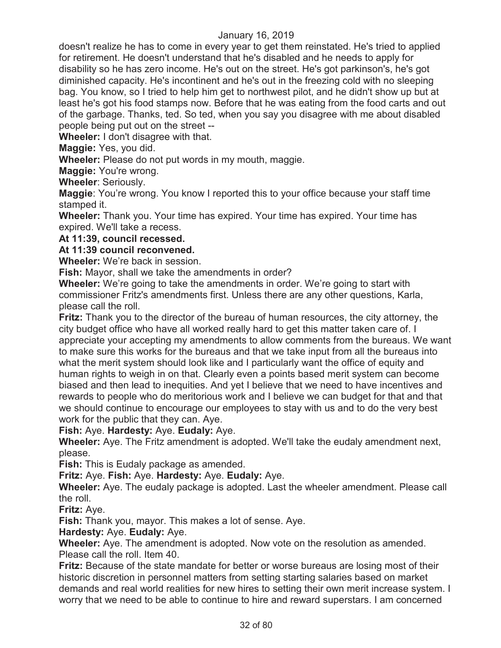doesn't realize he has to come in every year to get them reinstated. He's tried to applied for retirement. He doesn't understand that he's disabled and he needs to apply for disability so he has zero income. He's out on the street. He's got parkinson's, he's got diminished capacity. He's incontinent and he's out in the freezing cold with no sleeping bag. You know, so I tried to help him get to northwest pilot, and he didn't show up but at least he's got his food stamps now. Before that he was eating from the food carts and out of the garbage. Thanks, ted. So ted, when you say you disagree with me about disabled people being put out on the street --

**Wheeler:** I don't disagree with that.

**Maggie:** Yes, you did.

**Wheeler:** Please do not put words in my mouth, maggie.

**Maggie:** You're wrong.

**Wheeler**: Seriously.

**Maggie**: You're wrong. You know I reported this to your office because your staff time stamped it.

**Wheeler:** Thank you. Your time has expired. Your time has expired. Your time has expired. We'll take a recess.

## **At 11:39, council recessed.**

## **At 11:39 council reconvened.**

**Wheeler:** We're back in session.

**Fish:** Mayor, shall we take the amendments in order?

**Wheeler:** We're going to take the amendments in order. We're going to start with commissioner Fritz's amendments first. Unless there are any other questions, Karla, please call the roll.

**Fritz:** Thank you to the director of the bureau of human resources, the city attorney, the city budget office who have all worked really hard to get this matter taken care of. I appreciate your accepting my amendments to allow comments from the bureaus. We want to make sure this works for the bureaus and that we take input from all the bureaus into what the merit system should look like and I particularly want the office of equity and human rights to weigh in on that. Clearly even a points based merit system can become biased and then lead to inequities. And yet I believe that we need to have incentives and rewards to people who do meritorious work and I believe we can budget for that and that we should continue to encourage our employees to stay with us and to do the very best work for the public that they can. Aye.

**Fish:** Aye. **Hardesty:** Aye. **Eudaly:** Aye.

**Wheeler:** Aye. The Fritz amendment is adopted. We'll take the eudaly amendment next, please.

**Fish:** This is Eudaly package as amended.

**Fritz:** Aye. **Fish:** Aye. **Hardesty:** Aye. **Eudaly:** Aye.

**Wheeler:** Aye. The eudaly package is adopted. Last the wheeler amendment. Please call the roll.

**Fritz:** Aye.

**Fish:** Thank you, mayor. This makes a lot of sense. Aye.

## **Hardesty:** Aye. **Eudaly:** Aye.

**Wheeler:** Aye. The amendment is adopted. Now vote on the resolution as amended. Please call the roll. Item 40.

**Fritz:** Because of the state mandate for better or worse bureaus are losing most of their historic discretion in personnel matters from setting starting salaries based on market demands and real world realities for new hires to setting their own merit increase system. I worry that we need to be able to continue to hire and reward superstars. I am concerned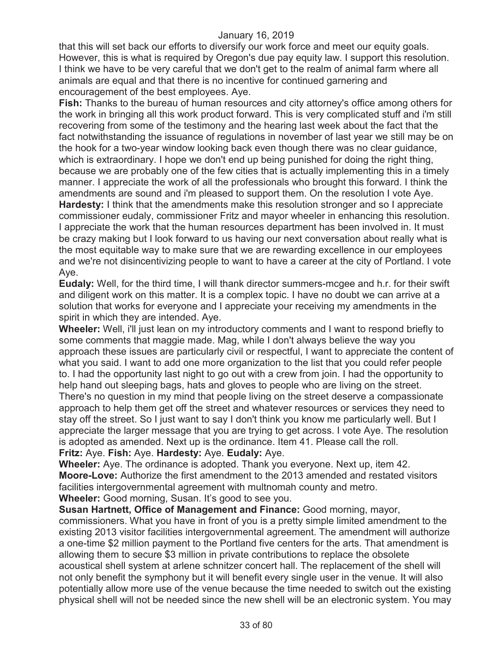that this will set back our efforts to diversify our work force and meet our equity goals. However, this is what is required by Oregon's due pay equity law. I support this resolution. I think we have to be very careful that we don't get to the realm of animal farm where all animals are equal and that there is no incentive for continued garnering and encouragement of the best employees. Aye.

**Fish:** Thanks to the bureau of human resources and city attorney's office among others for the work in bringing all this work product forward. This is very complicated stuff and i'm still recovering from some of the testimony and the hearing last week about the fact that the fact notwithstanding the issuance of regulations in november of last year we still may be on the hook for a two-year window looking back even though there was no clear guidance, which is extraordinary. I hope we don't end up being punished for doing the right thing, because we are probably one of the few cities that is actually implementing this in a timely manner. I appreciate the work of all the professionals who brought this forward. I think the amendments are sound and i'm pleased to support them. On the resolution I vote Aye. **Hardesty:** I think that the amendments make this resolution stronger and so I appreciate commissioner eudaly, commissioner Fritz and mayor wheeler in enhancing this resolution. I appreciate the work that the human resources department has been involved in. It must be crazy making but I look forward to us having our next conversation about really what is the most equitable way to make sure that we are rewarding excellence in our employees and we're not disincentivizing people to want to have a career at the city of Portland. I vote Aye.

**Eudaly:** Well, for the third time, I will thank director summers-mcgee and h.r. for their swift and diligent work on this matter. It is a complex topic. I have no doubt we can arrive at a solution that works for everyone and I appreciate your receiving my amendments in the spirit in which they are intended. Aye.

**Wheeler:** Well, i'll just lean on my introductory comments and I want to respond briefly to some comments that maggie made. Mag, while I don't always believe the way you approach these issues are particularly civil or respectful, I want to appreciate the content of what you said. I want to add one more organization to the list that you could refer people to. I had the opportunity last night to go out with a crew from join. I had the opportunity to help hand out sleeping bags, hats and gloves to people who are living on the street. There's no question in my mind that people living on the street deserve a compassionate approach to help them get off the street and whatever resources or services they need to stay off the street. So I just want to say I don't think you know me particularly well. But I appreciate the larger message that you are trying to get across. I vote Aye. The resolution is adopted as amended. Next up is the ordinance. Item 41. Please call the roll.

**Fritz:** Aye. **Fish:** Aye. **Hardesty:** Aye. **Eudaly:** Aye.

**Wheeler:** Aye. The ordinance is adopted. Thank you everyone. Next up, item 42. **Moore-Love:** Authorize the first amendment to the 2013 amended and restated visitors facilities intergovernmental agreement with multnomah county and metro. **Wheeler:** Good morning, Susan. It's good to see you.

**Susan Hartnett, Office of Management and Finance:** Good morning, mayor,

commissioners. What you have in front of you is a pretty simple limited amendment to the existing 2013 visitor facilities intergovernmental agreement. The amendment will authorize a one-time \$2 million payment to the Portland five centers for the arts. That amendment is allowing them to secure \$3 million in private contributions to replace the obsolete acoustical shell system at arlene schnitzer concert hall. The replacement of the shell will not only benefit the symphony but it will benefit every single user in the venue. It will also potentially allow more use of the venue because the time needed to switch out the existing physical shell will not be needed since the new shell will be an electronic system. You may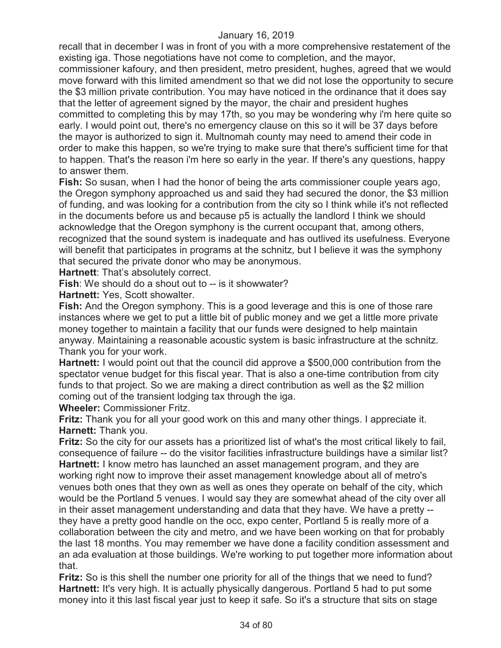recall that in december I was in front of you with a more comprehensive restatement of the existing iga. Those negotiations have not come to completion, and the mayor,

commissioner kafoury, and then president, metro president, hughes, agreed that we would move forward with this limited amendment so that we did not lose the opportunity to secure the \$3 million private contribution. You may have noticed in the ordinance that it does say that the letter of agreement signed by the mayor, the chair and president hughes committed to completing this by may 17th, so you may be wondering why i'm here quite so

early. I would point out, there's no emergency clause on this so it will be 37 days before the mayor is authorized to sign it. Multnomah county may need to amend their code in order to make this happen, so we're trying to make sure that there's sufficient time for that to happen. That's the reason i'm here so early in the year. If there's any questions, happy to answer them.

**Fish:** So susan, when I had the honor of being the arts commissioner couple years ago, the Oregon symphony approached us and said they had secured the donor, the \$3 million of funding, and was looking for a contribution from the city so I think while it's not reflected in the documents before us and because p5 is actually the landlord I think we should acknowledge that the Oregon symphony is the current occupant that, among others, recognized that the sound system is inadequate and has outlived its usefulness. Everyone will benefit that participates in programs at the schnitz, but I believe it was the symphony that secured the private donor who may be anonymous.

**Hartnett**: That's absolutely correct.

**Fish**: We should do a shout out to -- is it showwater?

**Hartnett:** Yes, Scott showalter.

**Fish:** And the Oregon symphony. This is a good leverage and this is one of those rare instances where we get to put a little bit of public money and we get a little more private money together to maintain a facility that our funds were designed to help maintain anyway. Maintaining a reasonable acoustic system is basic infrastructure at the schnitz. Thank you for your work.

**Hartnett:** I would point out that the council did approve a \$500,000 contribution from the spectator venue budget for this fiscal year. That is also a one-time contribution from city funds to that project. So we are making a direct contribution as well as the \$2 million coming out of the transient lodging tax through the iga.

**Wheeler:** Commissioner Fritz.

**Fritz:** Thank you for all your good work on this and many other things. I appreciate it. **Harnett:** Thank you.

**Fritz:** So the city for our assets has a prioritized list of what's the most critical likely to fail, consequence of failure -- do the visitor facilities infrastructure buildings have a similar list? **Hartnett:** I know metro has launched an asset management program, and they are working right now to improve their asset management knowledge about all of metro's venues both ones that they own as well as ones they operate on behalf of the city, which would be the Portland 5 venues. I would say they are somewhat ahead of the city over all in their asset management understanding and data that they have. We have a pretty - they have a pretty good handle on the occ, expo center, Portland 5 is really more of a collaboration between the city and metro, and we have been working on that for probably the last 18 months. You may remember we have done a facility condition assessment and an ada evaluation at those buildings. We're working to put together more information about that.

**Fritz:** So is this shell the number one priority for all of the things that we need to fund? **Hartnett:** It's very high. It is actually physically dangerous. Portland 5 had to put some money into it this last fiscal year just to keep it safe. So it's a structure that sits on stage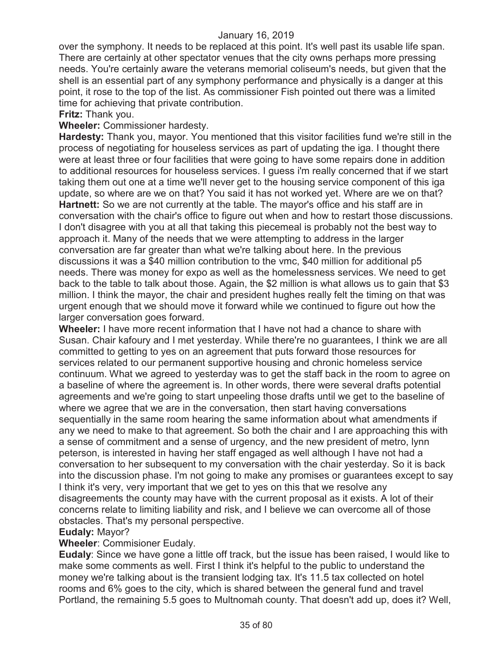over the symphony. It needs to be replaced at this point. It's well past its usable life span. There are certainly at other spectator venues that the city owns perhaps more pressing needs. You're certainly aware the veterans memorial coliseum's needs, but given that the shell is an essential part of any symphony performance and physically is a danger at this point, it rose to the top of the list. As commissioner Fish pointed out there was a limited time for achieving that private contribution.

**Fritz:** Thank you.

**Wheeler:** Commissioner hardesty.

**Hardesty:** Thank you, mayor. You mentioned that this visitor facilities fund we're still in the process of negotiating for houseless services as part of updating the iga. I thought there were at least three or four facilities that were going to have some repairs done in addition to additional resources for houseless services. I guess i'm really concerned that if we start taking them out one at a time we'll never get to the housing service component of this iga update, so where are we on that? You said it has not worked yet. Where are we on that? **Hartnett:** So we are not currently at the table. The mayor's office and his staff are in conversation with the chair's office to figure out when and how to restart those discussions. I don't disagree with you at all that taking this piecemeal is probably not the best way to approach it. Many of the needs that we were attempting to address in the larger conversation are far greater than what we're talking about here. In the previous discussions it was a \$40 million contribution to the vmc, \$40 million for additional p5 needs. There was money for expo as well as the homelessness services. We need to get back to the table to talk about those. Again, the \$2 million is what allows us to gain that \$3 million. I think the mayor, the chair and president hughes really felt the timing on that was urgent enough that we should move it forward while we continued to figure out how the larger conversation goes forward.

**Wheeler:** I have more recent information that I have not had a chance to share with Susan. Chair kafoury and I met yesterday. While there're no guarantees, I think we are all committed to getting to yes on an agreement that puts forward those resources for services related to our permanent supportive housing and chronic homeless service continuum. What we agreed to yesterday was to get the staff back in the room to agree on a baseline of where the agreement is. In other words, there were several drafts potential agreements and we're going to start unpeeling those drafts until we get to the baseline of where we agree that we are in the conversation, then start having conversations sequentially in the same room hearing the same information about what amendments if any we need to make to that agreement. So both the chair and I are approaching this with a sense of commitment and a sense of urgency, and the new president of metro, lynn peterson, is interested in having her staff engaged as well although I have not had a conversation to her subsequent to my conversation with the chair yesterday. So it is back into the discussion phase. I'm not going to make any promises or guarantees except to say I think it's very, very important that we get to yes on this that we resolve any disagreements the county may have with the current proposal as it exists. A lot of their concerns relate to limiting liability and risk, and I believe we can overcome all of those obstacles. That's my personal perspective.

#### **Eudaly:** Mayor?

## **Wheeler**: Commisioner Eudaly.

**Eudaly**: Since we have gone a little off track, but the issue has been raised, I would like to make some comments as well. First I think it's helpful to the public to understand the money we're talking about is the transient lodging tax. It's 11.5 tax collected on hotel rooms and 6% goes to the city, which is shared between the general fund and travel Portland, the remaining 5.5 goes to Multnomah county. That doesn't add up, does it? Well,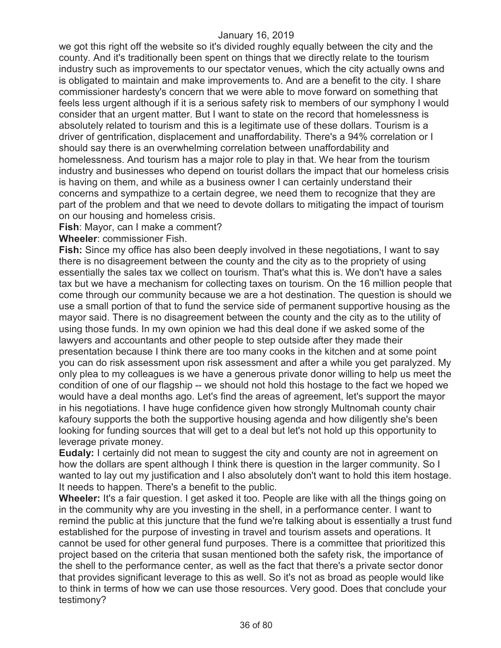we got this right off the website so it's divided roughly equally between the city and the county. And it's traditionally been spent on things that we directly relate to the tourism industry such as improvements to our spectator venues, which the city actually owns and is obligated to maintain and make improvements to. And are a benefit to the city. I share commissioner hardesty's concern that we were able to move forward on something that feels less urgent although if it is a serious safety risk to members of our symphony I would consider that an urgent matter. But I want to state on the record that homelessness is absolutely related to tourism and this is a legitimate use of these dollars. Tourism is a driver of gentrification, displacement and unaffordability. There's a 94% correlation or I should say there is an overwhelming correlation between unaffordability and homelessness. And tourism has a major role to play in that. We hear from the tourism industry and businesses who depend on tourist dollars the impact that our homeless crisis is having on them, and while as a business owner I can certainly understand their concerns and sympathize to a certain degree, we need them to recognize that they are part of the problem and that we need to devote dollars to mitigating the impact of tourism on our housing and homeless crisis.

**Fish**: Mayor, can I make a comment?

**Wheeler**: commissioner Fish.

**Fish:** Since my office has also been deeply involved in these negotiations, I want to say there is no disagreement between the county and the city as to the propriety of using essentially the sales tax we collect on tourism. That's what this is. We don't have a sales tax but we have a mechanism for collecting taxes on tourism. On the 16 million people that come through our community because we are a hot destination. The question is should we use a small portion of that to fund the service side of permanent supportive housing as the mayor said. There is no disagreement between the county and the city as to the utility of using those funds. In my own opinion we had this deal done if we asked some of the lawyers and accountants and other people to step outside after they made their presentation because I think there are too many cooks in the kitchen and at some point you can do risk assessment upon risk assessment and after a while you get paralyzed. My only plea to my colleagues is we have a generous private donor willing to help us meet the condition of one of our flagship -- we should not hold this hostage to the fact we hoped we would have a deal months ago. Let's find the areas of agreement, let's support the mayor in his negotiations. I have huge confidence given how strongly Multnomah county chair kafoury supports the both the supportive housing agenda and how diligently she's been looking for funding sources that will get to a deal but let's not hold up this opportunity to leverage private money.

**Eudaly:** I certainly did not mean to suggest the city and county are not in agreement on how the dollars are spent although I think there is question in the larger community. So I wanted to lay out my justification and I also absolutely don't want to hold this item hostage. It needs to happen. There's a benefit to the public.

**Wheeler:** It's a fair question. I get asked it too. People are like with all the things going on in the community why are you investing in the shell, in a performance center. I want to remind the public at this juncture that the fund we're talking about is essentially a trust fund established for the purpose of investing in travel and tourism assets and operations. It cannot be used for other general fund purposes. There is a committee that prioritized this project based on the criteria that susan mentioned both the safety risk, the importance of the shell to the performance center, as well as the fact that there's a private sector donor that provides significant leverage to this as well. So it's not as broad as people would like to think in terms of how we can use those resources. Very good. Does that conclude your testimony?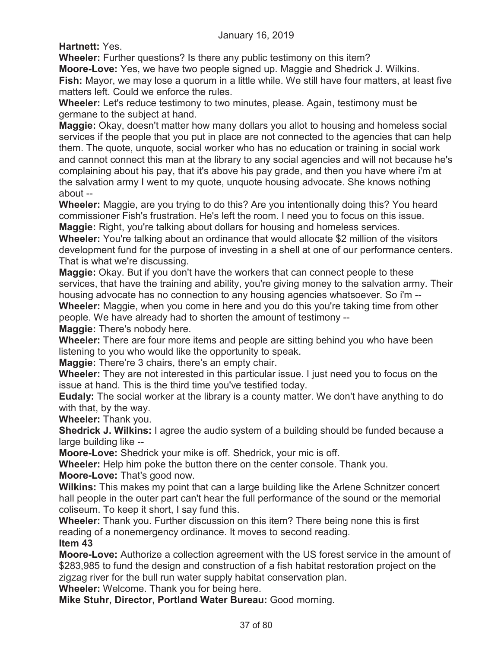**Hartnett:** Yes.

**Wheeler:** Further questions? Is there any public testimony on this item?

**Moore-Love:** Yes, we have two people signed up. Maggie and Shedrick J. Wilkins.

**Fish:** Mayor, we may lose a quorum in a little while. We still have four matters, at least five matters left. Could we enforce the rules.

**Wheeler:** Let's reduce testimony to two minutes, please. Again, testimony must be germane to the subject at hand.

**Maggie:** Okay, doesn't matter how many dollars you allot to housing and homeless social services if the people that you put in place are not connected to the agencies that can help them. The quote, unquote, social worker who has no education or training in social work and cannot connect this man at the library to any social agencies and will not because he's complaining about his pay, that it's above his pay grade, and then you have where i'm at the salvation army I went to my quote, unquote housing advocate. She knows nothing about --

**Wheeler:** Maggie, are you trying to do this? Are you intentionally doing this? You heard commissioner Fish's frustration. He's left the room. I need you to focus on this issue. **Maggie:** Right, you're talking about dollars for housing and homeless services.

**Wheeler:** You're talking about an ordinance that would allocate \$2 million of the visitors development fund for the purpose of investing in a shell at one of our performance centers. That is what we're discussing.

**Maggie:** Okay. But if you don't have the workers that can connect people to these services, that have the training and ability, you're giving money to the salvation army. Their housing advocate has no connection to any housing agencies whatsoever. So i'm -- **Wheeler:** Maggie, when you come in here and you do this you're taking time from other people. We have already had to shorten the amount of testimony --

**Maggie:** There's nobody here.

**Wheeler:** There are four more items and people are sitting behind you who have been listening to you who would like the opportunity to speak.

**Maggie:** There're 3 chairs, there's an empty chair.

**Wheeler:** They are not interested in this particular issue. I just need you to focus on the issue at hand. This is the third time you've testified today.

**Eudaly:** The social worker at the library is a county matter. We don't have anything to do with that, by the way.

**Wheeler:** Thank you.

**Shedrick J. Wilkins:** I agree the audio system of a building should be funded because a large building like --

**Moore-Love:** Shedrick your mike is off. Shedrick, your mic is off.

**Wheeler:** Help him poke the button there on the center console. Thank you.

**Moore-Love:** That's good now.

**Wilkins:** This makes my point that can a large building like the Arlene Schnitzer concert hall people in the outer part can't hear the full performance of the sound or the memorial coliseum. To keep it short, I say fund this.

**Wheeler:** Thank you. Further discussion on this item? There being none this is first reading of a nonemergency ordinance. It moves to second reading.

**Item 43** 

**Moore-Love:** Authorize a collection agreement with the US forest service in the amount of \$283,985 to fund the design and construction of a fish habitat restoration project on the zigzag river for the bull run water supply habitat conservation plan.

**Wheeler:** Welcome. Thank you for being here.

**Mike Stuhr, Director, Portland Water Bureau:** Good morning.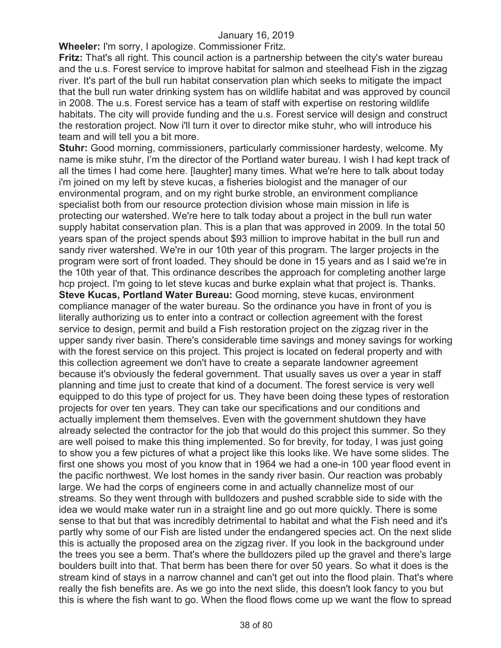**Wheeler:** I'm sorry, I apologize. Commissioner Fritz.

**Fritz:** That's all right. This council action is a partnership between the city's water bureau and the u.s. Forest service to improve habitat for salmon and steelhead Fish in the zigzag river. It's part of the bull run habitat conservation plan which seeks to mitigate the impact that the bull run water drinking system has on wildlife habitat and was approved by council in 2008. The u.s. Forest service has a team of staff with expertise on restoring wildlife habitats. The city will provide funding and the u.s. Forest service will design and construct the restoration project. Now i'll turn it over to director mike stuhr, who will introduce his team and will tell you a bit more.

**Stuhr:** Good morning, commissioners, particularly commissioner hardesty, welcome. My name is mike stuhr, I'm the director of the Portland water bureau. I wish I had kept track of all the times I had come here. [laughter] many times. What we're here to talk about today i'm joined on my left by steve kucas, a fisheries biologist and the manager of our environmental program, and on my right burke stroble, an environment compliance specialist both from our resource protection division whose main mission in life is protecting our watershed. We're here to talk today about a project in the bull run water supply habitat conservation plan. This is a plan that was approved in 2009. In the total 50 years span of the project spends about \$93 million to improve habitat in the bull run and sandy river watershed. We're in our 10th year of this program. The larger projects in the program were sort of front loaded. They should be done in 15 years and as I said we're in the 10th year of that. This ordinance describes the approach for completing another large hcp project. I'm going to let steve kucas and burke explain what that project is. Thanks. **Steve Kucas, Portland Water Bureau:** Good morning, steve kucas, environment compliance manager of the water bureau. So the ordinance you have in front of you is literally authorizing us to enter into a contract or collection agreement with the forest service to design, permit and build a Fish restoration project on the zigzag river in the upper sandy river basin. There's considerable time savings and money savings for working with the forest service on this project. This project is located on federal property and with this collection agreement we don't have to create a separate landowner agreement because it's obviously the federal government. That usually saves us over a year in staff planning and time just to create that kind of a document. The forest service is very well equipped to do this type of project for us. They have been doing these types of restoration projects for over ten years. They can take our specifications and our conditions and actually implement them themselves. Even with the government shutdown they have already selected the contractor for the job that would do this project this summer. So they are well poised to make this thing implemented. So for brevity, for today, I was just going to show you a few pictures of what a project like this looks like. We have some slides. The first one shows you most of you know that in 1964 we had a one-in 100 year flood event in the pacific northwest. We lost homes in the sandy river basin. Our reaction was probably large. We had the corps of engineers come in and actually channelize most of our streams. So they went through with bulldozers and pushed scrabble side to side with the idea we would make water run in a straight line and go out more quickly. There is some sense to that but that was incredibly detrimental to habitat and what the Fish need and it's partly why some of our Fish are listed under the endangered species act. On the next slide this is actually the proposed area on the zigzag river. If you look in the background under the trees you see a berm. That's where the bulldozers piled up the gravel and there's large boulders built into that. That berm has been there for over 50 years. So what it does is the stream kind of stays in a narrow channel and can't get out into the flood plain. That's where really the fish benefits are. As we go into the next slide, this doesn't look fancy to you but this is where the fish want to go. When the flood flows come up we want the flow to spread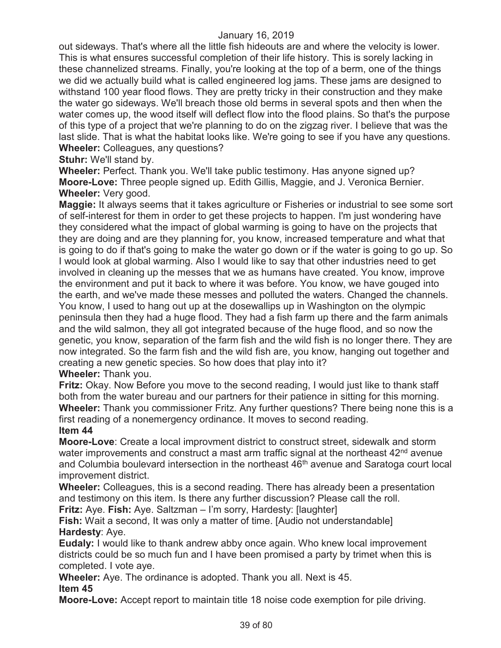out sideways. That's where all the little fish hideouts are and where the velocity is lower. This is what ensures successful completion of their life history. This is sorely lacking in these channelized streams. Finally, you're looking at the top of a berm, one of the things we did we actually build what is called engineered log jams. These jams are designed to withstand 100 year flood flows. They are pretty tricky in their construction and they make the water go sideways. We'll breach those old berms in several spots and then when the water comes up, the wood itself will deflect flow into the flood plains. So that's the purpose of this type of a project that we're planning to do on the zigzag river. I believe that was the last slide. That is what the habitat looks like. We're going to see if you have any questions. **Wheeler:** Colleagues, any questions?

**Stuhr:** We'll stand by.

**Wheeler:** Perfect. Thank you. We'll take public testimony. Has anyone signed up? **Moore-Love:** Three people signed up. Edith Gillis, Maggie, and J. Veronica Bernier. **Wheeler:** Very good.

**Maggie:** It always seems that it takes agriculture or Fisheries or industrial to see some sort of self-interest for them in order to get these projects to happen. I'm just wondering have they considered what the impact of global warming is going to have on the projects that they are doing and are they planning for, you know, increased temperature and what that is going to do if that's going to make the water go down or if the water is going to go up. So I would look at global warming. Also I would like to say that other industries need to get involved in cleaning up the messes that we as humans have created. You know, improve the environment and put it back to where it was before. You know, we have gouged into the earth, and we've made these messes and polluted the waters. Changed the channels. You know, I used to hang out up at the dosewallips up in Washington on the olympic peninsula then they had a huge flood. They had a fish farm up there and the farm animals and the wild salmon, they all got integrated because of the huge flood, and so now the genetic, you know, separation of the farm fish and the wild fish is no longer there. They are now integrated. So the farm fish and the wild fish are, you know, hanging out together and creating a new genetic species. So how does that play into it? **Wheeler:** Thank you.

**Fritz:** Okay. Now Before you move to the second reading, I would just like to thank staff both from the water bureau and our partners for their patience in sitting for this morning. **Wheeler:** Thank you commissioner Fritz. Any further questions? There being none this is a first reading of a nonemergency ordinance. It moves to second reading. **Item 44** 

**Moore-Love**: Create a local improvment district to construct street, sidewalk and storm water improvements and construct a mast arm traffic signal at the northeast  $42<sup>nd</sup>$  avenue and Columbia boulevard intersection in the northeast 46<sup>th</sup> avenue and Saratoga court local improvement district.

**Wheeler:** Colleagues, this is a second reading. There has already been a presentation and testimony on this item. Is there any further discussion? Please call the roll. **Fritz:** Aye. **Fish:** Aye. Saltzman – I'm sorry, Hardesty: [laughter]

**Fish:** Wait a second, It was only a matter of time. [Audio not understandable] **Hardesty**: Aye.

**Eudaly:** I would like to thank andrew abby once again. Who knew local improvement districts could be so much fun and I have been promised a party by trimet when this is completed. I vote aye.

**Wheeler:** Aye. The ordinance is adopted. Thank you all. Next is 45.

# **Item 45**

**Moore-Love:** Accept report to maintain title 18 noise code exemption for pile driving.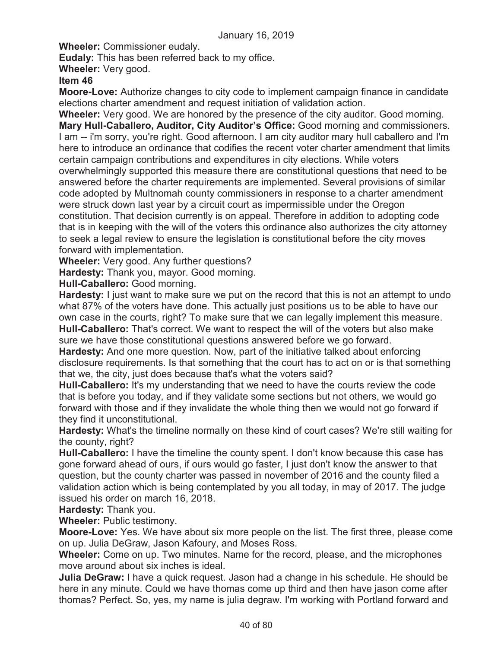**Wheeler:** Commissioner eudaly.

**Eudaly:** This has been referred back to my office.

**Wheeler:** Very good.

# **Item 46**

**Moore-Love:** Authorize changes to city code to implement campaign finance in candidate elections charter amendment and request initiation of validation action.

**Wheeler:** Very good. We are honored by the presence of the city auditor. Good morning. **Mary Hull-Caballero, Auditor, City Auditor's Office:** Good morning and commissioners. I am -- i'm sorry, you're right. Good afternoon. I am city auditor mary hull caballero and I'm here to introduce an ordinance that codifies the recent voter charter amendment that limits certain campaign contributions and expenditures in city elections. While voters

overwhelmingly supported this measure there are constitutional questions that need to be answered before the charter requirements are implemented. Several provisions of similar code adopted by Multnomah county commissioners in response to a charter amendment were struck down last year by a circuit court as impermissible under the Oregon constitution. That decision currently is on appeal. Therefore in addition to adopting code that is in keeping with the will of the voters this ordinance also authorizes the city attorney to seek a legal review to ensure the legislation is constitutional before the city moves forward with implementation.

**Wheeler:** Very good. Any further questions?

**Hardesty:** Thank you, mayor. Good morning.

**Hull-Caballero:** Good morning.

**Hardesty:** I just want to make sure we put on the record that this is not an attempt to undo what 87% of the voters have done. This actually just positions us to be able to have our own case in the courts, right? To make sure that we can legally implement this measure. **Hull-Caballero:** That's correct. We want to respect the will of the voters but also make sure we have those constitutional questions answered before we go forward.

**Hardesty:** And one more question. Now, part of the initiative talked about enforcing disclosure requirements. Is that something that the court has to act on or is that something that we, the city, just does because that's what the voters said?

**Hull-Caballero:** It's my understanding that we need to have the courts review the code that is before you today, and if they validate some sections but not others, we would go forward with those and if they invalidate the whole thing then we would not go forward if they find it unconstitutional.

**Hardesty:** What's the timeline normally on these kind of court cases? We're still waiting for the county, right?

**Hull-Caballero:** I have the timeline the county spent. I don't know because this case has gone forward ahead of ours, if ours would go faster, I just don't know the answer to that question, but the county charter was passed in november of 2016 and the county filed a validation action which is being contemplated by you all today, in may of 2017. The judge issued his order on march 16, 2018.

**Hardesty:** Thank you.

**Wheeler:** Public testimony.

**Moore-Love:** Yes. We have about six more people on the list. The first three, please come on up. Julia DeGraw, Jason Kafoury, and Moses Ross.

**Wheeler:** Come on up. Two minutes. Name for the record, please, and the microphones move around about six inches is ideal.

**Julia DeGraw:** I have a quick request. Jason had a change in his schedule. He should be here in any minute. Could we have thomas come up third and then have jason come after thomas? Perfect. So, yes, my name is julia degraw. I'm working with Portland forward and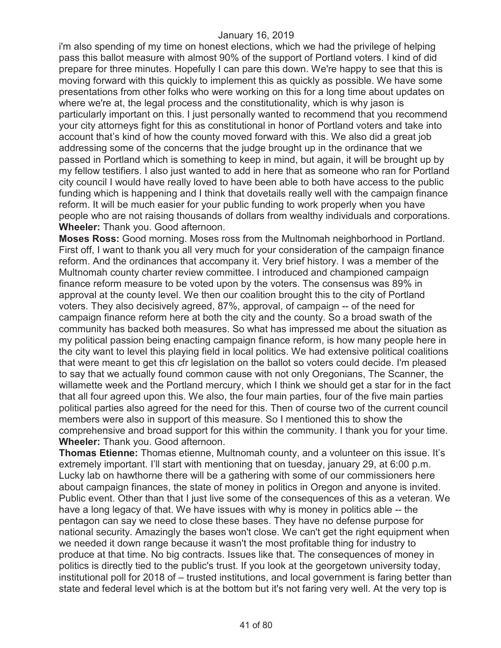i'm also spending of my time on honest elections, which we had the privilege of helping pass this ballot measure with almost 90% of the support of Portland voters. I kind of did prepare for three minutes. Hopefully I can pare this down. We're happy to see that this is moving forward with this quickly to implement this as quickly as possible. We have some presentations from other folks who were working on this for a long time about updates on where we're at, the legal process and the constitutionality, which is why jason is particularly important on this. I just personally wanted to recommend that you recommend your city attorneys fight for this as constitutional in honor of Portland voters and take into account that's kind of how the county moved forward with this. We also did a great job addressing some of the concerns that the judge brought up in the ordinance that we passed in Portland which is something to keep in mind, but again, it will be brought up by my fellow testifiers. I also just wanted to add in here that as someone who ran for Portland city council I would have really loved to have been able to both have access to the public funding which is happening and I think that dovetails really well with the campaign finance reform. It will be much easier for your public funding to work properly when you have people who are not raising thousands of dollars from wealthy individuals and corporations. **Wheeler:** Thank you. Good afternoon.

**Moses Ross:** Good morning. Moses ross from the Multnomah neighborhood in Portland. First off, I want to thank you all very much for your consideration of the campaign finance reform. And the ordinances that accompany it. Very brief history. I was a member of the Multnomah county charter review committee. I introduced and championed campaign finance reform measure to be voted upon by the voters. The consensus was 89% in approval at the county level. We then our coalition brought this to the city of Portland voters. They also decisively agreed, 87%, approval, of campaign -- of the need for campaign finance reform here at both the city and the county. So a broad swath of the community has backed both measures. So what has impressed me about the situation as my political passion being enacting campaign finance reform, is how many people here in the city want to level this playing field in local politics. We had extensive political coalitions that were meant to get this cfr legislation on the ballot so voters could decide. I'm pleased to say that we actually found common cause with not only Oregonians, The Scanner, the willamette week and the Portland mercury, which I think we should get a star for in the fact that all four agreed upon this. We also, the four main parties, four of the five main parties political parties also agreed for the need for this. Then of course two of the current council members were also in support of this measure. So I mentioned this to show the comprehensive and broad support for this within the community. I thank you for your time. **Wheeler:** Thank you. Good afternoon.

**Thomas Etienne:** Thomas etienne, Multnomah county, and a volunteer on this issue. It's extremely important. I'll start with mentioning that on tuesday, january 29, at 6:00 p.m. Lucky lab on hawthorne there will be a gathering with some of our commissioners here about campaign finances, the state of money in politics in Oregon and anyone is invited. Public event. Other than that I just live some of the consequences of this as a veteran. We have a long legacy of that. We have issues with why is money in politics able -- the pentagon can say we need to close these bases. They have no defense purpose for national security. Amazingly the bases won't close. We can't get the right equipment when we needed it down range because it wasn't the most profitable thing for industry to produce at that time. No big contracts. Issues like that. The consequences of money in politics is directly tied to the public's trust. If you look at the georgetown university today, institutional poll for 2018 of – trusted institutions, and local government is faring better than state and federal level which is at the bottom but it's not faring very well. At the very top is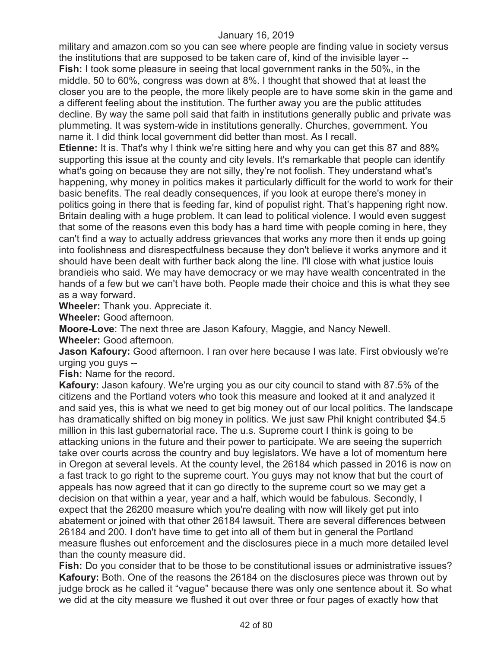military and amazon.com so you can see where people are finding value in society versus the institutions that are supposed to be taken care of, kind of the invisible layer -- **Fish:** I took some pleasure in seeing that local government ranks in the 50%, in the middle. 50 to 60%, congress was down at 8%. I thought that showed that at least the closer you are to the people, the more likely people are to have some skin in the game and a different feeling about the institution. The further away you are the public attitudes decline. By way the same poll said that faith in institutions generally public and private was plummeting. It was system-wide in institutions generally. Churches, government. You name it. I did think local government did better than most. As I recall.

**Etienne:** It is. That's why I think we're sitting here and why you can get this 87 and 88% supporting this issue at the county and city levels. It's remarkable that people can identify what's going on because they are not silly, they're not foolish. They understand what's happening, why money in politics makes it particularly difficult for the world to work for their basic benefits. The real deadly consequences, if you look at europe there's money in politics going in there that is feeding far, kind of populist right. That's happening right now. Britain dealing with a huge problem. It can lead to political violence. I would even suggest that some of the reasons even this body has a hard time with people coming in here, they can't find a way to actually address grievances that works any more then it ends up going into foolishness and disrespectfulness because they don't believe it works anymore and it should have been dealt with further back along the line. I'll close with what justice louis brandieis who said. We may have democracy or we may have wealth concentrated in the hands of a few but we can't have both. People made their choice and this is what they see as a way forward.

**Wheeler:** Thank you. Appreciate it.

**Wheeler:** Good afternoon.

**Moore-Love**: The next three are Jason Kafoury, Maggie, and Nancy Newell.

**Wheeler:** Good afternoon.

**Jason Kafoury:** Good afternoon. I ran over here because I was late. First obviously we're urging you guys --

**Fish:** Name for the record.

**Kafoury:** Jason kafoury. We're urging you as our city council to stand with 87.5% of the citizens and the Portland voters who took this measure and looked at it and analyzed it and said yes, this is what we need to get big money out of our local politics. The landscape has dramatically shifted on big money in politics. We just saw Phil knight contributed \$4.5 million in this last gubernatorial race. The u.s. Supreme court I think is going to be attacking unions in the future and their power to participate. We are seeing the superrich take over courts across the country and buy legislators. We have a lot of momentum here in Oregon at several levels. At the county level, the 26184 which passed in 2016 is now on a fast track to go right to the supreme court. You guys may not know that but the court of appeals has now agreed that it can go directly to the supreme court so we may get a decision on that within a year, year and a half, which would be fabulous. Secondly, I expect that the 26200 measure which you're dealing with now will likely get put into abatement or joined with that other 26184 lawsuit. There are several differences between 26184 and 200. I don't have time to get into all of them but in general the Portland measure flushes out enforcement and the disclosures piece in a much more detailed level than the county measure did.

**Fish:** Do you consider that to be those to be constitutional issues or administrative issues? **Kafoury:** Both. One of the reasons the 26184 on the disclosures piece was thrown out by judge brock as he called it "vague" because there was only one sentence about it. So what we did at the city measure we flushed it out over three or four pages of exactly how that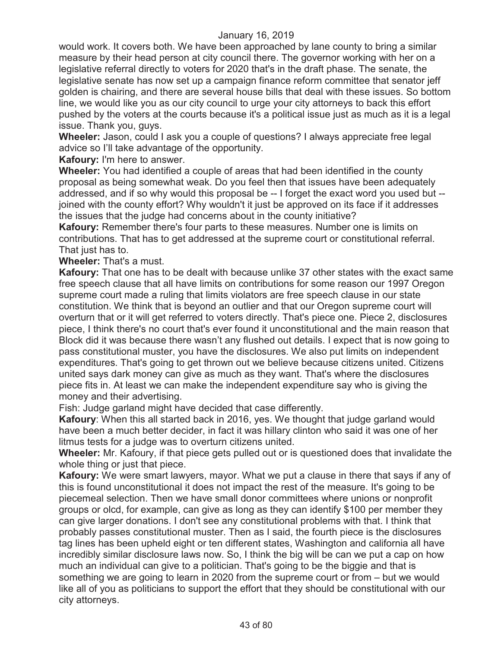would work. It covers both. We have been approached by lane county to bring a similar measure by their head person at city council there. The governor working with her on a legislative referral directly to voters for 2020 that's in the draft phase. The senate, the legislative senate has now set up a campaign finance reform committee that senator jeff golden is chairing, and there are several house bills that deal with these issues. So bottom line, we would like you as our city council to urge your city attorneys to back this effort pushed by the voters at the courts because it's a political issue just as much as it is a legal issue. Thank you, guys.

**Wheeler:** Jason, could I ask you a couple of questions? I always appreciate free legal advice so I'll take advantage of the opportunity.

**Kafoury:** I'm here to answer.

**Wheeler:** You had identified a couple of areas that had been identified in the county proposal as being somewhat weak. Do you feel then that issues have been adequately addressed, and if so why would this proposal be -- I forget the exact word you used but - joined with the county effort? Why wouldn't it just be approved on its face if it addresses the issues that the judge had concerns about in the county initiative?

**Kafoury:** Remember there's four parts to these measures. Number one is limits on contributions. That has to get addressed at the supreme court or constitutional referral. That just has to.

**Wheeler:** That's a must.

**Kafoury:** That one has to be dealt with because unlike 37 other states with the exact same free speech clause that all have limits on contributions for some reason our 1997 Oregon supreme court made a ruling that limits violators are free speech clause in our state constitution. We think that is beyond an outlier and that our Oregon supreme court will overturn that or it will get referred to voters directly. That's piece one. Piece 2, disclosures piece, I think there's no court that's ever found it unconstitutional and the main reason that Block did it was because there wasn't any flushed out details. I expect that is now going to pass constitutional muster, you have the disclosures. We also put limits on independent expenditures. That's going to get thrown out we believe because citizens united. Citizens united says dark money can give as much as they want. That's where the disclosures piece fits in. At least we can make the independent expenditure say who is giving the money and their advertising.

Fish: Judge garland might have decided that case differently.

**Kafoury**: When this all started back in 2016, yes. We thought that judge garland would have been a much better decider, in fact it was hillary clinton who said it was one of her litmus tests for a judge was to overturn citizens united.

**Wheeler:** Mr. Kafoury, if that piece gets pulled out or is questioned does that invalidate the whole thing or just that piece.

**Kafoury:** We were smart lawyers, mayor. What we put a clause in there that says if any of this is found unconstitutional it does not impact the rest of the measure. It's going to be piecemeal selection. Then we have small donor committees where unions or nonprofit groups or olcd, for example, can give as long as they can identify \$100 per member they can give larger donations. I don't see any constitutional problems with that. I think that probably passes constitutional muster. Then as I said, the fourth piece is the disclosures tag lines has been upheld eight or ten different states, Washington and california all have incredibly similar disclosure laws now. So, I think the big will be can we put a cap on how much an individual can give to a politician. That's going to be the biggie and that is something we are going to learn in 2020 from the supreme court or from – but we would like all of you as politicians to support the effort that they should be constitutional with our city attorneys.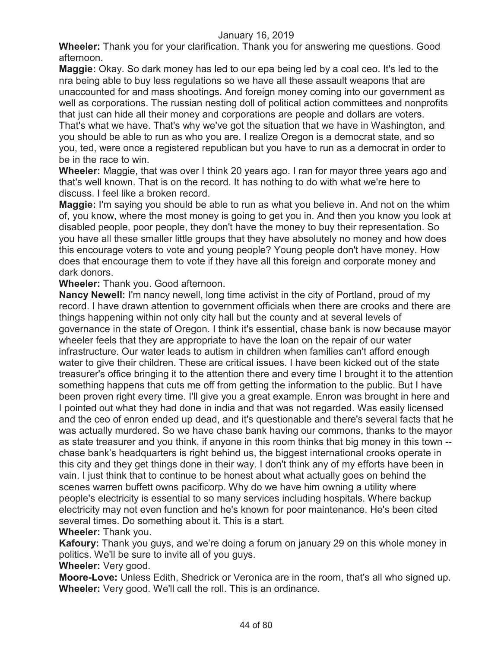**Wheeler:** Thank you for your clarification. Thank you for answering me questions. Good afternoon.

**Maggie:** Okay. So dark money has led to our epa being led by a coal ceo. It's led to the nra being able to buy less regulations so we have all these assault weapons that are unaccounted for and mass shootings. And foreign money coming into our government as well as corporations. The russian nesting doll of political action committees and nonprofits that just can hide all their money and corporations are people and dollars are voters. That's what we have. That's why we've got the situation that we have in Washington, and

you should be able to run as who you are. I realize Oregon is a democrat state, and so you, ted, were once a registered republican but you have to run as a democrat in order to be in the race to win.

**Wheeler:** Maggie, that was over I think 20 years ago. I ran for mayor three years ago and that's well known. That is on the record. It has nothing to do with what we're here to discuss. I feel like a broken record.

**Maggie:** I'm saying you should be able to run as what you believe in. And not on the whim of, you know, where the most money is going to get you in. And then you know you look at disabled people, poor people, they don't have the money to buy their representation. So you have all these smaller little groups that they have absolutely no money and how does this encourage voters to vote and young people? Young people don't have money. How does that encourage them to vote if they have all this foreign and corporate money and dark donors.

**Wheeler:** Thank you. Good afternoon.

**Nancy Newell:** I'm nancy newell, long time activist in the city of Portland, proud of my record. I have drawn attention to government officials when there are crooks and there are things happening within not only city hall but the county and at several levels of governance in the state of Oregon. I think it's essential, chase bank is now because mayor wheeler feels that they are appropriate to have the loan on the repair of our water infrastructure. Our water leads to autism in children when families can't afford enough water to give their children. These are critical issues. I have been kicked out of the state treasurer's office bringing it to the attention there and every time I brought it to the attention something happens that cuts me off from getting the information to the public. But I have been proven right every time. I'll give you a great example. Enron was brought in here and I pointed out what they had done in india and that was not regarded. Was easily licensed and the ceo of enron ended up dead, and it's questionable and there's several facts that he was actually murdered. So we have chase bank having our commons, thanks to the mayor as state treasurer and you think, if anyone in this room thinks that big money in this town - chase bank's headquarters is right behind us, the biggest international crooks operate in this city and they get things done in their way. I don't think any of my efforts have been in vain. I just think that to continue to be honest about what actually goes on behind the scenes warren buffett owns pacificorp. Why do we have him owning a utility where people's electricity is essential to so many services including hospitals. Where backup electricity may not even function and he's known for poor maintenance. He's been cited several times. Do something about it. This is a start.

# **Wheeler:** Thank you.

**Kafoury:** Thank you guys, and we're doing a forum on january 29 on this whole money in politics. We'll be sure to invite all of you guys.

**Wheeler:** Very good.

**Moore-Love:** Unless Edith, Shedrick or Veronica are in the room, that's all who signed up. **Wheeler:** Very good. We'll call the roll. This is an ordinance.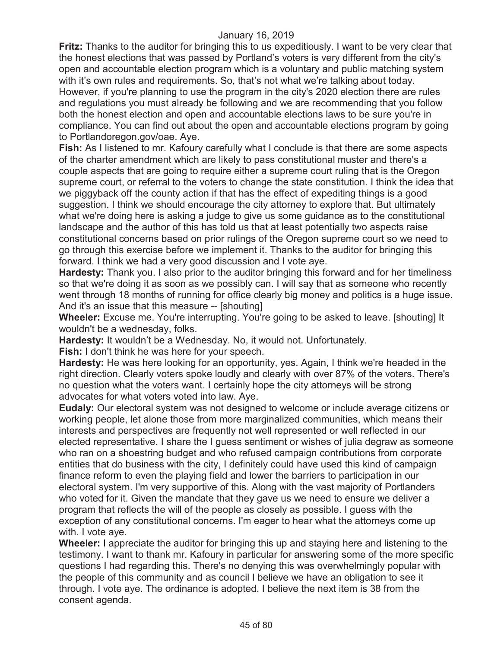**Fritz:** Thanks to the auditor for bringing this to us expeditiously. I want to be very clear that the honest elections that was passed by Portland's voters is very different from the city's open and accountable election program which is a voluntary and public matching system with it's own rules and requirements. So, that's not what we're talking about today. However, if you're planning to use the program in the city's 2020 election there are rules and regulations you must already be following and we are recommending that you follow both the honest election and open and accountable elections laws to be sure you're in compliance. You can find out about the open and accountable elections program by going to Portlandoregon.gov/oae. Aye.

**Fish:** As I listened to mr. Kafoury carefully what I conclude is that there are some aspects of the charter amendment which are likely to pass constitutional muster and there's a couple aspects that are going to require either a supreme court ruling that is the Oregon supreme court, or referral to the voters to change the state constitution. I think the idea that we piggyback off the county action if that has the effect of expediting things is a good suggestion. I think we should encourage the city attorney to explore that. But ultimately what we're doing here is asking a judge to give us some guidance as to the constitutional landscape and the author of this has told us that at least potentially two aspects raise constitutional concerns based on prior rulings of the Oregon supreme court so we need to go through this exercise before we implement it. Thanks to the auditor for bringing this forward. I think we had a very good discussion and I vote aye.

**Hardesty:** Thank you. I also prior to the auditor bringing this forward and for her timeliness so that we're doing it as soon as we possibly can. I will say that as someone who recently went through 18 months of running for office clearly big money and politics is a huge issue. And it's an issue that this measure -- [shouting]

**Wheeler:** Excuse me. You're interrupting. You're going to be asked to leave. [shouting] It wouldn't be a wednesday, folks.

**Hardesty:** It wouldn't be a Wednesday. No, it would not. Unfortunately.

**Fish:** I don't think he was here for your speech.

**Hardesty:** He was here looking for an opportunity, yes. Again, I think we're headed in the right direction. Clearly voters spoke loudly and clearly with over 87% of the voters. There's no question what the voters want. I certainly hope the city attorneys will be strong advocates for what voters voted into law. Aye.

**Eudaly:** Our electoral system was not designed to welcome or include average citizens or working people, let alone those from more marginalized communities, which means their interests and perspectives are frequently not well represented or well reflected in our elected representative. I share the I guess sentiment or wishes of julia degraw as someone who ran on a shoestring budget and who refused campaign contributions from corporate entities that do business with the city, I definitely could have used this kind of campaign finance reform to even the playing field and lower the barriers to participation in our electoral system. I'm very supportive of this. Along with the vast majority of Portlanders who voted for it. Given the mandate that they gave us we need to ensure we deliver a program that reflects the will of the people as closely as possible. I guess with the exception of any constitutional concerns. I'm eager to hear what the attorneys come up with. I vote aye.

**Wheeler:** I appreciate the auditor for bringing this up and staying here and listening to the testimony. I want to thank mr. Kafoury in particular for answering some of the more specific questions I had regarding this. There's no denying this was overwhelmingly popular with the people of this community and as council I believe we have an obligation to see it through. I vote aye. The ordinance is adopted. I believe the next item is 38 from the consent agenda.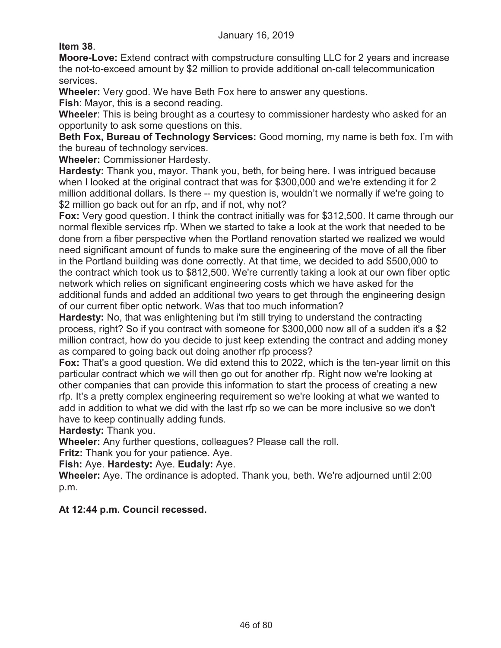**Item 38**.

**Moore-Love:** Extend contract with compstructure consulting LLC for 2 years and increase the not-to-exceed amount by \$2 million to provide additional on-call telecommunication services.

**Wheeler:** Very good. We have Beth Fox here to answer any questions.

**Fish**: Mayor, this is a second reading.

**Wheeler**: This is being brought as a courtesy to commissioner hardesty who asked for an opportunity to ask some questions on this.

**Beth Fox, Bureau of Technology Services:** Good morning, my name is beth fox. I'm with the bureau of technology services.

**Wheeler:** Commissioner Hardesty.

**Hardesty:** Thank you, mayor. Thank you, beth, for being here. I was intrigued because when I looked at the original contract that was for \$300,000 and we're extending it for 2 million additional dollars. Is there -- my question is, wouldn't we normally if we're going to \$2 million go back out for an rfp, and if not, why not?

**Fox:** Very good question. I think the contract initially was for \$312,500. It came through our normal flexible services rfp. When we started to take a look at the work that needed to be done from a fiber perspective when the Portland renovation started we realized we would need significant amount of funds to make sure the engineering of the move of all the fiber in the Portland building was done correctly. At that time, we decided to add \$500,000 to the contract which took us to \$812,500. We're currently taking a look at our own fiber optic network which relies on significant engineering costs which we have asked for the additional funds and added an additional two years to get through the engineering design of our current fiber optic network. Was that too much information?

**Hardesty:** No, that was enlightening but i'm still trying to understand the contracting process, right? So if you contract with someone for \$300,000 now all of a sudden it's a \$2 million contract, how do you decide to just keep extending the contract and adding money as compared to going back out doing another rfp process?

**Fox:** That's a good question. We did extend this to 2022, which is the ten-year limit on this particular contract which we will then go out for another rfp. Right now we're looking at other companies that can provide this information to start the process of creating a new rfp. It's a pretty complex engineering requirement so we're looking at what we wanted to add in addition to what we did with the last rfp so we can be more inclusive so we don't have to keep continually adding funds.

**Hardesty:** Thank you.

**Wheeler:** Any further questions, colleagues? Please call the roll.

**Fritz:** Thank you for your patience. Aye.

**Fish:** Aye. **Hardesty:** Aye. **Eudaly:** Aye.

**Wheeler:** Aye. The ordinance is adopted. Thank you, beth. We're adjourned until 2:00 p.m.

# **At 12:44 p.m. Council recessed.**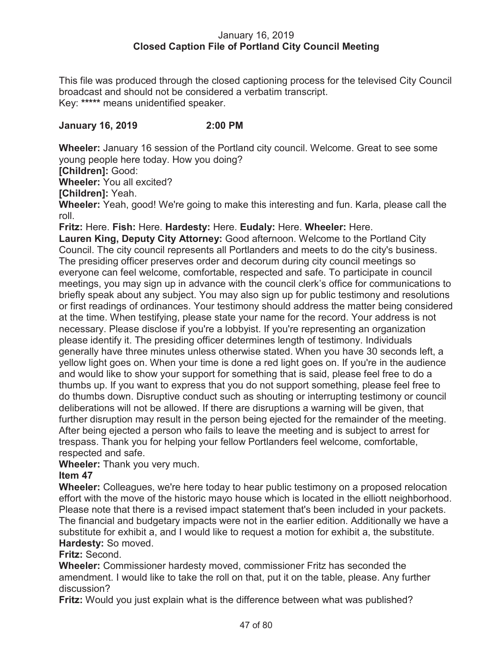# January 16, 2019 **Closed Caption File of Portland City Council Meeting**

This file was produced through the closed captioning process for the televised City Council broadcast and should not be considered a verbatim transcript. Key: **\*\*\*\*\*** means unidentified speaker.

# **January 16, 2019 2:00 PM**

**Wheeler:** January 16 session of the Portland city council. Welcome. Great to see some young people here today. How you doing?

**[Children]:** Good:

**Wheeler:** You all excited?

**[Children]:** Yeah.

**Wheeler:** Yeah, good! We're going to make this interesting and fun. Karla, please call the roll.

**Fritz:** Here. **Fish:** Here. **Hardesty:** Here. **Eudaly:** Here. **Wheeler:** Here.

**Lauren King, Deputy City Attorney:** Good afternoon. Welcome to the Portland City Council. The city council represents all Portlanders and meets to do the city's business. The presiding officer preserves order and decorum during city council meetings so everyone can feel welcome, comfortable, respected and safe. To participate in council meetings, you may sign up in advance with the council clerk's office for communications to briefly speak about any subject. You may also sign up for public testimony and resolutions or first readings of ordinances. Your testimony should address the matter being considered at the time. When testifying, please state your name for the record. Your address is not necessary. Please disclose if you're a lobbyist. If you're representing an organization please identify it. The presiding officer determines length of testimony. Individuals generally have three minutes unless otherwise stated. When you have 30 seconds left, a yellow light goes on. When your time is done a red light goes on. If you're in the audience and would like to show your support for something that is said, please feel free to do a thumbs up. If you want to express that you do not support something, please feel free to do thumbs down. Disruptive conduct such as shouting or interrupting testimony or council deliberations will not be allowed. If there are disruptions a warning will be given, that further disruption may result in the person being ejected for the remainder of the meeting. After being ejected a person who fails to leave the meeting and is subject to arrest for trespass. Thank you for helping your fellow Portlanders feel welcome, comfortable, respected and safe.

**Wheeler:** Thank you very much.

# **Item 47**

**Wheeler:** Colleagues, we're here today to hear public testimony on a proposed relocation effort with the move of the historic mayo house which is located in the elliott neighborhood. Please note that there is a revised impact statement that's been included in your packets. The financial and budgetary impacts were not in the earlier edition. Additionally we have a substitute for exhibit a, and I would like to request a motion for exhibit a, the substitute. **Hardesty:** So moved.

# **Fritz:** Second.

**Wheeler:** Commissioner hardesty moved, commissioner Fritz has seconded the amendment. I would like to take the roll on that, put it on the table, please. Any further discussion?

**Fritz:** Would you just explain what is the difference between what was published?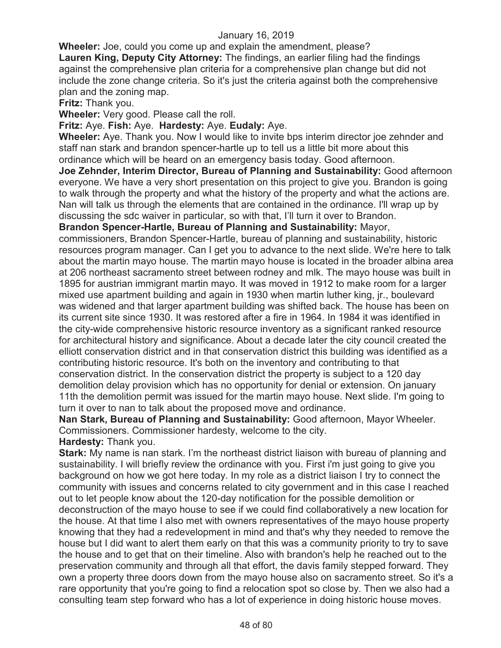**Wheeler:** Joe, could you come up and explain the amendment, please? **Lauren King, Deputy City Attorney:** The findings, an earlier filing had the findings against the comprehensive plan criteria for a comprehensive plan change but did not include the zone change criteria. So it's just the criteria against both the comprehensive plan and the zoning map.

**Fritz:** Thank you.

**Wheeler:** Very good. Please call the roll.

**Fritz:** Aye. **Fish:** Aye. **Hardesty:** Aye. **Eudaly:** Aye.

**Wheeler:** Aye. Thank you. Now I would like to invite bps interim director joe zehnder and staff nan stark and brandon spencer-hartle up to tell us a little bit more about this ordinance which will be heard on an emergency basis today. Good afternoon.

**Joe Zehnder, Interim Director, Bureau of Planning and Sustainability:** Good afternoon everyone. We have a very short presentation on this project to give you. Brandon is going to walk through the property and what the history of the property and what the actions are. Nan will talk us through the elements that are contained in the ordinance. I'll wrap up by discussing the sdc waiver in particular, so with that, I'll turn it over to Brandon.

**Brandon Spencer-Hartle, Bureau of Planning and Sustainability:** Mayor,

commissioners, Brandon Spencer-Hartle, bureau of planning and sustainability, historic resources program manager. Can I get you to advance to the next slide. We're here to talk about the martin mayo house. The martin mayo house is located in the broader albina area at 206 northeast sacramento street between rodney and mlk. The mayo house was built in 1895 for austrian immigrant martin mayo. It was moved in 1912 to make room for a larger mixed use apartment building and again in 1930 when martin luther king, jr., boulevard was widened and that larger apartment building was shifted back. The house has been on its current site since 1930. It was restored after a fire in 1964. In 1984 it was identified in the city-wide comprehensive historic resource inventory as a significant ranked resource for architectural history and significance. About a decade later the city council created the elliott conservation district and in that conservation district this building was identified as a contributing historic resource. It's both on the inventory and contributing to that conservation district. In the conservation district the property is subject to a 120 day demolition delay provision which has no opportunity for denial or extension. On january 11th the demolition permit was issued for the martin mayo house. Next slide. I'm going to turn it over to nan to talk about the proposed move and ordinance.

**Nan Stark, Bureau of Planning and Sustainability:** Good afternoon, Mayor Wheeler. Commissioners. Commissioner hardesty, welcome to the city.

**Hardesty:** Thank you.

**Stark:** My name is nan stark. I'm the northeast district liaison with bureau of planning and sustainability. I will briefly review the ordinance with you. First i'm just going to give you background on how we got here today. In my role as a district liaison I try to connect the community with issues and concerns related to city government and in this case I reached out to let people know about the 120-day notification for the possible demolition or deconstruction of the mayo house to see if we could find collaboratively a new location for the house. At that time I also met with owners representatives of the mayo house property knowing that they had a redevelopment in mind and that's why they needed to remove the house but I did want to alert them early on that this was a community priority to try to save the house and to get that on their timeline. Also with brandon's help he reached out to the preservation community and through all that effort, the davis family stepped forward. They own a property three doors down from the mayo house also on sacramento street. So it's a rare opportunity that you're going to find a relocation spot so close by. Then we also had a consulting team step forward who has a lot of experience in doing historic house moves.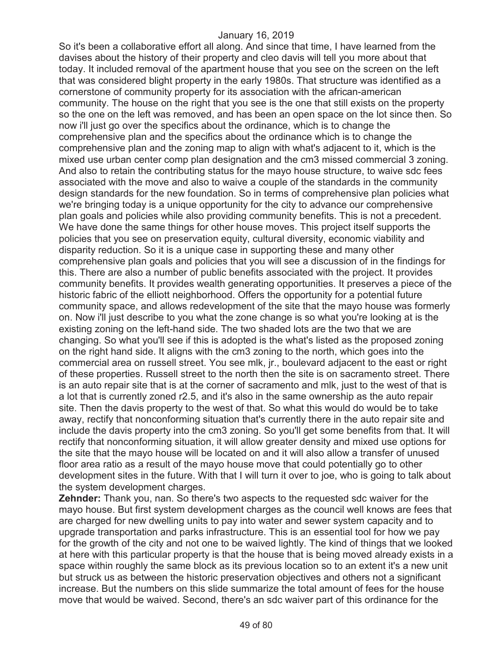So it's been a collaborative effort all along. And since that time, I have learned from the davises about the history of their property and cleo davis will tell you more about that today. It included removal of the apartment house that you see on the screen on the left that was considered blight property in the early 1980s. That structure was identified as a cornerstone of community property for its association with the african-american community. The house on the right that you see is the one that still exists on the property so the one on the left was removed, and has been an open space on the lot since then. So now i'll just go over the specifics about the ordinance, which is to change the comprehensive plan and the specifics about the ordinance which is to change the comprehensive plan and the zoning map to align with what's adjacent to it, which is the mixed use urban center comp plan designation and the cm3 missed commercial 3 zoning. And also to retain the contributing status for the mayo house structure, to waive sdc fees associated with the move and also to waive a couple of the standards in the community design standards for the new foundation. So in terms of comprehensive plan policies what we're bringing today is a unique opportunity for the city to advance our comprehensive plan goals and policies while also providing community benefits. This is not a precedent. We have done the same things for other house moves. This project itself supports the policies that you see on preservation equity, cultural diversity, economic viability and disparity reduction. So it is a unique case in supporting these and many other comprehensive plan goals and policies that you will see a discussion of in the findings for this. There are also a number of public benefits associated with the project. It provides community benefits. It provides wealth generating opportunities. It preserves a piece of the historic fabric of the elliott neighborhood. Offers the opportunity for a potential future community space, and allows redevelopment of the site that the mayo house was formerly on. Now i'll just describe to you what the zone change is so what you're looking at is the existing zoning on the left-hand side. The two shaded lots are the two that we are changing. So what you'll see if this is adopted is the what's listed as the proposed zoning on the right hand side. It aligns with the cm3 zoning to the north, which goes into the commercial area on russell street. You see mlk, jr., boulevard adjacent to the east or right of these properties. Russell street to the north then the site is on sacramento street. There is an auto repair site that is at the corner of sacramento and mlk, just to the west of that is a lot that is currently zoned r2.5, and it's also in the same ownership as the auto repair site. Then the davis property to the west of that. So what this would do would be to take away, rectify that nonconforming situation that's currently there in the auto repair site and include the davis property into the cm3 zoning. So you'll get some benefits from that. It will rectify that nonconforming situation, it will allow greater density and mixed use options for the site that the mayo house will be located on and it will also allow a transfer of unused floor area ratio as a result of the mayo house move that could potentially go to other development sites in the future. With that I will turn it over to joe, who is going to talk about the system development charges.

**Zehnder:** Thank you, nan. So there's two aspects to the requested sdc waiver for the mayo house. But first system development charges as the council well knows are fees that are charged for new dwelling units to pay into water and sewer system capacity and to upgrade transportation and parks infrastructure. This is an essential tool for how we pay for the growth of the city and not one to be waived lightly. The kind of things that we looked at here with this particular property is that the house that is being moved already exists in a space within roughly the same block as its previous location so to an extent it's a new unit but struck us as between the historic preservation objectives and others not a significant increase. But the numbers on this slide summarize the total amount of fees for the house move that would be waived. Second, there's an sdc waiver part of this ordinance for the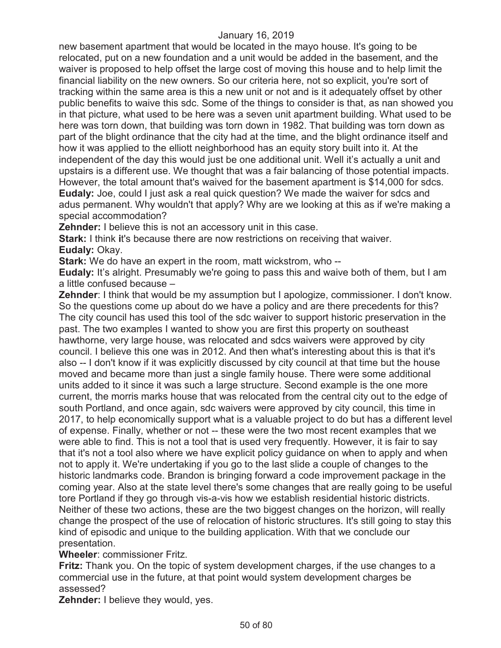new basement apartment that would be located in the mayo house. It's going to be relocated, put on a new foundation and a unit would be added in the basement, and the waiver is proposed to help offset the large cost of moving this house and to help limit the financial liability on the new owners. So our criteria here, not so explicit, you're sort of tracking within the same area is this a new unit or not and is it adequately offset by other public benefits to waive this sdc. Some of the things to consider is that, as nan showed you in that picture, what used to be here was a seven unit apartment building. What used to be here was torn down, that building was torn down in 1982. That building was torn down as part of the blight ordinance that the city had at the time, and the blight ordinance itself and how it was applied to the elliott neighborhood has an equity story built into it. At the independent of the day this would just be one additional unit. Well it's actually a unit and upstairs is a different use. We thought that was a fair balancing of those potential impacts. However, the total amount that's waived for the basement apartment is \$14,000 for sdcs. **Eudaly:** Joe, could I just ask a real quick question? We made the waiver for sdcs and adus permanent. Why wouldn't that apply? Why are we looking at this as if we're making a special accommodation?

**Zehnder:** I believe this is not an accessory unit in this case.

**Stark:** I think it's because there are now restrictions on receiving that waiver. **Eudaly:** Okay.

**Stark:** We do have an expert in the room, matt wickstrom, who --

**Eudaly:** It's alright. Presumably we're going to pass this and waive both of them, but I am a little confused because –

**Zehnder**: I think that would be my assumption but I apologize, commissioner. I don't know. So the questions come up about do we have a policy and are there precedents for this? The city council has used this tool of the sdc waiver to support historic preservation in the past. The two examples I wanted to show you are first this property on southeast hawthorne, very large house, was relocated and sdcs waivers were approved by city council. I believe this one was in 2012. And then what's interesting about this is that it's also -- I don't know if it was explicitly discussed by city council at that time but the house moved and became more than just a single family house. There were some additional units added to it since it was such a large structure. Second example is the one more current, the morris marks house that was relocated from the central city out to the edge of south Portland, and once again, sdc waivers were approved by city council, this time in 2017, to help economically support what is a valuable project to do but has a different level of expense. Finally, whether or not -- these were the two most recent examples that we were able to find. This is not a tool that is used very frequently. However, it is fair to say that it's not a tool also where we have explicit policy guidance on when to apply and when not to apply it. We're undertaking if you go to the last slide a couple of changes to the historic landmarks code. Brandon is bringing forward a code improvement package in the coming year. Also at the state level there's some changes that are really going to be useful tore Portland if they go through vis-a-vis how we establish residential historic districts. Neither of these two actions, these are the two biggest changes on the horizon, will really change the prospect of the use of relocation of historic structures. It's still going to stay this kind of episodic and unique to the building application. With that we conclude our presentation.

#### **Wheeler**: commissioner Fritz.

**Fritz:** Thank you. On the topic of system development charges, if the use changes to a commercial use in the future, at that point would system development charges be assessed?

**Zehnder:** I believe they would, yes.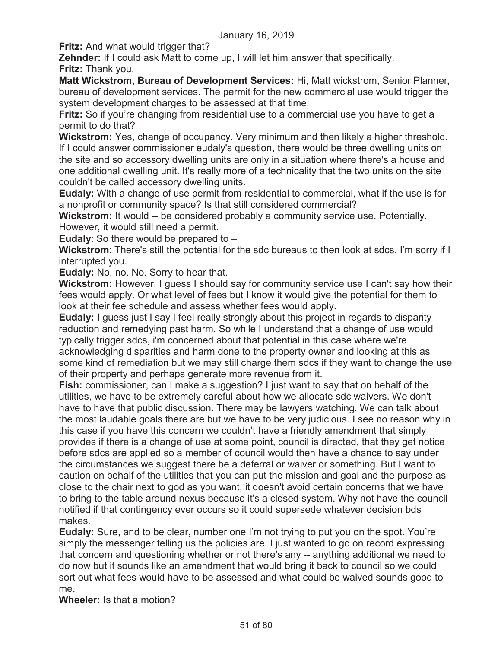**Fritz:** And what would trigger that?

**Zehnder:** If I could ask Matt to come up, I will let him answer that specifically. **Fritz:** Thank you.

**Matt Wickstrom, Bureau of Development Services:** Hi, Matt wickstrom, Senior Planner**,**  bureau of development services. The permit for the new commercial use would trigger the system development charges to be assessed at that time.

**Fritz:** So if you're changing from residential use to a commercial use you have to get a permit to do that?

**Wickstrom:** Yes, change of occupancy. Very minimum and then likely a higher threshold. If I could answer commissioner eudaly's question, there would be three dwelling units on the site and so accessory dwelling units are only in a situation where there's a house and one additional dwelling unit. It's really more of a technicality that the two units on the site couldn't be called accessory dwelling units.

**Eudaly:** With a change of use permit from residential to commercial, what if the use is for a nonprofit or community space? Is that still considered commercial?

**Wickstrom:** It would -- be considered probably a community service use. Potentially. However, it would still need a permit.

**Eudaly**: So there would be prepared to –

**Wickstrom**: There's still the potential for the sdc bureaus to then look at sdcs. I'm sorry if I interrupted you.

**Eudaly:** No, no. No. Sorry to hear that.

**Wickstrom:** However, I guess I should say for community service use I can't say how their fees would apply. Or what level of fees but I know it would give the potential for them to look at their fee schedule and assess whether fees would apply.

**Eudaly:** I guess just I say I feel really strongly about this project in regards to disparity reduction and remedying past harm. So while I understand that a change of use would typically trigger sdcs, i'm concerned about that potential in this case where we're acknowledging disparities and harm done to the property owner and looking at this as some kind of remediation but we may still charge them sdcs if they want to change the use of their property and perhaps generate more revenue from it.

**Fish:** commissioner, can I make a suggestion? I just want to say that on behalf of the utilities, we have to be extremely careful about how we allocate sdc waivers. We don't have to have that public discussion. There may be lawyers watching. We can talk about the most laudable goals there are but we have to be very judicious. I see no reason why in this case if you have this concern we couldn't have a friendly amendment that simply provides if there is a change of use at some point, council is directed, that they get notice before sdcs are applied so a member of council would then have a chance to say under the circumstances we suggest there be a deferral or waiver or something. But I want to caution on behalf of the utilities that you can put the mission and goal and the purpose as close to the chair next to god as you want, it doesn't avoid certain concerns that we have to bring to the table around nexus because it's a closed system. Why not have the council notified if that contingency ever occurs so it could supersede whatever decision bds makes.

**Eudaly:** Sure, and to be clear, number one I'm not trying to put you on the spot. You're simply the messenger telling us the policies are. I just wanted to go on record expressing that concern and questioning whether or not there's any -- anything additional we need to do now but it sounds like an amendment that would bring it back to council so we could sort out what fees would have to be assessed and what could be waived sounds good to me.

**Wheeler:** Is that a motion?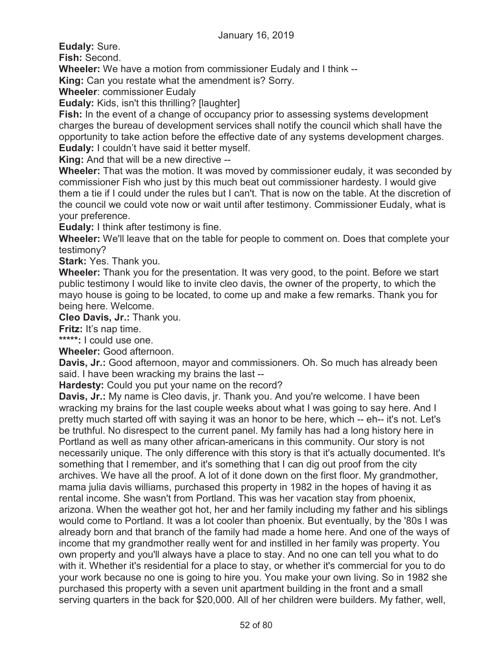**Eudaly:** Sure.

**Fish:** Second.

**Wheeler:** We have a motion from commissioner Eudaly and I think --

**King:** Can you restate what the amendment is? Sorry.

**Wheeler**: commissioner Eudaly

**Eudaly:** Kids, isn't this thrilling? [laughter]

**Fish:** In the event of a change of occupancy prior to assessing systems development charges the bureau of development services shall notify the council which shall have the opportunity to take action before the effective date of any systems development charges. **Eudaly:** I couldn't have said it better myself.

**King:** And that will be a new directive --

**Wheeler:** That was the motion. It was moved by commissioner eudaly, it was seconded by commissioner Fish who just by this much beat out commissioner hardesty. I would give them a tie if I could under the rules but I can't. That is now on the table. At the discretion of the council we could vote now or wait until after testimony. Commissioner Eudaly, what is your preference.

**Eudaly:** I think after testimony is fine.

**Wheeler:** We'll leave that on the table for people to comment on. Does that complete your testimony?

**Stark:** Yes. Thank you.

**Wheeler:** Thank you for the presentation. It was very good, to the point. Before we start public testimony I would like to invite cleo davis, the owner of the property, to which the mayo house is going to be located, to come up and make a few remarks. Thank you for being here. Welcome.

**Cleo Davis, Jr.:** Thank you.

**Fritz:** It's nap time.

**\*\*\*\*\*:** I could use one.

**Wheeler:** Good afternoon.

**Davis, Jr.:** Good afternoon, mayor and commissioners. Oh. So much has already been said. I have been wracking my brains the last --

**Hardesty:** Could you put your name on the record?

**Davis, Jr.:** My name is Cleo davis, jr. Thank you. And you're welcome. I have been wracking my brains for the last couple weeks about what I was going to say here. And I pretty much started off with saying it was an honor to be here, which -- eh-- it's not. Let's be truthful. No disrespect to the current panel. My family has had a long history here in Portland as well as many other african-americans in this community. Our story is not necessarily unique. The only difference with this story is that it's actually documented. It's something that I remember, and it's something that I can dig out proof from the city archives. We have all the proof. A lot of it done down on the first floor. My grandmother, mama julia davis williams, purchased this property in 1982 in the hopes of having it as rental income. She wasn't from Portland. This was her vacation stay from phoenix, arizona. When the weather got hot, her and her family including my father and his siblings would come to Portland. It was a lot cooler than phoenix. But eventually, by the '80s I was already born and that branch of the family had made a home here. And one of the ways of income that my grandmother really went for and instilled in her family was property. You own property and you'll always have a place to stay. And no one can tell you what to do with it. Whether it's residential for a place to stay, or whether it's commercial for you to do your work because no one is going to hire you. You make your own living. So in 1982 she purchased this property with a seven unit apartment building in the front and a small serving quarters in the back for \$20,000. All of her children were builders. My father, well,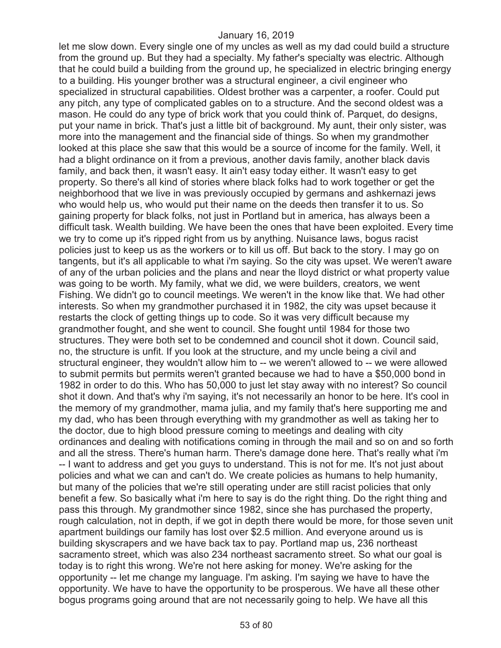let me slow down. Every single one of my uncles as well as my dad could build a structure from the ground up. But they had a specialty. My father's specialty was electric. Although that he could build a building from the ground up, he specialized in electric bringing energy to a building. His younger brother was a structural engineer, a civil engineer who specialized in structural capabilities. Oldest brother was a carpenter, a roofer. Could put any pitch, any type of complicated gables on to a structure. And the second oldest was a mason. He could do any type of brick work that you could think of. Parquet, do designs, put your name in brick. That's just a little bit of background. My aunt, their only sister, was more into the management and the financial side of things. So when my grandmother looked at this place she saw that this would be a source of income for the family. Well, it had a blight ordinance on it from a previous, another davis family, another black davis family, and back then, it wasn't easy. It ain't easy today either. It wasn't easy to get property. So there's all kind of stories where black folks had to work together or get the neighborhood that we live in was previously occupied by germans and ashkernazi jews who would help us, who would put their name on the deeds then transfer it to us. So gaining property for black folks, not just in Portland but in america, has always been a difficult task. Wealth building. We have been the ones that have been exploited. Every time we try to come up it's ripped right from us by anything. Nuisance laws, bogus racist policies just to keep us as the workers or to kill us off. But back to the story. I may go on tangents, but it's all applicable to what i'm saying. So the city was upset. We weren't aware of any of the urban policies and the plans and near the lloyd district or what property value was going to be worth. My family, what we did, we were builders, creators, we went Fishing. We didn't go to council meetings. We weren't in the know like that. We had other interests. So when my grandmother purchased it in 1982, the city was upset because it restarts the clock of getting things up to code. So it was very difficult because my grandmother fought, and she went to council. She fought until 1984 for those two structures. They were both set to be condemned and council shot it down. Council said, no, the structure is unfit. If you look at the structure, and my uncle being a civil and structural engineer, they wouldn't allow him to -- we weren't allowed to -- we were allowed to submit permits but permits weren't granted because we had to have a \$50,000 bond in 1982 in order to do this. Who has 50,000 to just let stay away with no interest? So council shot it down. And that's why i'm saying, it's not necessarily an honor to be here. It's cool in the memory of my grandmother, mama julia, and my family that's here supporting me and my dad, who has been through everything with my grandmother as well as taking her to the doctor, due to high blood pressure coming to meetings and dealing with city ordinances and dealing with notifications coming in through the mail and so on and so forth and all the stress. There's human harm. There's damage done here. That's really what i'm -- I want to address and get you guys to understand. This is not for me. It's not just about policies and what we can and can't do. We create policies as humans to help humanity, but many of the policies that we're still operating under are still racist policies that only benefit a few. So basically what i'm here to say is do the right thing. Do the right thing and pass this through. My grandmother since 1982, since she has purchased the property, rough calculation, not in depth, if we got in depth there would be more, for those seven unit apartment buildings our family has lost over \$2.5 million. And everyone around us is building skyscrapers and we have back tax to pay. Portland map us, 236 northeast sacramento street, which was also 234 northeast sacramento street. So what our goal is today is to right this wrong. We're not here asking for money. We're asking for the opportunity -- let me change my language. I'm asking. I'm saying we have to have the opportunity. We have to have the opportunity to be prosperous. We have all these other bogus programs going around that are not necessarily going to help. We have all this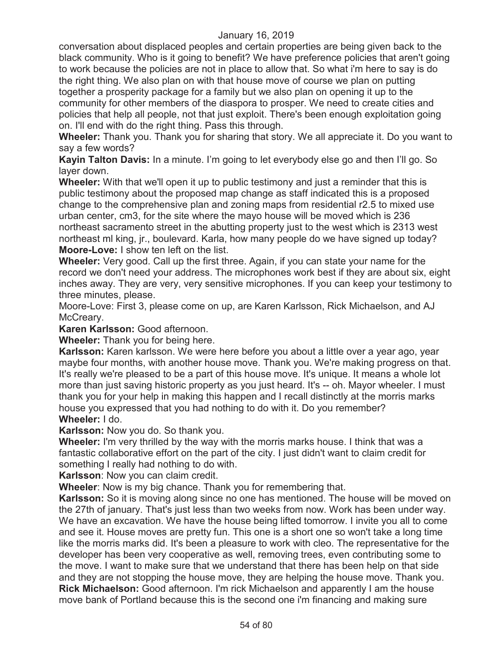conversation about displaced peoples and certain properties are being given back to the black community. Who is it going to benefit? We have preference policies that aren't going to work because the policies are not in place to allow that. So what i'm here to say is do the right thing. We also plan on with that house move of course we plan on putting together a prosperity package for a family but we also plan on opening it up to the community for other members of the diaspora to prosper. We need to create cities and policies that help all people, not that just exploit. There's been enough exploitation going on. I'll end with do the right thing. Pass this through.

**Wheeler:** Thank you. Thank you for sharing that story. We all appreciate it. Do you want to say a few words?

**Kayin Talton Davis:** In a minute. I'm going to let everybody else go and then I'll go. So layer down.

**Wheeler:** With that we'll open it up to public testimony and just a reminder that this is public testimony about the proposed map change as staff indicated this is a proposed change to the comprehensive plan and zoning maps from residential r2.5 to mixed use urban center, cm3, for the site where the mayo house will be moved which is 236 northeast sacramento street in the abutting property just to the west which is 2313 west northeast ml king, jr., boulevard. Karla, how many people do we have signed up today? **Moore-Love:** I show ten left on the list.

**Wheeler:** Very good. Call up the first three. Again, if you can state your name for the record we don't need your address. The microphones work best if they are about six, eight inches away. They are very, very sensitive microphones. If you can keep your testimony to three minutes, please.

Moore-Love: First 3, please come on up, are Karen Karlsson, Rick Michaelson, and AJ McCreary.

**Karen Karlsson:** Good afternoon.

**Wheeler:** Thank you for being here.

**Karlsson:** Karen karlsson. We were here before you about a little over a year ago, year maybe four months, with another house move. Thank you. We're making progress on that. It's really we're pleased to be a part of this house move. It's unique. It means a whole lot more than just saving historic property as you just heard. It's -- oh. Mayor wheeler. I must thank you for your help in making this happen and I recall distinctly at the morris marks house you expressed that you had nothing to do with it. Do you remember? **Wheeler:** I do.

**Karlsson:** Now you do. So thank you.

**Wheeler:** I'm very thrilled by the way with the morris marks house. I think that was a fantastic collaborative effort on the part of the city. I just didn't want to claim credit for something I really had nothing to do with.

**Karlsson**: Now you can claim credit.

**Wheeler**: Now is my big chance. Thank you for remembering that.

**Karlsson:** So it is moving along since no one has mentioned. The house will be moved on the 27th of january. That's just less than two weeks from now. Work has been under way. We have an excavation. We have the house being lifted tomorrow. I invite you all to come and see it. House moves are pretty fun. This one is a short one so won't take a long time like the morris marks did. It's been a pleasure to work with cleo. The representative for the developer has been very cooperative as well, removing trees, even contributing some to the move. I want to make sure that we understand that there has been help on that side and they are not stopping the house move, they are helping the house move. Thank you. **Rick Michaelson:** Good afternoon. I'm rick Michaelson and apparently I am the house move bank of Portland because this is the second one i'm financing and making sure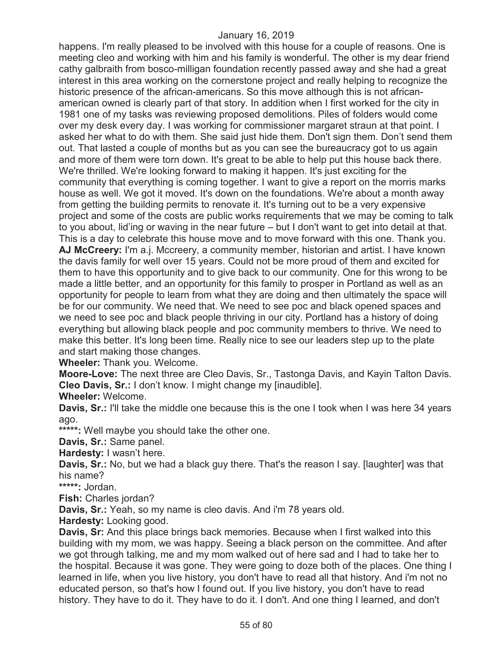happens. I'm really pleased to be involved with this house for a couple of reasons. One is meeting cleo and working with him and his family is wonderful. The other is my dear friend cathy galbraith from bosco-milligan foundation recently passed away and she had a great interest in this area working on the cornerstone project and really helping to recognize the historic presence of the african-americans. So this move although this is not africanamerican owned is clearly part of that story. In addition when I first worked for the city in 1981 one of my tasks was reviewing proposed demolitions. Piles of folders would come over my desk every day. I was working for commissioner margaret straun at that point. I asked her what to do with them. She said just hide them. Don't sign them. Don't send them out. That lasted a couple of months but as you can see the bureaucracy got to us again and more of them were torn down. It's great to be able to help put this house back there. We're thrilled. We're looking forward to making it happen. It's just exciting for the community that everything is coming together. I want to give a report on the morris marks house as well. We got it moved. It's down on the foundations. We're about a month away from getting the building permits to renovate it. It's turning out to be a very expensive project and some of the costs are public works requirements that we may be coming to talk to you about, lid'ing or waving in the near future – but I don't want to get into detail at that. This is a day to celebrate this house move and to move forward with this one. Thank you. **AJ McCreery:** I'm a.j. Mccreery, a community member, historian and artist. I have known the davis family for well over 15 years. Could not be more proud of them and excited for them to have this opportunity and to give back to our community. One for this wrong to be made a little better, and an opportunity for this family to prosper in Portland as well as an opportunity for people to learn from what they are doing and then ultimately the space will be for our community. We need that. We need to see poc and black opened spaces and we need to see poc and black people thriving in our city. Portland has a history of doing everything but allowing black people and poc community members to thrive. We need to make this better. It's long been time. Really nice to see our leaders step up to the plate and start making those changes.

**Wheeler:** Thank you. Welcome.

**Moore-Love:** The next three are Cleo Davis, Sr., Tastonga Davis, and Kayin Talton Davis. **Cleo Davis, Sr.:** I don't know. I might change my [inaudible].

**Wheeler:** Welcome.

**Davis, Sr.:** I'll take the middle one because this is the one I took when I was here 34 years ago.

**\*\*\*\*\*:** Well maybe you should take the other one.

**Davis, Sr.:** Same panel.

**Hardesty:** I wasn't here.

**Davis, Sr.:** No, but we had a black guy there. That's the reason I say. [laughter] was that his name?

**\*\*\*\*\*:** Jordan.

**Fish:** Charles jordan?

**Davis, Sr.:** Yeah, so my name is cleo davis. And i'm 78 years old.

**Hardesty:** Looking good.

**Davis, Sr:** And this place brings back memories. Because when I first walked into this building with my mom, we was happy. Seeing a black person on the committee. And after we got through talking, me and my mom walked out of here sad and I had to take her to the hospital. Because it was gone. They were going to doze both of the places. One thing I learned in life, when you live history, you don't have to read all that history. And i'm not no educated person, so that's how I found out. If you live history, you don't have to read history. They have to do it. They have to do it. I don't. And one thing I learned, and don't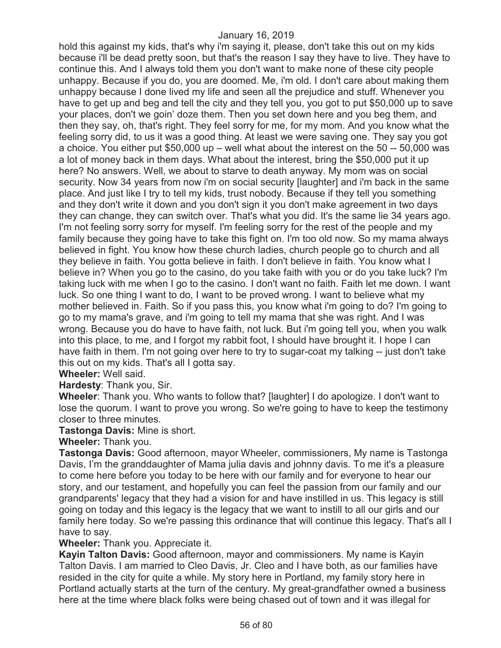hold this against my kids, that's why i'm saying it, please, don't take this out on my kids because i'll be dead pretty soon, but that's the reason I say they have to live. They have to continue this. And I always told them you don't want to make none of these city people unhappy. Because if you do, you are doomed. Me, i'm old. I don't care about making them unhappy because I done lived my life and seen all the prejudice and stuff. Whenever you have to get up and beg and tell the city and they tell you, you got to put \$50,000 up to save your places, don't we goin' doze them. Then you set down here and you beg them, and then they say, oh, that's right. They feel sorry for me, for my mom. And you know what the feeling sorry did, to us it was a good thing. At least we were saving one. They say you got a choice. You either put \$50,000 up – well what about the interest on the 50 -- 50,000 was a lot of money back in them days. What about the interest, bring the \$50,000 put it up here? No answers. Well, we about to starve to death anyway. My mom was on social security. Now 34 years from now i'm on social security [laughter] and i'm back in the same place. And just like I try to tell my kids, trust nobody. Because if they tell you something and they don't write it down and you don't sign it you don't make agreement in two days they can change, they can switch over. That's what you did. It's the same lie 34 years ago. I'm not feeling sorry sorry for myself. I'm feeling sorry for the rest of the people and my family because they going have to take this fight on. I'm too old now. So my mama always believed in fight. You know how these church ladies, church people go to church and all they believe in faith. You gotta believe in faith. I don't believe in faith. You know what I believe in? When you go to the casino, do you take faith with you or do you take luck? I'm taking luck with me when I go to the casino. I don't want no faith. Faith let me down. I want luck. So one thing I want to do, I want to be proved wrong. I want to believe what my mother believed in. Faith. So if you pass this, you know what i'm going to do? I'm going to go to my mama's grave, and i'm going to tell my mama that she was right. And I was wrong. Because you do have to have faith, not luck. But i'm going tell you, when you walk into this place, to me, and I forgot my rabbit foot, I should have brought it. I hope I can have faith in them. I'm not going over here to try to sugar-coat my talking -- just don't take this out on my kids. That's all I gotta say.

**Wheeler:** Well said.

**Hardesty**: Thank you, Sir.

**Wheeler**: Thank you. Who wants to follow that? [laughter] I do apologize. I don't want to lose the quorum. I want to prove you wrong. So we're going to have to keep the testimony closer to three minutes.

**Tastonga Davis:** Mine is short.

**Wheeler:** Thank you.

**Tastonga Davis:** Good afternoon, mayor Wheeler, commissioners, My name is Tastonga Davis, I'm the granddaughter of Mama julia davis and johnny davis. To me it's a pleasure to come here before you today to be here with our family and for everyone to hear our story, and our testament, and hopefully you can feel the passion from our family and our grandparents' legacy that they had a vision for and have instilled in us. This legacy is still going on today and this legacy is the legacy that we want to instill to all our girls and our family here today. So we're passing this ordinance that will continue this legacy. That's all I have to say.

**Wheeler:** Thank you. Appreciate it.

**Kayin Talton Davis:** Good afternoon, mayor and commissioners. My name is Kayin Talton Davis. I am married to Cleo Davis, Jr. Cleo and I have both, as our families have resided in the city for quite a while. My story here in Portland, my family story here in Portland actually starts at the turn of the century. My great-grandfather owned a business here at the time where black folks were being chased out of town and it was illegal for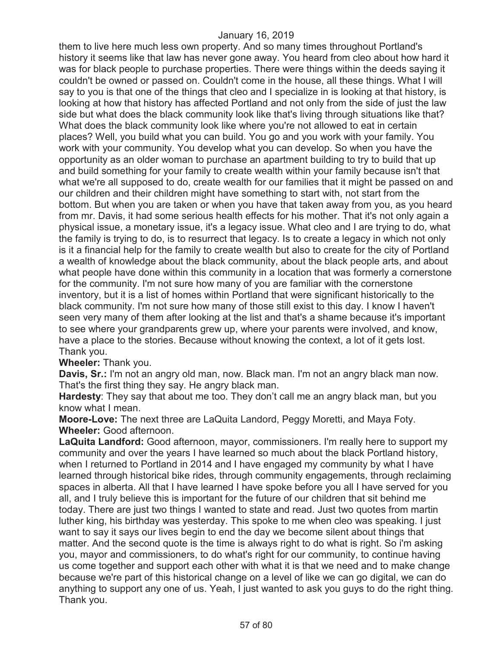them to live here much less own property. And so many times throughout Portland's history it seems like that law has never gone away. You heard from cleo about how hard it was for black people to purchase properties. There were things within the deeds saying it couldn't be owned or passed on. Couldn't come in the house, all these things. What I will say to you is that one of the things that cleo and I specialize in is looking at that history, is looking at how that history has affected Portland and not only from the side of just the law side but what does the black community look like that's living through situations like that? What does the black community look like where you're not allowed to eat in certain places? Well, you build what you can build. You go and you work with your family. You work with your community. You develop what you can develop. So when you have the opportunity as an older woman to purchase an apartment building to try to build that up and build something for your family to create wealth within your family because isn't that what we're all supposed to do, create wealth for our families that it might be passed on and our children and their children might have something to start with, not start from the bottom. But when you are taken or when you have that taken away from you, as you heard from mr. Davis, it had some serious health effects for his mother. That it's not only again a physical issue, a monetary issue, it's a legacy issue. What cleo and I are trying to do, what the family is trying to do, is to resurrect that legacy. Is to create a legacy in which not only is it a financial help for the family to create wealth but also to create for the city of Portland a wealth of knowledge about the black community, about the black people arts, and about what people have done within this community in a location that was formerly a cornerstone for the community. I'm not sure how many of you are familiar with the cornerstone inventory, but it is a list of homes within Portland that were significant historically to the black community. I'm not sure how many of those still exist to this day. I know I haven't seen very many of them after looking at the list and that's a shame because it's important to see where your grandparents grew up, where your parents were involved, and know, have a place to the stories. Because without knowing the context, a lot of it gets lost. Thank you.

#### **Wheeler:** Thank you.

**Davis, Sr.:** I'm not an angry old man, now. Black man. I'm not an angry black man now. That's the first thing they say. He angry black man.

**Hardesty**: They say that about me too. They don't call me an angry black man, but you know what I mean.

**Moore-Love:** The next three are LaQuita Landord, Peggy Moretti, and Maya Foty. **Wheeler:** Good afternoon.

**LaQuita Landford:** Good afternoon, mayor, commissioners. I'm really here to support my community and over the years I have learned so much about the black Portland history, when I returned to Portland in 2014 and I have engaged my community by what I have learned through historical bike rides, through community engagements, through reclaiming spaces in alberta. All that I have learned I have spoke before you all I have served for you all, and I truly believe this is important for the future of our children that sit behind me today. There are just two things I wanted to state and read. Just two quotes from martin luther king, his birthday was yesterday. This spoke to me when cleo was speaking. I just want to say it says our lives begin to end the day we become silent about things that matter. And the second quote is the time is always right to do what is right. So i'm asking you, mayor and commissioners, to do what's right for our community, to continue having us come together and support each other with what it is that we need and to make change because we're part of this historical change on a level of like we can go digital, we can do anything to support any one of us. Yeah, I just wanted to ask you guys to do the right thing. Thank you.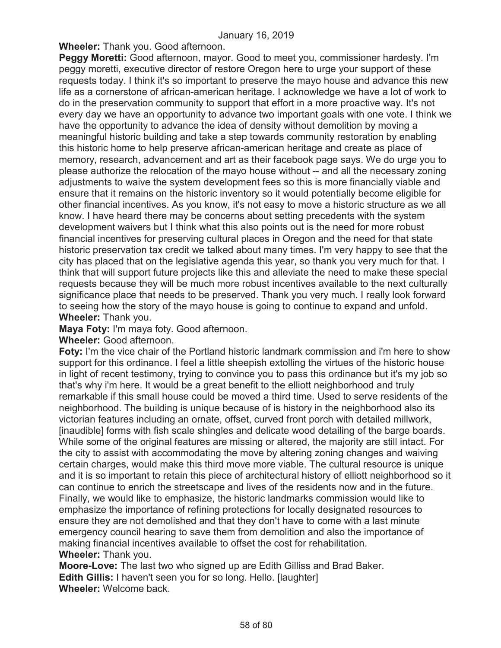**Wheeler:** Thank you. Good afternoon.

**Peggy Moretti:** Good afternoon, mayor. Good to meet you, commissioner hardesty. I'm peggy moretti, executive director of restore Oregon here to urge your support of these requests today. I think it's so important to preserve the mayo house and advance this new life as a cornerstone of african-american heritage. I acknowledge we have a lot of work to do in the preservation community to support that effort in a more proactive way. It's not every day we have an opportunity to advance two important goals with one vote. I think we have the opportunity to advance the idea of density without demolition by moving a meaningful historic building and take a step towards community restoration by enabling this historic home to help preserve african-american heritage and create as place of memory, research, advancement and art as their facebook page says. We do urge you to please authorize the relocation of the mayo house without -- and all the necessary zoning adjustments to waive the system development fees so this is more financially viable and ensure that it remains on the historic inventory so it would potentially become eligible for other financial incentives. As you know, it's not easy to move a historic structure as we all know. I have heard there may be concerns about setting precedents with the system development waivers but I think what this also points out is the need for more robust financial incentives for preserving cultural places in Oregon and the need for that state historic preservation tax credit we talked about many times. I'm very happy to see that the city has placed that on the legislative agenda this year, so thank you very much for that. I think that will support future projects like this and alleviate the need to make these special requests because they will be much more robust incentives available to the next culturally significance place that needs to be preserved. Thank you very much. I really look forward to seeing how the story of the mayo house is going to continue to expand and unfold. **Wheeler:** Thank you.

**Maya Foty:** I'm maya foty. Good afternoon.

**Wheeler:** Good afternoon.

**Foty:** I'm the vice chair of the Portland historic landmark commission and i'm here to show support for this ordinance. I feel a little sheepish extolling the virtues of the historic house in light of recent testimony, trying to convince you to pass this ordinance but it's my job so that's why i'm here. It would be a great benefit to the elliott neighborhood and truly remarkable if this small house could be moved a third time. Used to serve residents of the neighborhood. The building is unique because of is history in the neighborhood also its victorian features including an ornate, offset, curved front porch with detailed millwork, [inaudible] forms with fish scale shingles and delicate wood detailing of the barge boards. While some of the original features are missing or altered, the majority are still intact. For the city to assist with accommodating the move by altering zoning changes and waiving certain charges, would make this third move more viable. The cultural resource is unique and it is so important to retain this piece of architectural history of elliott neighborhood so it can continue to enrich the streetscape and lives of the residents now and in the future. Finally, we would like to emphasize, the historic landmarks commission would like to emphasize the importance of refining protections for locally designated resources to ensure they are not demolished and that they don't have to come with a last minute emergency council hearing to save them from demolition and also the importance of making financial incentives available to offset the cost for rehabilitation. **Wheeler:** Thank you.

**Moore-Love:** The last two who signed up are Edith Gilliss and Brad Baker. **Edith Gillis:** I haven't seen you for so long. Hello. [laughter] **Wheeler:** Welcome back.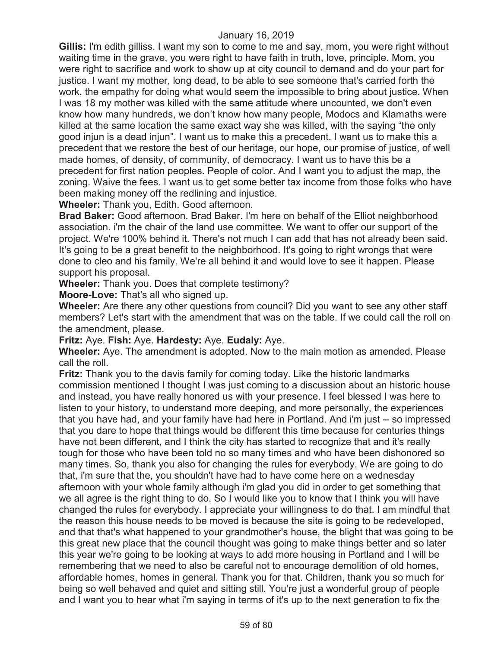**Gillis:** I'm edith gilliss. I want my son to come to me and say, mom, you were right without waiting time in the grave, you were right to have faith in truth, love, principle. Mom, you were right to sacrifice and work to show up at city council to demand and do your part for justice. I want my mother, long dead, to be able to see someone that's carried forth the work, the empathy for doing what would seem the impossible to bring about justice. When I was 18 my mother was killed with the same attitude where uncounted, we don't even know how many hundreds, we don't know how many people, Modocs and Klamaths were killed at the same location the same exact way she was killed, with the saying "the only good injun is a dead injun". I want us to make this a precedent. I want us to make this a precedent that we restore the best of our heritage, our hope, our promise of justice, of well made homes, of density, of community, of democracy. I want us to have this be a precedent for first nation peoples. People of color. And I want you to adjust the map, the zoning. Waive the fees. I want us to get some better tax income from those folks who have been making money off the redlining and injustice.

**Wheeler:** Thank you, Edith. Good afternoon.

**Brad Baker:** Good afternoon. Brad Baker. I'm here on behalf of the Elliot neighborhood association. i'm the chair of the land use committee. We want to offer our support of the project. We're 100% behind it. There's not much I can add that has not already been said. It's going to be a great benefit to the neighborhood. It's going to right wrongs that were done to cleo and his family. We're all behind it and would love to see it happen. Please support his proposal.

**Wheeler:** Thank you. Does that complete testimony?

**Moore-Love:** That's all who signed up.

**Wheeler:** Are there any other questions from council? Did you want to see any other staff members? Let's start with the amendment that was on the table. If we could call the roll on the amendment, please.

**Fritz:** Aye. **Fish:** Aye. **Hardesty:** Aye. **Eudaly:** Aye.

**Wheeler:** Aye. The amendment is adopted. Now to the main motion as amended. Please call the roll.

**Fritz:** Thank you to the davis family for coming today. Like the historic landmarks commission mentioned I thought I was just coming to a discussion about an historic house and instead, you have really honored us with your presence. I feel blessed I was here to listen to your history, to understand more deeping, and more personally, the experiences that you have had, and your family have had here in Portland. And i'm just -- so impressed that you dare to hope that things would be different this time because for centuries things have not been different, and I think the city has started to recognize that and it's really tough for those who have been told no so many times and who have been dishonored so many times. So, thank you also for changing the rules for everybody. We are going to do that, i'm sure that the, you shouldn't have had to have come here on a wednesday afternoon with your whole family although i'm glad you did in order to get something that we all agree is the right thing to do. So I would like you to know that I think you will have changed the rules for everybody. I appreciate your willingness to do that. I am mindful that the reason this house needs to be moved is because the site is going to be redeveloped, and that that's what happened to your grandmother's house, the blight that was going to be this great new place that the council thought was going to make things better and so later this year we're going to be looking at ways to add more housing in Portland and I will be remembering that we need to also be careful not to encourage demolition of old homes, affordable homes, homes in general. Thank you for that. Children, thank you so much for being so well behaved and quiet and sitting still. You're just a wonderful group of people and I want you to hear what i'm saying in terms of it's up to the next generation to fix the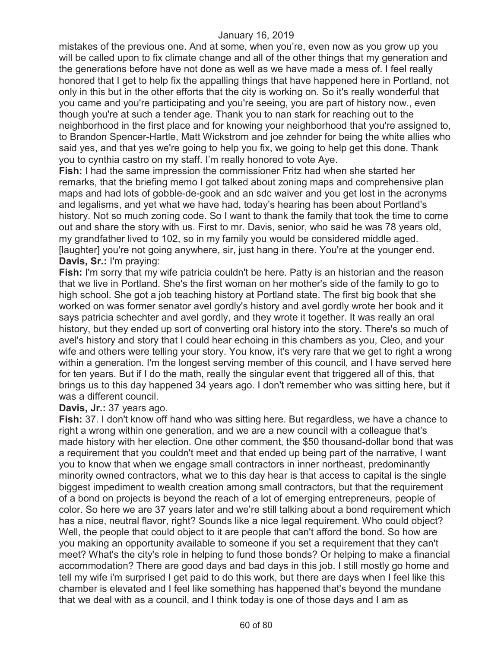mistakes of the previous one. And at some, when you're, even now as you grow up you will be called upon to fix climate change and all of the other things that my generation and the generations before have not done as well as we have made a mess of. I feel really honored that I get to help fix the appalling things that have happened here in Portland, not only in this but in the other efforts that the city is working on. So it's really wonderful that you came and you're participating and you're seeing, you are part of history now., even though you're at such a tender age. Thank you to nan stark for reaching out to the neighborhood in the first place and for knowing your neighborhood that you're assigned to, to Brandon Spencer-Hartle, Matt Wickstrom and joe zehnder for being the white allies who said yes, and that yes we're going to help you fix, we going to help get this done. Thank you to cynthia castro on my staff. I'm really honored to vote Aye.

**Fish:** I had the same impression the commissioner Fritz had when she started her remarks, that the briefing memo I got talked about zoning maps and comprehensive plan maps and had lots of gobble-de-gook and an sdc waiver and you get lost in the acronyms and legalisms, and yet what we have had, today's hearing has been about Portland's history. Not so much zoning code. So I want to thank the family that took the time to come out and share the story with us. First to mr. Davis, senior, who said he was 78 years old, my grandfather lived to 102, so in my family you would be considered middle aged. [laughter] you're not going anywhere, sir, just hang in there. You're at the younger end. **Davis, Sr.:** I'm praying:

**Fish:** I'm sorry that my wife patricia couldn't be here. Patty is an historian and the reason that we live in Portland. She's the first woman on her mother's side of the family to go to high school. She got a job teaching history at Portland state. The first big book that she worked on was former senator avel gordly's history and avel gordly wrote her book and it says patricia schechter and avel gordly, and they wrote it together. It was really an oral history, but they ended up sort of converting oral history into the story. There's so much of avel's history and story that I could hear echoing in this chambers as you, Cleo, and your wife and others were telling your story. You know, it's very rare that we get to right a wrong within a generation. I'm the longest serving member of this council, and I have served here for ten years. But if I do the math, really the singular event that triggered all of this, that brings us to this day happened 34 years ago. I don't remember who was sitting here, but it was a different council.

#### **Davis, Jr.:** 37 years ago.

**Fish:** 37. I don't know off hand who was sitting here. But regardless, we have a chance to right a wrong within one generation, and we are a new council with a colleague that's made history with her election. One other comment, the \$50 thousand-dollar bond that was a requirement that you couldn't meet and that ended up being part of the narrative, I want you to know that when we engage small contractors in inner northeast, predominantly minority owned contractors, what we to this day hear is that access to capital is the single biggest impediment to wealth creation among small contractors, but that the requirement of a bond on projects is beyond the reach of a lot of emerging entrepreneurs, people of color. So here we are 37 years later and we're still talking about a bond requirement which has a nice, neutral flavor, right? Sounds like a nice legal requirement. Who could object? Well, the people that could object to it are people that can't afford the bond. So how are you making an opportunity available to someone if you set a requirement that they can't meet? What's the city's role in helping to fund those bonds? Or helping to make a financial accommodation? There are good days and bad days in this job. I still mostly go home and tell my wife i'm surprised I get paid to do this work, but there are days when I feel like this chamber is elevated and I feel like something has happened that's beyond the mundane that we deal with as a council, and I think today is one of those days and I am as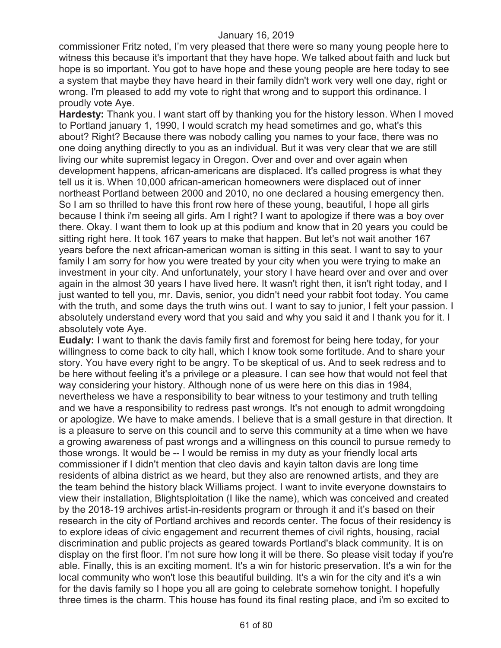commissioner Fritz noted, I'm very pleased that there were so many young people here to witness this because it's important that they have hope. We talked about faith and luck but hope is so important. You got to have hope and these young people are here today to see a system that maybe they have heard in their family didn't work very well one day, right or wrong. I'm pleased to add my vote to right that wrong and to support this ordinance. I proudly vote Aye.

**Hardesty:** Thank you. I want start off by thanking you for the history lesson. When I moved to Portland january 1, 1990, I would scratch my head sometimes and go, what's this about? Right? Because there was nobody calling you names to your face, there was no one doing anything directly to you as an individual. But it was very clear that we are still living our white supremist legacy in Oregon. Over and over and over again when development happens, african-americans are displaced. It's called progress is what they tell us it is. When 10,000 african-american homeowners were displaced out of inner northeast Portland between 2000 and 2010, no one declared a housing emergency then. So I am so thrilled to have this front row here of these young, beautiful, I hope all girls because I think i'm seeing all girls. Am I right? I want to apologize if there was a boy over there. Okay. I want them to look up at this podium and know that in 20 years you could be sitting right here. It took 167 years to make that happen. But let's not wait another 167 years before the next african-american woman is sitting in this seat. I want to say to your family I am sorry for how you were treated by your city when you were trying to make an investment in your city. And unfortunately, your story I have heard over and over and over again in the almost 30 years I have lived here. It wasn't right then, it isn't right today, and I just wanted to tell you, mr. Davis, senior, you didn't need your rabbit foot today. You came with the truth, and some days the truth wins out. I want to say to junior, I felt your passion. I absolutely understand every word that you said and why you said it and I thank you for it. I absolutely vote Aye.

**Eudaly:** I want to thank the davis family first and foremost for being here today, for your willingness to come back to city hall, which I know took some fortitude. And to share your story. You have every right to be angry. To be skeptical of us. And to seek redress and to be here without feeling it's a privilege or a pleasure. I can see how that would not feel that way considering your history. Although none of us were here on this dias in 1984, nevertheless we have a responsibility to bear witness to your testimony and truth telling and we have a responsibility to redress past wrongs. It's not enough to admit wrongdoing or apologize. We have to make amends. I believe that is a small gesture in that direction. It is a pleasure to serve on this council and to serve this community at a time when we have a growing awareness of past wrongs and a willingness on this council to pursue remedy to those wrongs. It would be -- I would be remiss in my duty as your friendly local arts commissioner if I didn't mention that cleo davis and kayin talton davis are long time residents of albina district as we heard, but they also are renowned artists, and they are the team behind the history black Williams project. I want to invite everyone downstairs to view their installation, Blightsploitation (I like the name), which was conceived and created by the 2018-19 archives artist-in-residents program or through it and it's based on their research in the city of Portland archives and records center. The focus of their residency is to explore ideas of civic engagement and recurrent themes of civil rights, housing, racial discrimination and public projects as geared towards Portland's black community. It is on display on the first floor. I'm not sure how long it will be there. So please visit today if you're able. Finally, this is an exciting moment. It's a win for historic preservation. It's a win for the local community who won't lose this beautiful building. It's a win for the city and it's a win for the davis family so I hope you all are going to celebrate somehow tonight. I hopefully three times is the charm. This house has found its final resting place, and i'm so excited to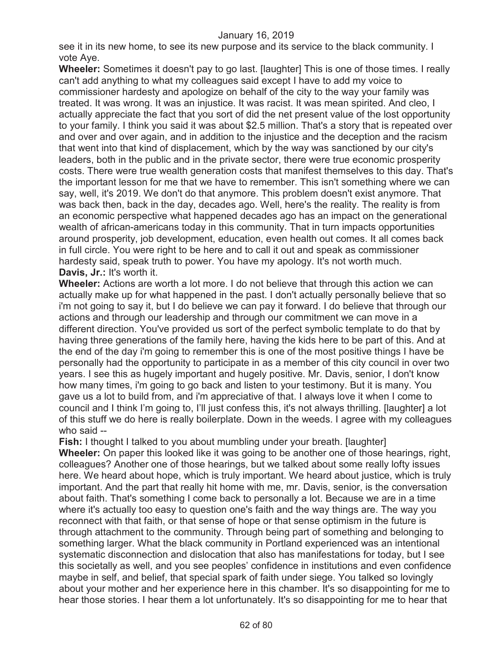see it in its new home, to see its new purpose and its service to the black community. I vote Aye.

**Wheeler:** Sometimes it doesn't pay to go last. [laughter] This is one of those times. I really can't add anything to what my colleagues said except I have to add my voice to commissioner hardesty and apologize on behalf of the city to the way your family was treated. It was wrong. It was an injustice. It was racist. It was mean spirited. And cleo, I actually appreciate the fact that you sort of did the net present value of the lost opportunity to your family. I think you said it was about \$2.5 million. That's a story that is repeated over and over and over again, and in addition to the injustice and the deception and the racism that went into that kind of displacement, which by the way was sanctioned by our city's leaders, both in the public and in the private sector, there were true economic prosperity costs. There were true wealth generation costs that manifest themselves to this day. That's the important lesson for me that we have to remember. This isn't something where we can say, well, it's 2019. We don't do that anymore. This problem doesn't exist anymore. That was back then, back in the day, decades ago. Well, here's the reality. The reality is from an economic perspective what happened decades ago has an impact on the generational wealth of african-americans today in this community. That in turn impacts opportunities around prosperity, job development, education, even health out comes. It all comes back in full circle. You were right to be here and to call it out and speak as commissioner hardesty said, speak truth to power. You have my apology. It's not worth much. **Davis, Jr.:** It's worth it.

**Wheeler:** Actions are worth a lot more. I do not believe that through this action we can actually make up for what happened in the past. I don't actually personally believe that so i'm not going to say it, but I do believe we can pay it forward. I do believe that through our actions and through our leadership and through our commitment we can move in a different direction. You've provided us sort of the perfect symbolic template to do that by having three generations of the family here, having the kids here to be part of this. And at the end of the day i'm going to remember this is one of the most positive things I have be personally had the opportunity to participate in as a member of this city council in over two years. I see this as hugely important and hugely positive. Mr. Davis, senior, I don't know how many times, i'm going to go back and listen to your testimony. But it is many. You gave us a lot to build from, and i'm appreciative of that. I always love it when I come to council and I think I'm going to, I'll just confess this, it's not always thrilling. [laughter] a lot of this stuff we do here is really boilerplate. Down in the weeds. I agree with my colleagues who said --

**Fish:** I thought I talked to you about mumbling under your breath. [laughter] **Wheeler:** On paper this looked like it was going to be another one of those hearings, right, colleagues? Another one of those hearings, but we talked about some really lofty issues here. We heard about hope, which is truly important. We heard about justice, which is truly important. And the part that really hit home with me, mr. Davis, senior, is the conversation about faith. That's something I come back to personally a lot. Because we are in a time where it's actually too easy to question one's faith and the way things are. The way you reconnect with that faith, or that sense of hope or that sense optimism in the future is through attachment to the community. Through being part of something and belonging to something larger. What the black community in Portland experienced was an intentional systematic disconnection and dislocation that also has manifestations for today, but I see this societally as well, and you see peoples' confidence in institutions and even confidence maybe in self, and belief, that special spark of faith under siege. You talked so lovingly about your mother and her experience here in this chamber. It's so disappointing for me to hear those stories. I hear them a lot unfortunately. It's so disappointing for me to hear that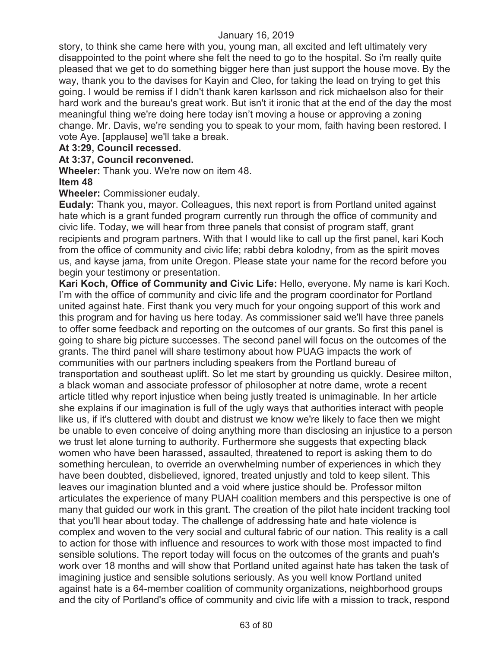story, to think she came here with you, young man, all excited and left ultimately very disappointed to the point where she felt the need to go to the hospital. So i'm really quite pleased that we get to do something bigger here than just support the house move. By the way, thank you to the davises for Kayin and Cleo, for taking the lead on trying to get this going. I would be remiss if I didn't thank karen karlsson and rick michaelson also for their hard work and the bureau's great work. But isn't it ironic that at the end of the day the most meaningful thing we're doing here today isn't moving a house or approving a zoning change. Mr. Davis, we're sending you to speak to your mom, faith having been restored. I vote Aye. [applause] we'll take a break.

# **At 3:29, Council recessed.**

# **At 3:37, Council reconvened.**

**Wheeler:** Thank you. We're now on item 48. **Item 48** 

# **Wheeler:** Commissioner eudaly.

**Eudaly:** Thank you, mayor. Colleagues, this next report is from Portland united against hate which is a grant funded program currently run through the office of community and civic life. Today, we will hear from three panels that consist of program staff, grant recipients and program partners. With that I would like to call up the first panel, kari Koch from the office of community and civic life; rabbi debra kolodny, from as the spirit moves us, and kayse jama, from unite Oregon. Please state your name for the record before you begin your testimony or presentation.

**Kari Koch, Office of Community and Civic Life:** Hello, everyone. My name is kari Koch. I'm with the office of community and civic life and the program coordinator for Portland united against hate. First thank you very much for your ongoing support of this work and this program and for having us here today. As commissioner said we'll have three panels to offer some feedback and reporting on the outcomes of our grants. So first this panel is going to share big picture successes. The second panel will focus on the outcomes of the grants. The third panel will share testimony about how PUAG impacts the work of communities with our partners including speakers from the Portland bureau of transportation and southeast uplift. So let me start by grounding us quickly. Desiree milton, a black woman and associate professor of philosopher at notre dame, wrote a recent article titled why report injustice when being justly treated is unimaginable. In her article she explains if our imagination is full of the ugly ways that authorities interact with people like us, if it's cluttered with doubt and distrust we know we're likely to face then we might be unable to even conceive of doing anything more than disclosing an injustice to a person we trust let alone turning to authority. Furthermore she suggests that expecting black women who have been harassed, assaulted, threatened to report is asking them to do something herculean, to override an overwhelming number of experiences in which they have been doubted, disbelieved, ignored, treated unjustly and told to keep silent. This leaves our imagination blunted and a void where justice should be. Professor milton articulates the experience of many PUAH coalition members and this perspective is one of many that guided our work in this grant. The creation of the pilot hate incident tracking tool that you'll hear about today. The challenge of addressing hate and hate violence is complex and woven to the very social and cultural fabric of our nation. This reality is a call to action for those with influence and resources to work with those most impacted to find sensible solutions. The report today will focus on the outcomes of the grants and puah's work over 18 months and will show that Portland united against hate has taken the task of imagining justice and sensible solutions seriously. As you well know Portland united against hate is a 64-member coalition of community organizations, neighborhood groups and the city of Portland's office of community and civic life with a mission to track, respond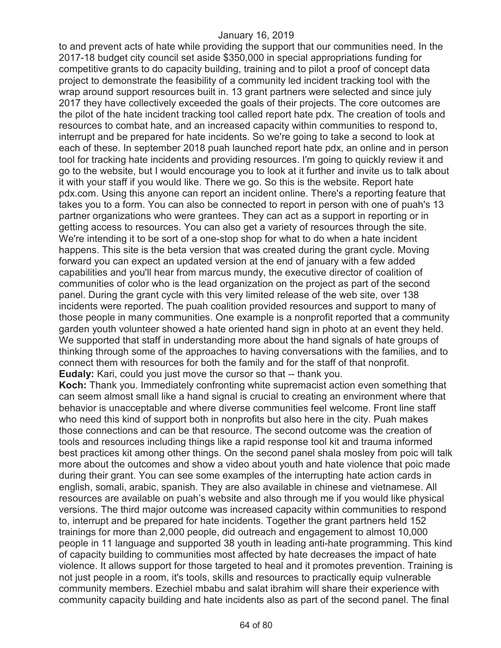to and prevent acts of hate while providing the support that our communities need. In the 2017-18 budget city council set aside \$350,000 in special appropriations funding for competitive grants to do capacity building, training and to pilot a proof of concept data project to demonstrate the feasibility of a community led incident tracking tool with the wrap around support resources built in. 13 grant partners were selected and since july 2017 they have collectively exceeded the goals of their projects. The core outcomes are the pilot of the hate incident tracking tool called report hate pdx. The creation of tools and resources to combat hate, and an increased capacity within communities to respond to, interrupt and be prepared for hate incidents. So we're going to take a second to look at each of these. In september 2018 puah launched report hate pdx, an online and in person tool for tracking hate incidents and providing resources. I'm going to quickly review it and go to the website, but I would encourage you to look at it further and invite us to talk about it with your staff if you would like. There we go. So this is the website. Report hate pdx.com. Using this anyone can report an incident online. There's a reporting feature that takes you to a form. You can also be connected to report in person with one of puah's 13 partner organizations who were grantees. They can act as a support in reporting or in getting access to resources. You can also get a variety of resources through the site. We're intending it to be sort of a one-stop shop for what to do when a hate incident happens. This site is the beta version that was created during the grant cycle. Moving forward you can expect an updated version at the end of january with a few added capabilities and you'll hear from marcus mundy, the executive director of coalition of communities of color who is the lead organization on the project as part of the second panel. During the grant cycle with this very limited release of the web site, over 138 incidents were reported. The puah coalition provided resources and support to many of those people in many communities. One example is a nonprofit reported that a community garden youth volunteer showed a hate oriented hand sign in photo at an event they held. We supported that staff in understanding more about the hand signals of hate groups of thinking through some of the approaches to having conversations with the families, and to connect them with resources for both the family and for the staff of that nonprofit. **Eudaly:** Kari, could you just move the cursor so that -- thank you.

**Koch:** Thank you. Immediately confronting white supremacist action even something that can seem almost small like a hand signal is crucial to creating an environment where that behavior is unacceptable and where diverse communities feel welcome. Front line staff who need this kind of support both in nonprofits but also here in the city. Puah makes those connections and can be that resource. The second outcome was the creation of tools and resources including things like a rapid response tool kit and trauma informed best practices kit among other things. On the second panel shala mosley from poic will talk more about the outcomes and show a video about youth and hate violence that poic made during their grant. You can see some examples of the interrupting hate action cards in english, somali, arabic, spanish. They are also available in chinese and vietnamese. All resources are available on puah's website and also through me if you would like physical versions. The third major outcome was increased capacity within communities to respond to, interrupt and be prepared for hate incidents. Together the grant partners held 152 trainings for more than 2,000 people, did outreach and engagement to almost 10,000 people in 11 language and supported 38 youth in leading anti-hate programming. This kind of capacity building to communities most affected by hate decreases the impact of hate violence. It allows support for those targeted to heal and it promotes prevention. Training is not just people in a room, it's tools, skills and resources to practically equip vulnerable community members. Ezechiel mbabu and salat ibrahim will share their experience with community capacity building and hate incidents also as part of the second panel. The final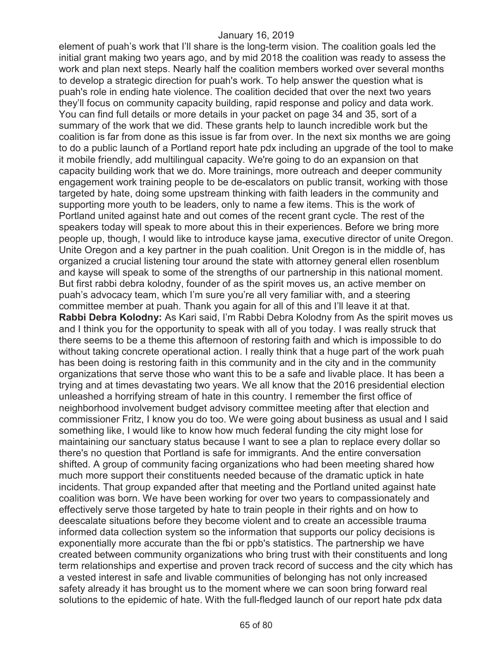element of puah's work that I'll share is the long-term vision. The coalition goals led the initial grant making two years ago, and by mid 2018 the coalition was ready to assess the work and plan next steps. Nearly half the coalition members worked over several months to develop a strategic direction for puah's work. To help answer the question what is puah's role in ending hate violence. The coalition decided that over the next two years they'll focus on community capacity building, rapid response and policy and data work. You can find full details or more details in your packet on page 34 and 35, sort of a summary of the work that we did. These grants help to launch incredible work but the coalition is far from done as this issue is far from over. In the next six months we are going to do a public launch of a Portland report hate pdx including an upgrade of the tool to make it mobile friendly, add multilingual capacity. We're going to do an expansion on that capacity building work that we do. More trainings, more outreach and deeper community engagement work training people to be de-escalators on public transit, working with those targeted by hate, doing some upstream thinking with faith leaders in the community and supporting more youth to be leaders, only to name a few items. This is the work of Portland united against hate and out comes of the recent grant cycle. The rest of the speakers today will speak to more about this in their experiences. Before we bring more people up, though, I would like to introduce kayse jama, executive director of unite Oregon. Unite Oregon and a key partner in the puah coalition. Unit Oregon is in the middle of, has organized a crucial listening tour around the state with attorney general ellen rosenblum and kayse will speak to some of the strengths of our partnership in this national moment. But first rabbi debra kolodny, founder of as the spirit moves us, an active member on puah's advocacy team, which I'm sure you're all very familiar with, and a steering committee member at puah. Thank you again for all of this and I'll leave it at that. **Rabbi Debra Kolodny:** As Kari said, I'm Rabbi Debra Kolodny from As the spirit moves us and I think you for the opportunity to speak with all of you today. I was really struck that there seems to be a theme this afternoon of restoring faith and which is impossible to do without taking concrete operational action. I really think that a huge part of the work puah has been doing is restoring faith in this community and in the city and in the community organizations that serve those who want this to be a safe and livable place. It has been a trying and at times devastating two years. We all know that the 2016 presidential election unleashed a horrifying stream of hate in this country. I remember the first office of neighborhood involvement budget advisory committee meeting after that election and commissioner Fritz, I know you do too. We were going about business as usual and I said something like, I would like to know how much federal funding the city might lose for maintaining our sanctuary status because I want to see a plan to replace every dollar so there's no question that Portland is safe for immigrants. And the entire conversation shifted. A group of community facing organizations who had been meeting shared how much more support their constituents needed because of the dramatic uptick in hate incidents. That group expanded after that meeting and the Portland united against hate coalition was born. We have been working for over two years to compassionately and effectively serve those targeted by hate to train people in their rights and on how to deescalate situations before they become violent and to create an accessible trauma informed data collection system so the information that supports our policy decisions is exponentially more accurate than the fbi or ppb's statistics. The partnership we have created between community organizations who bring trust with their constituents and long term relationships and expertise and proven track record of success and the city which has a vested interest in safe and livable communities of belonging has not only increased safety already it has brought us to the moment where we can soon bring forward real solutions to the epidemic of hate. With the full-fledged launch of our report hate pdx data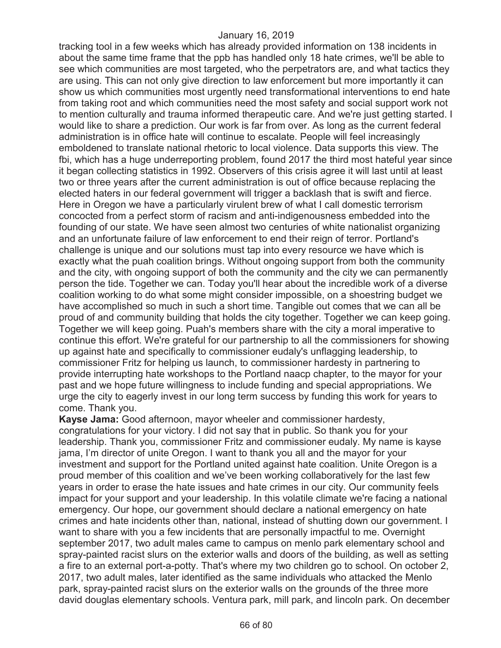tracking tool in a few weeks which has already provided information on 138 incidents in about the same time frame that the ppb has handled only 18 hate crimes, we'll be able to see which communities are most targeted, who the perpetrators are, and what tactics they are using. This can not only give direction to law enforcement but more importantly it can show us which communities most urgently need transformational interventions to end hate from taking root and which communities need the most safety and social support work not to mention culturally and trauma informed therapeutic care. And we're just getting started. I would like to share a prediction. Our work is far from over. As long as the current federal administration is in office hate will continue to escalate. People will feel increasingly emboldened to translate national rhetoric to local violence. Data supports this view. The fbi, which has a huge underreporting problem, found 2017 the third most hateful year since it began collecting statistics in 1992. Observers of this crisis agree it will last until at least two or three years after the current administration is out of office because replacing the elected haters in our federal government will trigger a backlash that is swift and fierce. Here in Oregon we have a particularly virulent brew of what I call domestic terrorism concocted from a perfect storm of racism and anti-indigenousness embedded into the founding of our state. We have seen almost two centuries of white nationalist organizing and an unfortunate failure of law enforcement to end their reign of terror. Portland's challenge is unique and our solutions must tap into every resource we have which is exactly what the puah coalition brings. Without ongoing support from both the community and the city, with ongoing support of both the community and the city we can permanently person the tide. Together we can. Today you'll hear about the incredible work of a diverse coalition working to do what some might consider impossible, on a shoestring budget we have accomplished so much in such a short time. Tangible out comes that we can all be proud of and community building that holds the city together. Together we can keep going. Together we will keep going. Puah's members share with the city a moral imperative to continue this effort. We're grateful for our partnership to all the commissioners for showing up against hate and specifically to commissioner eudaly's unflagging leadership, to commissioner Fritz for helping us launch, to commissioner hardesty in partnering to provide interrupting hate workshops to the Portland naacp chapter, to the mayor for your past and we hope future willingness to include funding and special appropriations. We urge the city to eagerly invest in our long term success by funding this work for years to come. Thank you.

**Kayse Jama:** Good afternoon, mayor wheeler and commissioner hardesty, congratulations for your victory. I did not say that in public. So thank you for your leadership. Thank you, commissioner Fritz and commissioner eudaly. My name is kayse jama, I'm director of unite Oregon. I want to thank you all and the mayor for your investment and support for the Portland united against hate coalition. Unite Oregon is a proud member of this coalition and we've been working collaboratively for the last few years in order to erase the hate issues and hate crimes in our city. Our community feels impact for your support and your leadership. In this volatile climate we're facing a national emergency. Our hope, our government should declare a national emergency on hate crimes and hate incidents other than, national, instead of shutting down our government. I want to share with you a few incidents that are personally impactful to me. Overnight september 2017, two adult males came to campus on menlo park elementary school and spray-painted racist slurs on the exterior walls and doors of the building, as well as setting a fire to an external port-a-potty. That's where my two children go to school. On october 2, 2017, two adult males, later identified as the same individuals who attacked the Menlo park, spray-painted racist slurs on the exterior walls on the grounds of the three more david douglas elementary schools. Ventura park, mill park, and lincoln park. On december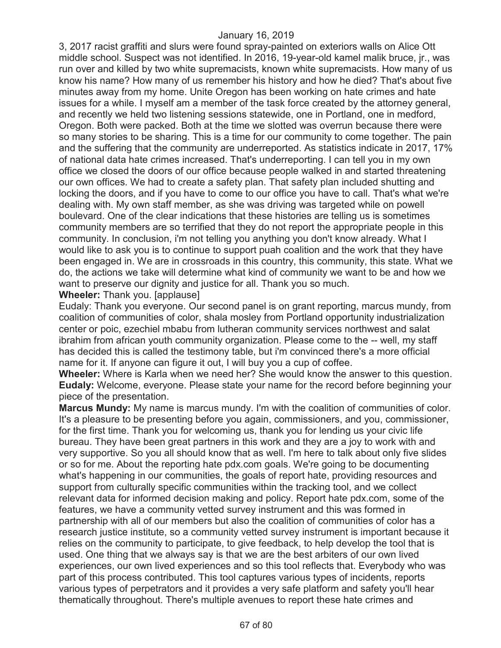3, 2017 racist graffiti and slurs were found spray-painted on exteriors walls on Alice Ott middle school. Suspect was not identified. In 2016, 19-year-old kamel malik bruce, jr., was run over and killed by two white supremacists, known white supremacists. How many of us know his name? How many of us remember his history and how he died? That's about five minutes away from my home. Unite Oregon has been working on hate crimes and hate issues for a while. I myself am a member of the task force created by the attorney general, and recently we held two listening sessions statewide, one in Portland, one in medford, Oregon. Both were packed. Both at the time we slotted was overrun because there were so many stories to be sharing. This is a time for our community to come together. The pain and the suffering that the community are underreported. As statistics indicate in 2017, 17% of national data hate crimes increased. That's underreporting. I can tell you in my own office we closed the doors of our office because people walked in and started threatening our own offices. We had to create a safety plan. That safety plan included shutting and locking the doors, and if you have to come to our office you have to call. That's what we're dealing with. My own staff member, as she was driving was targeted while on powell boulevard. One of the clear indications that these histories are telling us is sometimes community members are so terrified that they do not report the appropriate people in this community. In conclusion, i'm not telling you anything you don't know already. What I would like to ask you is to continue to support puah coalition and the work that they have been engaged in. We are in crossroads in this country, this community, this state. What we do, the actions we take will determine what kind of community we want to be and how we want to preserve our dignity and justice for all. Thank you so much.

#### **Wheeler:** Thank you. [applause]

Eudaly: Thank you everyone. Our second panel is on grant reporting, marcus mundy, from coalition of communities of color, shala mosley from Portland opportunity industrialization center or poic, ezechiel mbabu from lutheran community services northwest and salat ibrahim from african youth community organization. Please come to the -- well, my staff has decided this is called the testimony table, but i'm convinced there's a more official name for it. If anyone can figure it out, I will buy you a cup of coffee.

**Wheeler:** Where is Karla when we need her? She would know the answer to this question. **Eudaly:** Welcome, everyone. Please state your name for the record before beginning your piece of the presentation.

**Marcus Mundy:** My name is marcus mundy. I'm with the coalition of communities of color. It's a pleasure to be presenting before you again, commissioners, and you, commissioner, for the first time. Thank you for welcoming us, thank you for lending us your civic life bureau. They have been great partners in this work and they are a joy to work with and very supportive. So you all should know that as well. I'm here to talk about only five slides or so for me. About the reporting hate pdx.com goals. We're going to be documenting what's happening in our communities, the goals of report hate, providing resources and support from culturally specific communities within the tracking tool, and we collect relevant data for informed decision making and policy. Report hate pdx.com, some of the features, we have a community vetted survey instrument and this was formed in partnership with all of our members but also the coalition of communities of color has a research justice institute, so a community vetted survey instrument is important because it relies on the community to participate, to give feedback, to help develop the tool that is used. One thing that we always say is that we are the best arbiters of our own lived experiences, our own lived experiences and so this tool reflects that. Everybody who was part of this process contributed. This tool captures various types of incidents, reports various types of perpetrators and it provides a very safe platform and safety you'll hear thematically throughout. There's multiple avenues to report these hate crimes and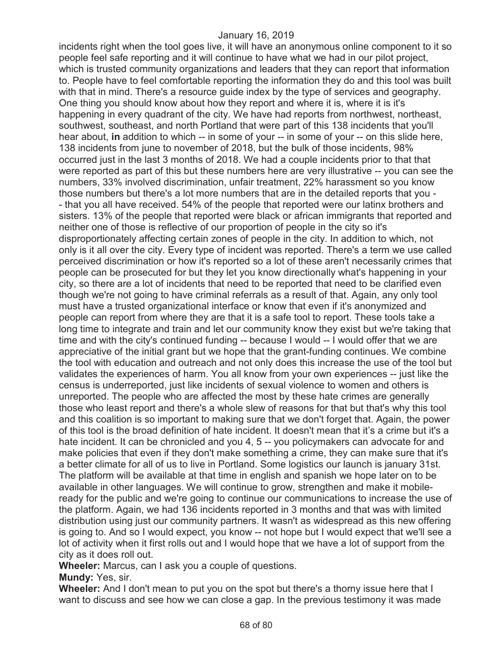incidents right when the tool goes live, it will have an anonymous online component to it so people feel safe reporting and it will continue to have what we had in our pilot project, which is trusted community organizations and leaders that they can report that information to. People have to feel comfortable reporting the information they do and this tool was built with that in mind. There's a resource guide index by the type of services and geography. One thing you should know about how they report and where it is, where it is it's happening in every quadrant of the city. We have had reports from northwest, northeast, southwest, southeast, and north Portland that were part of this 138 incidents that you'll hear about, **in** addition to which -- in some of your -- in some of your -- on this slide here, 138 incidents from june to november of 2018, but the bulk of those incidents, 98% occurred just in the last 3 months of 2018. We had a couple incidents prior to that that were reported as part of this but these numbers here are very illustrative -- you can see the numbers, 33% involved discrimination, unfair treatment, 22% harassment so you know those numbers but there's a lot more numbers that are in the detailed reports that you - - that you all have received. 54% of the people that reported were our latinx brothers and sisters. 13% of the people that reported were black or african immigrants that reported and neither one of those is reflective of our proportion of people in the city so it's disproportionately affecting certain zones of people in the city. In addition to which, not only is it all over the city. Every type of incident was reported. There's a term we use called perceived discrimination or how it's reported so a lot of these aren't necessarily crimes that people can be prosecuted for but they let you know directionally what's happening in your city, so there are a lot of incidents that need to be reported that need to be clarified even though we're not going to have criminal referrals as a result of that. Again, any only tool must have a trusted organizational interface or know that even if it's anonymized and people can report from where they are that it is a safe tool to report. These tools take a long time to integrate and train and let our community know they exist but we're taking that time and with the city's continued funding -- because I would -- I would offer that we are appreciative of the initial grant but we hope that the grant-funding continues. We combine the tool with education and outreach and not only does this increase the use of the tool but validates the experiences of harm. You all know from your own experiences -- just like the census is underreported, just like incidents of sexual violence to women and others is unreported. The people who are affected the most by these hate crimes are generally those who least report and there's a whole slew of reasons for that but that's why this tool and this coalition is so important to making sure that we don't forget that. Again, the power of this tool is the broad definition of hate incident. It doesn't mean that it's a crime but it's a hate incident. It can be chronicled and you 4, 5 -- you policymakers can advocate for and make policies that even if they don't make something a crime, they can make sure that it's a better climate for all of us to live in Portland. Some logistics our launch is january 31st. The platform will be available at that time in english and spanish we hope later on to be available in other languages. We will continue to grow, strengthen and make it mobileready for the public and we're going to continue our communications to increase the use of the platform. Again, we had 136 incidents reported in 3 months and that was with limited distribution using just our community partners. It wasn't as widespread as this new offering is going to. And so I would expect, you know -- not hope but I would expect that we'll see a lot of activity when it first rolls out and I would hope that we have a lot of support from the city as it does roll out.

**Wheeler:** Marcus, can I ask you a couple of questions.

**Mundy:** Yes, sir.

**Wheeler:** And I don't mean to put you on the spot but there's a thorny issue here that I want to discuss and see how we can close a gap. In the previous testimony it was made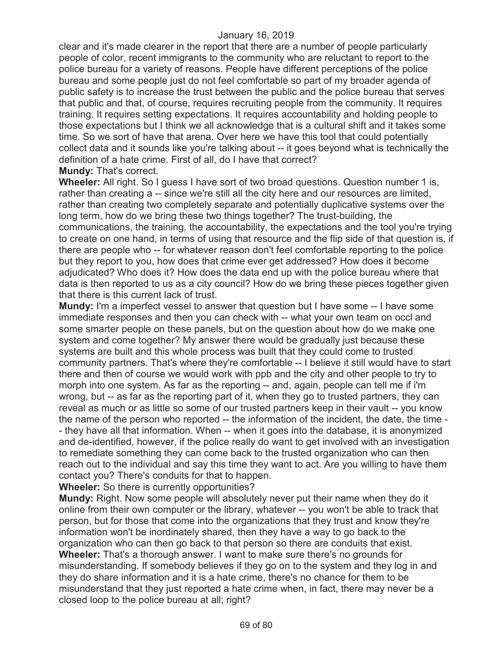clear and it's made clearer in the report that there are a number of people particularly people of color, recent immigrants to the community who are reluctant to report to the police bureau for a variety of reasons. People have different perceptions of the police bureau and some people just do not feel comfortable so part of my broader agenda of public safety is to increase the trust between the public and the police bureau that serves that public and that, of course, requires recruiting people from the community. It requires training. It requires setting expectations. It requires accountability and holding people to those expectations but I think we all acknowledge that is a cultural shift and it takes some time. So we sort of have that arena. Over here we have this tool that could potentially collect data and it sounds like you're talking about -- it goes beyond what is technically the definition of a hate crime. First of all, do I have that correct?

**Mundy:** That's correct.

**Wheeler:** All right. So I guess I have sort of two broad questions. Question number 1 is, rather than creating a -- since we're still all the city here and our resources are limited, rather than creating two completely separate and potentially duplicative systems over the long term, how do we bring these two things together? The trust-building, the communications, the training, the accountability, the expectations and the tool you're trying to create on one hand, in terms of using that resource and the flip side of that question is, if there are people who -- for whatever reason don't feel comfortable reporting to the police but they report to you, how does that crime ever get addressed? How does it become adjudicated? Who does it? How does the data end up with the police bureau where that data is then reported to us as a city council? How do we bring these pieces together given that there is this current lack of trust.

**Mundy:** I'm a imperfect vessel to answer that question but I have some -- I have some immediate responses and then you can check with -- what your own team on occl and some smarter people on these panels, but on the question about how do we make one system and come together? My answer there would be gradually just because these systems are built and this whole process was built that they could come to trusted community partners. That's where they're comfortable -- I believe it still would have to start there and then of course we would work with ppb and the city and other people to try to morph into one system. As far as the reporting -- and, again, people can tell me if i'm wrong, but -- as far as the reporting part of it, when they go to trusted partners, they can reveal as much or as little so some of our trusted partners keep in their vault -- you know the name of the person who reported -- the information of the incident, the date, the time - - they have all that information. When -- when it goes into the database, it is anonymized and de-identified, however, if the police really do want to get involved with an investigation to remediate something they can come back to the trusted organization who can then reach out to the individual and say this time they want to act. Are you willing to have them contact you? There's conduits for that to happen.

**Wheeler:** So there is currently opportunities?

**Mundy:** Right. Now some people will absolutely never put their name when they do it online from their own computer or the library, whatever -- you won't be able to track that person, but for those that come into the organizations that they trust and know they're information won't be inordinately shared, then they have a way to go back to the organization who can then go back to that person so there are conduits that exist. **Wheeler:** That's a thorough answer. I want to make sure there's no grounds for misunderstanding. If somebody believes if they go on to the system and they log in and they do share information and it is a hate crime, there's no chance for them to be misunderstand that they just reported a hate crime when, in fact, there may never be a closed loop to the police bureau at all; right?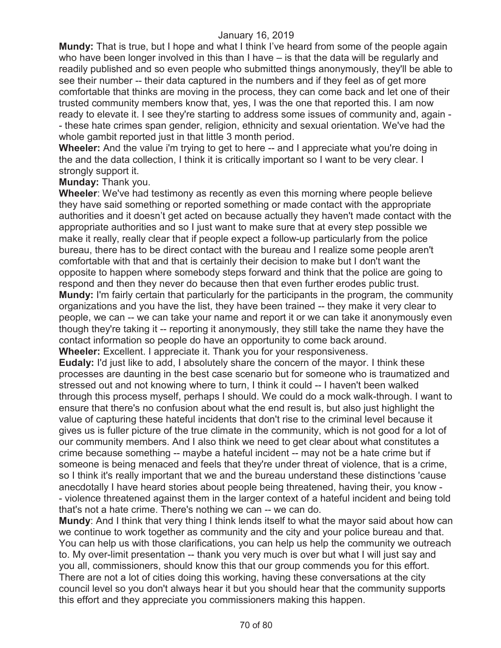**Mundy:** That is true, but I hope and what I think I've heard from some of the people again who have been longer involved in this than I have – is that the data will be regularly and readily published and so even people who submitted things anonymously, they'll be able to see their number -- their data captured in the numbers and if they feel as of get more comfortable that thinks are moving in the process, they can come back and let one of their trusted community members know that, yes, I was the one that reported this. I am now ready to elevate it. I see they're starting to address some issues of community and, again - - these hate crimes span gender, religion, ethnicity and sexual orientation. We've had the whole gambit reported just in that little 3 month period.

**Wheeler:** And the value i'm trying to get to here -- and I appreciate what you're doing in the and the data collection, I think it is critically important so I want to be very clear. I strongly support it.

### **Munday:** Thank you.

**Wheeler**: We've had testimony as recently as even this morning where people believe they have said something or reported something or made contact with the appropriate authorities and it doesn't get acted on because actually they haven't made contact with the appropriate authorities and so I just want to make sure that at every step possible we make it really, really clear that if people expect a follow-up particularly from the police bureau, there has to be direct contact with the bureau and I realize some people aren't comfortable with that and that is certainly their decision to make but I don't want the opposite to happen where somebody steps forward and think that the police are going to respond and then they never do because then that even further erodes public trust. **Mundy:** I'm fairly certain that particularly for the participants in the program, the community organizations and you have the list, they have been trained -- they make it very clear to people, we can -- we can take your name and report it or we can take it anonymously even though they're taking it -- reporting it anonymously, they still take the name they have the contact information so people do have an opportunity to come back around. **Wheeler:** Excellent. I appreciate it. Thank you for your responsiveness.

**Eudaly:** I'd just like to add, I absolutely share the concern of the mayor. I think these processes are daunting in the best case scenario but for someone who is traumatized and stressed out and not knowing where to turn, I think it could -- I haven't been walked through this process myself, perhaps I should. We could do a mock walk-through. I want to ensure that there's no confusion about what the end result is, but also just highlight the value of capturing these hateful incidents that don't rise to the criminal level because it gives us is fuller picture of the true climate in the community, which is not good for a lot of our community members. And I also think we need to get clear about what constitutes a crime because something -- maybe a hateful incident -- may not be a hate crime but if someone is being menaced and feels that they're under threat of violence, that is a crime, so I think it's really important that we and the bureau understand these distinctions 'cause anecdotally I have heard stories about people being threatened, having their, you know - - violence threatened against them in the larger context of a hateful incident and being told that's not a hate crime. There's nothing we can -- we can do.

**Mundy**: And I think that very thing I think lends itself to what the mayor said about how can we continue to work together as community and the city and your police bureau and that. You can help us with those clarifications, you can help us help the community we outreach to. My over-limit presentation -- thank you very much is over but what I will just say and you all, commissioners, should know this that our group commends you for this effort. There are not a lot of cities doing this working, having these conversations at the city council level so you don't always hear it but you should hear that the community supports this effort and they appreciate you commissioners making this happen.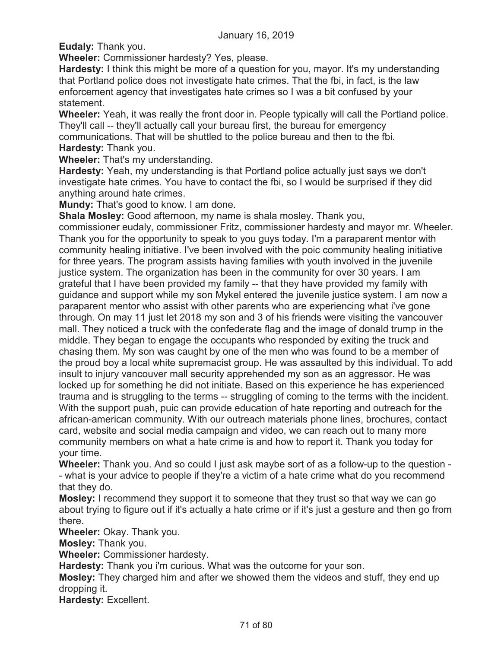**Eudaly:** Thank you.

**Wheeler:** Commissioner hardesty? Yes, please.

**Hardesty:** I think this might be more of a question for you, mayor. It's my understanding that Portland police does not investigate hate crimes. That the fbi, in fact, is the law enforcement agency that investigates hate crimes so I was a bit confused by your statement.

**Wheeler:** Yeah, it was really the front door in. People typically will call the Portland police. They'll call -- they'll actually call your bureau first, the bureau for emergency communications. That will be shuttled to the police bureau and then to the fbi. **Hardesty:** Thank you.

**Wheeler:** That's my understanding.

**Hardesty:** Yeah, my understanding is that Portland police actually just says we don't investigate hate crimes. You have to contact the fbi, so I would be surprised if they did anything around hate crimes.

**Mundy:** That's good to know. I am done.

**Shala Mosley:** Good afternoon, my name is shala mosley. Thank you,

commissioner eudaly, commissioner Fritz, commissioner hardesty and mayor mr. Wheeler. Thank you for the opportunity to speak to you guys today. I'm a paraparent mentor with community healing initiative. I've been involved with the poic community healing initiative for three years. The program assists having families with youth involved in the juvenile justice system. The organization has been in the community for over 30 years. I am grateful that I have been provided my family -- that they have provided my family with guidance and support while my son Mykel entered the juvenile justice system. I am now a paraparent mentor who assist with other parents who are experiencing what i've gone through. On may 11 just let 2018 my son and 3 of his friends were visiting the vancouver mall. They noticed a truck with the confederate flag and the image of donald trump in the middle. They began to engage the occupants who responded by exiting the truck and chasing them. My son was caught by one of the men who was found to be a member of the proud boy a local white supremacist group. He was assaulted by this individual. To add insult to injury vancouver mall security apprehended my son as an aggressor. He was locked up for something he did not initiate. Based on this experience he has experienced trauma and is struggling to the terms -- struggling of coming to the terms with the incident. With the support puah, puic can provide education of hate reporting and outreach for the african-american community. With our outreach materials phone lines, brochures, contact card, website and social media campaign and video, we can reach out to many more community members on what a hate crime is and how to report it. Thank you today for your time.

**Wheeler:** Thank you. And so could I just ask maybe sort of as a follow-up to the question - - what is your advice to people if they're a victim of a hate crime what do you recommend that they do.

**Mosley:** I recommend they support it to someone that they trust so that way we can go about trying to figure out if it's actually a hate crime or if it's just a gesture and then go from there.

**Wheeler:** Okay. Thank you.

**Mosley:** Thank you.

**Wheeler:** Commissioner hardesty.

**Hardesty:** Thank you i'm curious. What was the outcome for your son.

**Mosley:** They charged him and after we showed them the videos and stuff, they end up dropping it.

**Hardesty:** Excellent.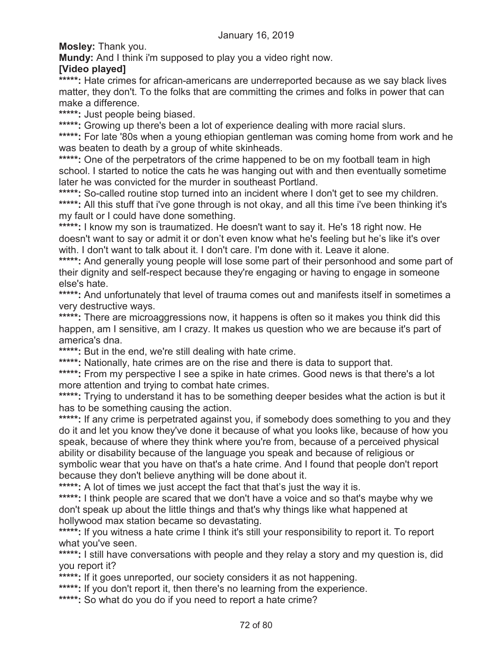**Mosley:** Thank you.

**Mundy:** And I think i'm supposed to play you a video right now.

# **[Video played]**

\*\*\*\*\*: Hate crimes for african-americans are underreported because as we say black lives matter, they don't. To the folks that are committing the crimes and folks in power that can make a difference.

**\*\*\*\*\*:** Just people being biased.

\*\*\*\*\*: Growing up there's been a lot of experience dealing with more racial slurs.

**\*\*\*\*\*:** For late '80s when a young ethiopian gentleman was coming home from work and he was beaten to death by a group of white skinheads.

\*\*\*\*\*: One of the perpetrators of the crime happened to be on my football team in high school. I started to notice the cats he was hanging out with and then eventually sometime later he was convicted for the murder in southeast Portland.

\*\*\*\*\*: So-called routine stop turned into an incident where I don't get to see my children. **\*\*\*\*\*:** All this stuff that i've gone through is not okay, and all this time i've been thinking it's my fault or I could have done something.

**\*\*\*\*\*:** I know my son is traumatized. He doesn't want to say it. He's 18 right now. He doesn't want to say or admit it or don't even know what he's feeling but he's like it's over with. I don't want to talk about it. I don't care. I'm done with it. Leave it alone.

\*\*\*\*\*: And generally young people will lose some part of their personhood and some part of their dignity and self-respect because they're engaging or having to engage in someone else's hate.

\*\*\*\*\*: And unfortunately that level of trauma comes out and manifests itself in sometimes a very destructive ways.

\*\*\*\*\*: There are microaggressions now, it happens is often so it makes you think did this happen, am I sensitive, am I crazy. It makes us question who we are because it's part of america's dna.

\*\*\*\*\*: But in the end, we're still dealing with hate crime.

**\*\*\*\*\*:** Nationally, hate crimes are on the rise and there is data to support that.

\*\*\*\*\*: From my perspective I see a spike in hate crimes. Good news is that there's a lot more attention and trying to combat hate crimes.

\*\*\*\*\*: Trying to understand it has to be something deeper besides what the action is but it has to be something causing the action.

\*\*\*\*\*: If any crime is perpetrated against you, if somebody does something to you and they do it and let you know they've done it because of what you looks like, because of how you speak, because of where they think where you're from, because of a perceived physical ability or disability because of the language you speak and because of religious or symbolic wear that you have on that's a hate crime. And I found that people don't report because they don't believe anything will be done about it.

\*\*\*\*\*: A lot of times we just accept the fact that that's just the way it is.

\*\*\*\*\*: I think people are scared that we don't have a voice and so that's maybe why we don't speak up about the little things and that's why things like what happened at hollywood max station became so devastating.

\*\*\*\*\*: If you witness a hate crime I think it's still your responsibility to report it. To report what you've seen.

\*\*\*\*\*: I still have conversations with people and they relay a story and my question is, did you report it?

\*\*\*\*\*: If it goes unreported, our society considers it as not happening.

\*\*\*\*\*: If you don't report it, then there's no learning from the experience.

**\*\*\*\*\*:** So what do you do if you need to report a hate crime?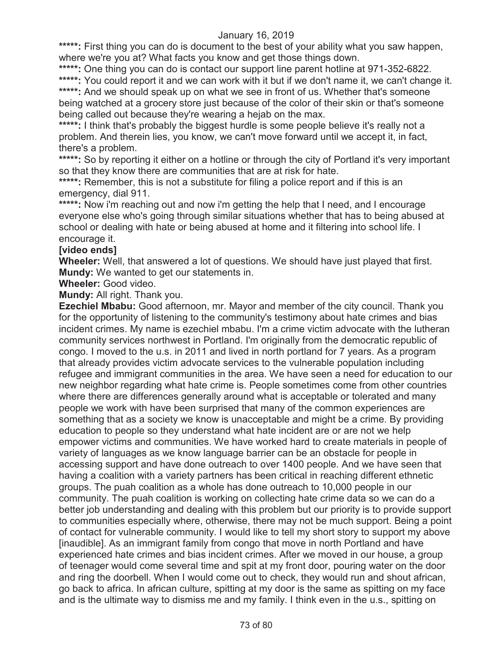\*\*\*\*\*: First thing you can do is document to the best of your ability what you saw happen, where we're you at? What facts you know and get those things down.

**\*\*\*\*\*:** One thing you can do is contact our support line parent hotline at 971-352-6822. \*\*\*\*\*: You could report it and we can work with it but if we don't name it, we can't change it. \*\*\*\*\*: And we should speak up on what we see in front of us. Whether that's someone being watched at a grocery store just because of the color of their skin or that's someone being called out because they're wearing a hejab on the max.

\*\*\*\*\*: I think that's probably the biggest hurdle is some people believe it's really not a problem. And therein lies, you know, we can't move forward until we accept it, in fact, there's a problem.

\*\*\*\*\*: So by reporting it either on a hotline or through the city of Portland it's very important so that they know there are communities that are at risk for hate.

\*\*\*\*\*: Remember, this is not a substitute for filing a police report and if this is an emergency, dial 911.

\*\*\*\*\*: Now i'm reaching out and now i'm getting the help that I need, and I encourage everyone else who's going through similar situations whether that has to being abused at school or dealing with hate or being abused at home and it filtering into school life. I encourage it.

### **[video ends]**

**Wheeler:** Well, that answered a lot of questions. We should have just played that first. **Mundy:** We wanted to get our statements in.

**Wheeler:** Good video.

**Mundy:** All right. Thank you.

**Ezechiel Mbabu:** Good afternoon, mr. Mayor and member of the city council. Thank you for the opportunity of listening to the community's testimony about hate crimes and bias incident crimes. My name is ezechiel mbabu. I'm a crime victim advocate with the lutheran community services northwest in Portland. I'm originally from the democratic republic of congo. I moved to the u.s. in 2011 and lived in north portland for 7 years. As a program that already provides victim advocate services to the vulnerable population including refugee and immigrant communities in the area. We have seen a need for education to our new neighbor regarding what hate crime is. People sometimes come from other countries where there are differences generally around what is acceptable or tolerated and many people we work with have been surprised that many of the common experiences are something that as a society we know is unacceptable and might be a crime. By providing education to people so they understand what hate incident are or are not we help empower victims and communities. We have worked hard to create materials in people of variety of languages as we know language barrier can be an obstacle for people in accessing support and have done outreach to over 1400 people. And we have seen that having a coalition with a variety partners has been critical in reaching different ethnetic groups. The puah coalition as a whole has done outreach to 10,000 people in our community. The puah coalition is working on collecting hate crime data so we can do a better job understanding and dealing with this problem but our priority is to provide support to communities especially where, otherwise, there may not be much support. Being a point of contact for vulnerable community. I would like to tell my short story to support my above [inaudible]. As an immigrant family from congo that move in north Portland and have experienced hate crimes and bias incident crimes. After we moved in our house, a group of teenager would come several time and spit at my front door, pouring water on the door and ring the doorbell. When I would come out to check, they would run and shout african, go back to africa. In african culture, spitting at my door is the same as spitting on my face and is the ultimate way to dismiss me and my family. I think even in the u.s., spitting on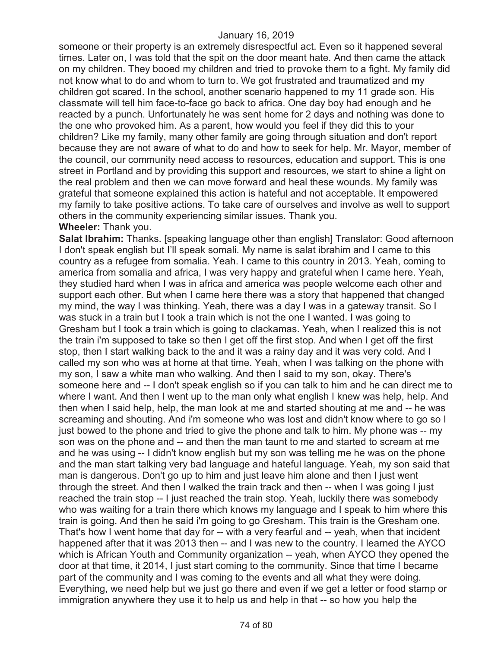someone or their property is an extremely disrespectful act. Even so it happened several times. Later on, I was told that the spit on the door meant hate. And then came the attack on my children. They booed my children and tried to provoke them to a fight. My family did not know what to do and whom to turn to. We got frustrated and traumatized and my children got scared. In the school, another scenario happened to my 11 grade son. His classmate will tell him face-to-face go back to africa. One day boy had enough and he reacted by a punch. Unfortunately he was sent home for 2 days and nothing was done to the one who provoked him. As a parent, how would you feel if they did this to your children? Like my family, many other family are going through situation and don't report because they are not aware of what to do and how to seek for help. Mr. Mayor, member of the council, our community need access to resources, education and support. This is one street in Portland and by providing this support and resources, we start to shine a light on the real problem and then we can move forward and heal these wounds. My family was grateful that someone explained this action is hateful and not acceptable. It empowered my family to take positive actions. To take care of ourselves and involve as well to support others in the community experiencing similar issues. Thank you.

#### **Wheeler:** Thank you.

**Salat Ibrahim:** Thanks. [speaking language other than english] Translator: Good afternoon I don't speak english but I'll speak somali. My name is salat ibrahim and I came to this country as a refugee from somalia. Yeah. I came to this country in 2013. Yeah, coming to america from somalia and africa, I was very happy and grateful when I came here. Yeah, they studied hard when I was in africa and america was people welcome each other and support each other. But when I came here there was a story that happened that changed my mind, the way I was thinking. Yeah, there was a day I was in a gateway transit. So I was stuck in a train but I took a train which is not the one I wanted. I was going to Gresham but I took a train which is going to clackamas. Yeah, when I realized this is not the train i'm supposed to take so then I get off the first stop. And when I get off the first stop, then I start walking back to the and it was a rainy day and it was very cold. And I called my son who was at home at that time. Yeah, when I was talking on the phone with my son, I saw a white man who walking. And then I said to my son, okay. There's someone here and -- I don't speak english so if you can talk to him and he can direct me to where I want. And then I went up to the man only what english I knew was help, help. And then when I said help, help, the man look at me and started shouting at me and -- he was screaming and shouting. And i'm someone who was lost and didn't know where to go so I just bowed to the phone and tried to give the phone and talk to him. My phone was -- my son was on the phone and -- and then the man taunt to me and started to scream at me and he was using -- I didn't know english but my son was telling me he was on the phone and the man start talking very bad language and hateful language. Yeah, my son said that man is dangerous. Don't go up to him and just leave him alone and then I just went through the street. And then I walked the train track and then -- when I was going I just reached the train stop -- I just reached the train stop. Yeah, luckily there was somebody who was waiting for a train there which knows my language and I speak to him where this train is going. And then he said i'm going to go Gresham. This train is the Gresham one. That's how I went home that day for -- with a very fearful and -- yeah, when that incident happened after that it was 2013 then -- and I was new to the country. I learned the AYCO which is African Youth and Community organization -- yeah, when AYCO they opened the door at that time, it 2014, I just start coming to the community. Since that time I became part of the community and I was coming to the events and all what they were doing. Everything, we need help but we just go there and even if we get a letter or food stamp or immigration anywhere they use it to help us and help in that -- so how you help the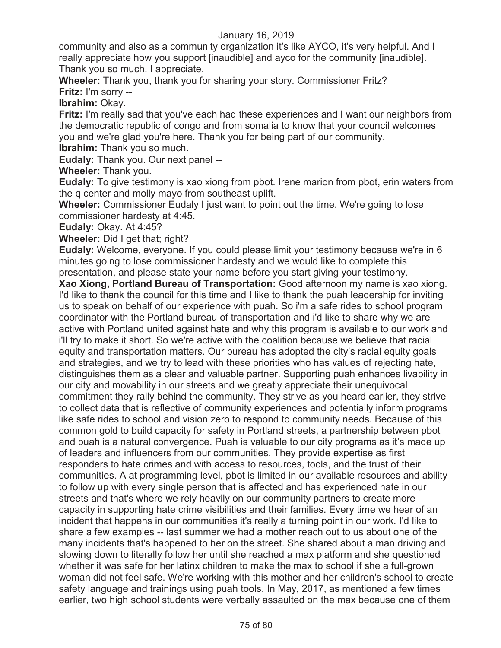community and also as a community organization it's like AYCO, it's very helpful. And I really appreciate how you support [inaudible] and ayco for the community [inaudible]. Thank you so much. I appreciate.

**Wheeler:** Thank you, thank you for sharing your story. Commissioner Fritz? **Fritz:** I'm sorry --

**Ibrahim:** Okay.

**Fritz:** I'm really sad that you've each had these experiences and I want our neighbors from the democratic republic of congo and from somalia to know that your council welcomes you and we're glad you're here. Thank you for being part of our community. **Ibrahim:** Thank you so much.

**Eudaly:** Thank you. Our next panel --

**Wheeler:** Thank you.

**Eudaly:** To give testimony is xao xiong from pbot. Irene marion from pbot, erin waters from the q center and molly mayo from southeast uplift.

**Wheeler:** Commissioner Eudaly I just want to point out the time. We're going to lose commissioner hardesty at 4:45.

**Eudaly:** Okay. At 4:45?

**Wheeler:** Did I get that; right?

**Eudaly:** Welcome, everyone. If you could please limit your testimony because we're in 6 minutes going to lose commissioner hardesty and we would like to complete this presentation, and please state your name before you start giving your testimony.

**Xao Xiong, Portland Bureau of Transportation:** Good afternoon my name is xao xiong. I'd like to thank the council for this time and I like to thank the puah leadership for inviting us to speak on behalf of our experience with puah. So i'm a safe rides to school program coordinator with the Portland bureau of transportation and i'd like to share why we are active with Portland united against hate and why this program is available to our work and i'll try to make it short. So we're active with the coalition because we believe that racial equity and transportation matters. Our bureau has adopted the city's racial equity goals and strategies, and we try to lead with these priorities who has values of rejecting hate, distinguishes them as a clear and valuable partner. Supporting puah enhances livability in our city and movability in our streets and we greatly appreciate their unequivocal commitment they rally behind the community. They strive as you heard earlier, they strive to collect data that is reflective of community experiences and potentially inform programs like safe rides to school and vision zero to respond to community needs. Because of this common gold to build capacity for safety in Portland streets, a partnership between pbot and puah is a natural convergence. Puah is valuable to our city programs as it's made up of leaders and influencers from our communities. They provide expertise as first responders to hate crimes and with access to resources, tools, and the trust of their communities. A at programming level, pbot is limited in our available resources and ability to follow up with every single person that is affected and has experienced hate in our streets and that's where we rely heavily on our community partners to create more capacity in supporting hate crime visibilities and their families. Every time we hear of an incident that happens in our communities it's really a turning point in our work. I'd like to share a few examples -- last summer we had a mother reach out to us about one of the many incidents that's happened to her on the street. She shared about a man driving and slowing down to literally follow her until she reached a max platform and she questioned whether it was safe for her latinx children to make the max to school if she a full-grown woman did not feel safe. We're working with this mother and her children's school to create safety language and trainings using puah tools. In May, 2017, as mentioned a few times earlier, two high school students were verbally assaulted on the max because one of them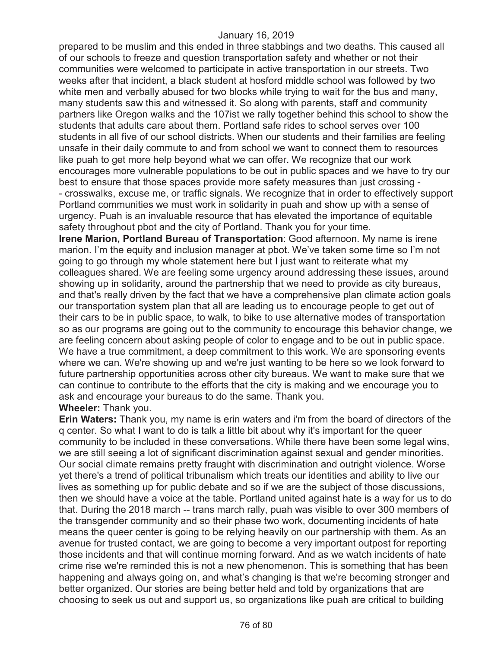prepared to be muslim and this ended in three stabbings and two deaths. This caused all of our schools to freeze and question transportation safety and whether or not their communities were welcomed to participate in active transportation in our streets. Two weeks after that incident, a black student at hosford middle school was followed by two white men and verbally abused for two blocks while trying to wait for the bus and many, many students saw this and witnessed it. So along with parents, staff and community partners like Oregon walks and the 107ist we rally together behind this school to show the students that adults care about them. Portland safe rides to school serves over 100 students in all five of our school districts. When our students and their families are feeling unsafe in their daily commute to and from school we want to connect them to resources like puah to get more help beyond what we can offer. We recognize that our work encourages more vulnerable populations to be out in public spaces and we have to try our best to ensure that those spaces provide more safety measures than just crossing - - crosswalks, excuse me, or traffic signals. We recognize that in order to effectively support Portland communities we must work in solidarity in puah and show up with a sense of urgency. Puah is an invaluable resource that has elevated the importance of equitable safety throughout pbot and the city of Portland. Thank you for your time.

**Irene Marion, Portland Bureau of Transportation**: Good afternoon. My name is irene marion. I'm the equity and inclusion manager at pbot. We've taken some time so I'm not going to go through my whole statement here but I just want to reiterate what my colleagues shared. We are feeling some urgency around addressing these issues, around showing up in solidarity, around the partnership that we need to provide as city bureaus, and that's really driven by the fact that we have a comprehensive plan climate action goals our transportation system plan that all are leading us to encourage people to get out of their cars to be in public space, to walk, to bike to use alternative modes of transportation so as our programs are going out to the community to encourage this behavior change, we are feeling concern about asking people of color to engage and to be out in public space. We have a true commitment, a deep commitment to this work. We are sponsoring events where we can. We're showing up and we're just wanting to be here so we look forward to future partnership opportunities across other city bureaus. We want to make sure that we can continue to contribute to the efforts that the city is making and we encourage you to ask and encourage your bureaus to do the same. Thank you. **Wheeler:** Thank you.

**Erin Waters:** Thank you, my name is erin waters and i'm from the board of directors of the q center. So what I want to do is talk a little bit about why it's important for the queer community to be included in these conversations. While there have been some legal wins, we are still seeing a lot of significant discrimination against sexual and gender minorities. Our social climate remains pretty fraught with discrimination and outright violence. Worse yet there's a trend of political tribunalism which treats our identities and ability to live our lives as something up for public debate and so if we are the subject of those discussions, then we should have a voice at the table. Portland united against hate is a way for us to do that. During the 2018 march -- trans march rally, puah was visible to over 300 members of the transgender community and so their phase two work, documenting incidents of hate means the queer center is going to be relying heavily on our partnership with them. As an avenue for trusted contact, we are going to become a very important outpost for reporting those incidents and that will continue morning forward. And as we watch incidents of hate crime rise we're reminded this is not a new phenomenon. This is something that has been happening and always going on, and what's changing is that we're becoming stronger and better organized. Our stories are being better held and told by organizations that are choosing to seek us out and support us, so organizations like puah are critical to building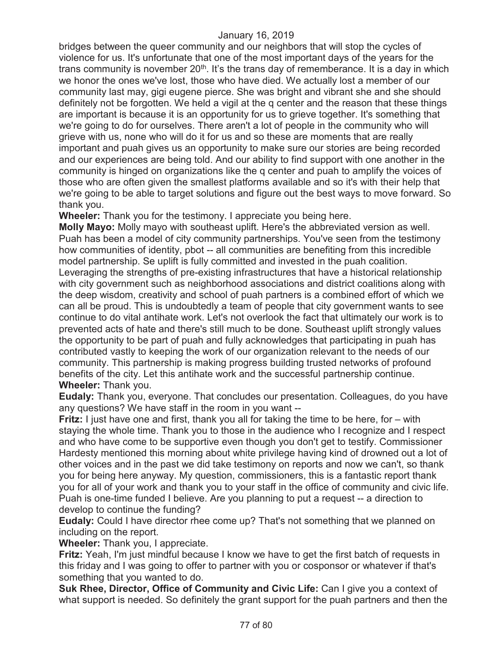bridges between the queer community and our neighbors that will stop the cycles of violence for us. It's unfortunate that one of the most important days of the years for the trans community is november  $20<sup>th</sup>$ . It's the trans day of rememberance. It is a day in which we honor the ones we've lost, those who have died. We actually lost a member of our community last may, gigi eugene pierce. She was bright and vibrant she and she should definitely not be forgotten. We held a vigil at the q center and the reason that these things are important is because it is an opportunity for us to grieve together. It's something that we're going to do for ourselves. There aren't a lot of people in the community who will grieve with us, none who will do it for us and so these are moments that are really important and puah gives us an opportunity to make sure our stories are being recorded and our experiences are being told. And our ability to find support with one another in the community is hinged on organizations like the q center and puah to amplify the voices of those who are often given the smallest platforms available and so it's with their help that we're going to be able to target solutions and figure out the best ways to move forward. So thank you.

**Wheeler:** Thank you for the testimony. I appreciate you being here.

**Molly Mayo:** Molly mayo with southeast uplift. Here's the abbreviated version as well. Puah has been a model of city community partnerships. You've seen from the testimony how communities of identity, pbot -- all communities are benefiting from this incredible model partnership. Se uplift is fully committed and invested in the puah coalition. Leveraging the strengths of pre-existing infrastructures that have a historical relationship with city government such as neighborhood associations and district coalitions along with the deep wisdom, creativity and school of puah partners is a combined effort of which we can all be proud. This is undoubtedly a team of people that city government wants to see continue to do vital antihate work. Let's not overlook the fact that ultimately our work is to prevented acts of hate and there's still much to be done. Southeast uplift strongly values the opportunity to be part of puah and fully acknowledges that participating in puah has contributed vastly to keeping the work of our organization relevant to the needs of our community. This partnership is making progress building trusted networks of profound benefits of the city. Let this antihate work and the successful partnership continue. **Wheeler:** Thank you.

**Eudaly:** Thank you, everyone. That concludes our presentation. Colleagues, do you have any questions? We have staff in the room in you want --

**Fritz:** I just have one and first, thank you all for taking the time to be here, for – with staying the whole time. Thank you to those in the audience who I recognize and I respect and who have come to be supportive even though you don't get to testify. Commissioner Hardesty mentioned this morning about white privilege having kind of drowned out a lot of other voices and in the past we did take testimony on reports and now we can't, so thank you for being here anyway. My question, commissioners, this is a fantastic report thank you for all of your work and thank you to your staff in the office of community and civic life. Puah is one-time funded I believe. Are you planning to put a request -- a direction to develop to continue the funding?

**Eudaly:** Could I have director rhee come up? That's not something that we planned on including on the report.

**Wheeler:** Thank you, I appreciate.

**Fritz:** Yeah, I'm just mindful because I know we have to get the first batch of requests in this friday and I was going to offer to partner with you or cosponsor or whatever if that's something that you wanted to do.

**Suk Rhee, Director, Office of Community and Civic Life:** Can I give you a context of what support is needed. So definitely the grant support for the puah partners and then the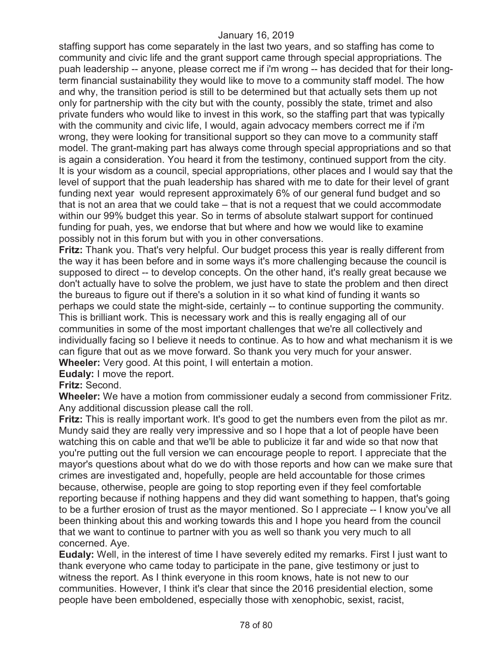staffing support has come separately in the last two years, and so staffing has come to community and civic life and the grant support came through special appropriations. The puah leadership -- anyone, please correct me if i'm wrong -- has decided that for their longterm financial sustainability they would like to move to a community staff model. The how and why, the transition period is still to be determined but that actually sets them up not only for partnership with the city but with the county, possibly the state, trimet and also private funders who would like to invest in this work, so the staffing part that was typically with the community and civic life, I would, again advocacy members correct me if i'm wrong, they were looking for transitional support so they can move to a community staff model. The grant-making part has always come through special appropriations and so that is again a consideration. You heard it from the testimony, continued support from the city. It is your wisdom as a council, special appropriations, other places and I would say that the level of support that the puah leadership has shared with me to date for their level of grant funding next year would represent approximately 6% of our general fund budget and so that is not an area that we could take – that is not a request that we could accommodate within our 99% budget this year. So in terms of absolute stalwart support for continued funding for puah, yes, we endorse that but where and how we would like to examine possibly not in this forum but with you in other conversations.

**Fritz:** Thank you. That's very helpful. Our budget process this year is really different from the way it has been before and in some ways it's more challenging because the council is supposed to direct -- to develop concepts. On the other hand, it's really great because we don't actually have to solve the problem, we just have to state the problem and then direct the bureaus to figure out if there's a solution in it so what kind of funding it wants so perhaps we could state the might-side, certainly -- to continue supporting the community. This is brilliant work. This is necessary work and this is really engaging all of our communities in some of the most important challenges that we're all collectively and individually facing so I believe it needs to continue. As to how and what mechanism it is we can figure that out as we move forward. So thank you very much for your answer. **Wheeler:** Very good. At this point, I will entertain a motion.

**Eudaly:** I move the report.

**Fritz:** Second.

**Wheeler:** We have a motion from commissioner eudaly a second from commissioner Fritz. Any additional discussion please call the roll.

**Fritz:** This is really important work. It's good to get the numbers even from the pilot as mr. Mundy said they are really very impressive and so I hope that a lot of people have been watching this on cable and that we'll be able to publicize it far and wide so that now that you're putting out the full version we can encourage people to report. I appreciate that the mayor's questions about what do we do with those reports and how can we make sure that crimes are investigated and, hopefully, people are held accountable for those crimes because, otherwise, people are going to stop reporting even if they feel comfortable reporting because if nothing happens and they did want something to happen, that's going to be a further erosion of trust as the mayor mentioned. So I appreciate -- I know you've all been thinking about this and working towards this and I hope you heard from the council that we want to continue to partner with you as well so thank you very much to all concerned. Aye.

**Eudaly:** Well, in the interest of time I have severely edited my remarks. First I just want to thank everyone who came today to participate in the pane, give testimony or just to witness the report. As I think everyone in this room knows, hate is not new to our communities. However, I think it's clear that since the 2016 presidential election, some people have been emboldened, especially those with xenophobic, sexist, racist,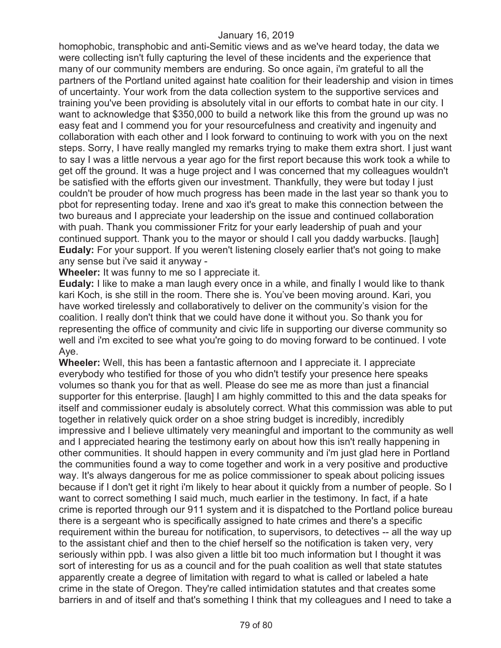homophobic, transphobic and anti-Semitic views and as we've heard today, the data we were collecting isn't fully capturing the level of these incidents and the experience that many of our community members are enduring. So once again, i'm grateful to all the partners of the Portland united against hate coalition for their leadership and vision in times of uncertainty. Your work from the data collection system to the supportive services and training you've been providing is absolutely vital in our efforts to combat hate in our city. I want to acknowledge that \$350,000 to build a network like this from the ground up was no easy feat and I commend you for your resourcefulness and creativity and ingenuity and collaboration with each other and I look forward to continuing to work with you on the next steps. Sorry, I have really mangled my remarks trying to make them extra short. I just want to say I was a little nervous a year ago for the first report because this work took a while to get off the ground. It was a huge project and I was concerned that my colleagues wouldn't be satisfied with the efforts given our investment. Thankfully, they were but today I just couldn't be prouder of how much progress has been made in the last year so thank you to pbot for representing today. Irene and xao it's great to make this connection between the two bureaus and I appreciate your leadership on the issue and continued collaboration with puah. Thank you commissioner Fritz for your early leadership of puah and your continued support. Thank you to the mayor or should I call you daddy warbucks. [laugh] **Eudaly:** For your support. If you weren't listening closely earlier that's not going to make any sense but i've said it anyway -

**Wheeler:** It was funny to me so I appreciate it.

**Eudaly:** I like to make a man laugh every once in a while, and finally I would like to thank kari Koch, is she still in the room. There she is. You've been moving around. Kari, you have worked tirelessly and collaboratively to deliver on the community's vision for the coalition. I really don't think that we could have done it without you. So thank you for representing the office of community and civic life in supporting our diverse community so well and i'm excited to see what you're going to do moving forward to be continued. I vote Aye.

**Wheeler:** Well, this has been a fantastic afternoon and I appreciate it. I appreciate everybody who testified for those of you who didn't testify your presence here speaks volumes so thank you for that as well. Please do see me as more than just a financial supporter for this enterprise. [laugh] I am highly committed to this and the data speaks for itself and commissioner eudaly is absolutely correct. What this commission was able to put together in relatively quick order on a shoe string budget is incredibly, incredibly impressive and I believe ultimately very meaningful and important to the community as well and I appreciated hearing the testimony early on about how this isn't really happening in other communities. It should happen in every community and i'm just glad here in Portland the communities found a way to come together and work in a very positive and productive way. It's always dangerous for me as police commissioner to speak about policing issues because if I don't get it right i'm likely to hear about it quickly from a number of people. So I want to correct something I said much, much earlier in the testimony. In fact, if a hate crime is reported through our 911 system and it is dispatched to the Portland police bureau there is a sergeant who is specifically assigned to hate crimes and there's a specific requirement within the bureau for notification, to supervisors, to detectives -- all the way up to the assistant chief and then to the chief herself so the notification is taken very, very seriously within ppb. I was also given a little bit too much information but I thought it was sort of interesting for us as a council and for the puah coalition as well that state statutes apparently create a degree of limitation with regard to what is called or labeled a hate crime in the state of Oregon. They're called intimidation statutes and that creates some barriers in and of itself and that's something I think that my colleagues and I need to take a